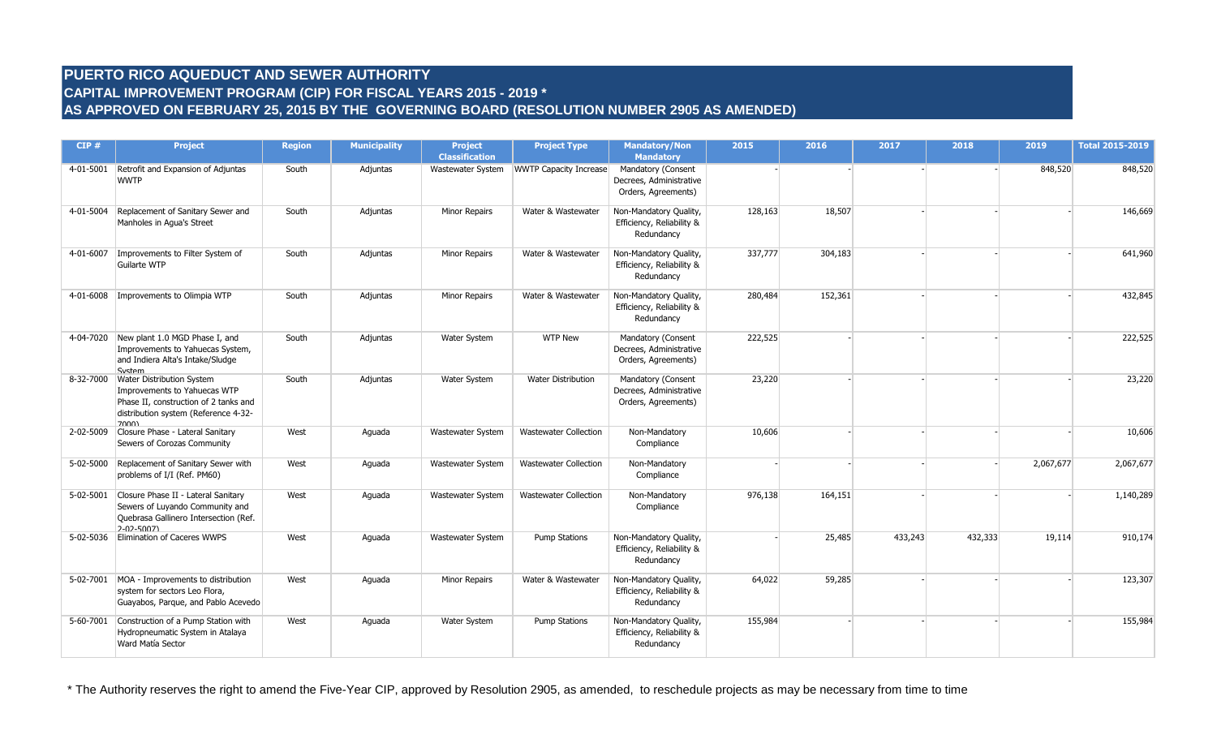# **PUERTO RICO AQUEDUCT AND SEWER AUTHORITY CAPITAL IMPROVEMENT PROGRAM (CIP) FOR FISCAL YEARS 2015 - 2019 \* AS APPROVED ON FEBRUARY 25, 2015 BY THE GOVERNING BOARD (RESOLUTION NUMBER 2905 AS AMENDED)**

| CIP#      | <b>Project</b>                                                                                                                                                | <b>Region</b> | <b>Municipality</b> | <b>Project</b><br><b>Classification</b> | <b>Project Type</b>           | <b>Mandatory/Non</b><br><b>Mandatory</b>                             | 2015    | 2016    | 2017    | 2018    | 2019      | <b>Total 2015-2019</b> |
|-----------|---------------------------------------------------------------------------------------------------------------------------------------------------------------|---------------|---------------------|-----------------------------------------|-------------------------------|----------------------------------------------------------------------|---------|---------|---------|---------|-----------|------------------------|
|           | 4-01-5001 Retrofit and Expansion of Adjuntas<br><b>WWTP</b>                                                                                                   | South         | Adjuntas            | Wastewater System                       | <b>WWTP Capacity Increase</b> | Mandatory (Consent<br>Decrees, Administrative<br>Orders, Agreements) |         |         |         |         | 848,520   | 848,520                |
|           | 4-01-5004 Replacement of Sanitary Sewer and<br>Manholes in Aqua's Street                                                                                      | South         | Adjuntas            | <b>Minor Repairs</b>                    | Water & Wastewater            | Non-Mandatory Quality,<br>Efficiency, Reliability &<br>Redundancy    | 128,163 | 18,507  |         |         |           | 146,669                |
|           | 4-01-6007   Improvements to Filter System of<br>Guilarte WTP                                                                                                  | South         | Adjuntas            | <b>Minor Repairs</b>                    | Water & Wastewater            | Non-Mandatory Quality,<br>Efficiency, Reliability &<br>Redundancy    | 337,777 | 304,183 |         |         |           | 641,960                |
| 4-01-6008 | Improvements to Olimpia WTP                                                                                                                                   | South         | Adjuntas            | Minor Repairs                           | Water & Wastewater            | Non-Mandatory Quality,<br>Efficiency, Reliability &<br>Redundancy    | 280,484 | 152,361 |         |         |           | 432,845                |
|           | 4-04-7020 New plant 1.0 MGD Phase I, and<br>Improvements to Yahuecas System,<br>and Indiera Alta's Intake/Sludge<br>System                                    | South         | Adjuntas            | Water System                            | <b>WTP New</b>                | Mandatory (Consent<br>Decrees, Administrative<br>Orders, Agreements) | 222,525 |         |         |         |           | 222,525                |
|           | 8-32-7000 Water Distribution System<br>Improvements to Yahuecas WTP<br>Phase II, construction of 2 tanks and<br>distribution system (Reference 4-32-<br>7000) | South         | Adjuntas            | Water System                            | <b>Water Distribution</b>     | Mandatory (Consent<br>Decrees, Administrative<br>Orders, Agreements) | 23,220  |         |         |         |           | 23,220                 |
|           | 2-02-5009 Closure Phase - Lateral Sanitary<br>Sewers of Corozas Community                                                                                     | West          | Aguada              | Wastewater System                       | <b>Wastewater Collection</b>  | Non-Mandatory<br>Compliance                                          | 10,606  |         |         |         |           | 10,606                 |
|           | 5-02-5000 Replacement of Sanitary Sewer with<br>problems of I/I (Ref. PM60)                                                                                   | West          | Aguada              | Wastewater System                       | <b>Wastewater Collection</b>  | Non-Mandatory<br>Compliance                                          |         |         |         |         | 2,067,677 | 2,067,677              |
|           | 5-02-5001 Closure Phase II - Lateral Sanitary<br>Sewers of Luyando Community and<br>Quebrasa Gallinero Intersection (Ref.<br>2-02-5007)                       | West          | Aguada              | Wastewater System                       | <b>Wastewater Collection</b>  | Non-Mandatory<br>Compliance                                          | 976,138 | 164,151 |         |         |           | 1,140,289              |
|           | 5-02-5036 Elimination of Caceres WWPS                                                                                                                         | West          | Aguada              | Wastewater System                       | <b>Pump Stations</b>          | Non-Mandatory Quality,<br>Efficiency, Reliability &<br>Redundancy    |         | 25,485  | 433,243 | 432,333 | 19,114    | 910,174                |
|           | 5-02-7001 MOA - Improvements to distribution<br>system for sectors Leo Flora,<br>Guayabos, Parque, and Pablo Acevedo                                          | West          | Aguada              | Minor Repairs                           | Water & Wastewater            | Non-Mandatory Quality,<br>Efficiency, Reliability &<br>Redundancy    | 64,022  | 59,285  |         |         |           | 123,307                |
| 5-60-7001 | Construction of a Pump Station with<br>Hydropneumatic System in Atalaya<br>Ward Matía Sector                                                                  | West          | Aguada              | <b>Water System</b>                     | <b>Pump Stations</b>          | Non-Mandatory Quality,<br>Efficiency, Reliability &<br>Redundancy    | 155,984 |         |         |         |           | 155,984                |

\* The Authority reserves the right to amend the Five-Year CIP, approved by Resolution 2905, as amended, to reschedule projects as may be necessary from time to time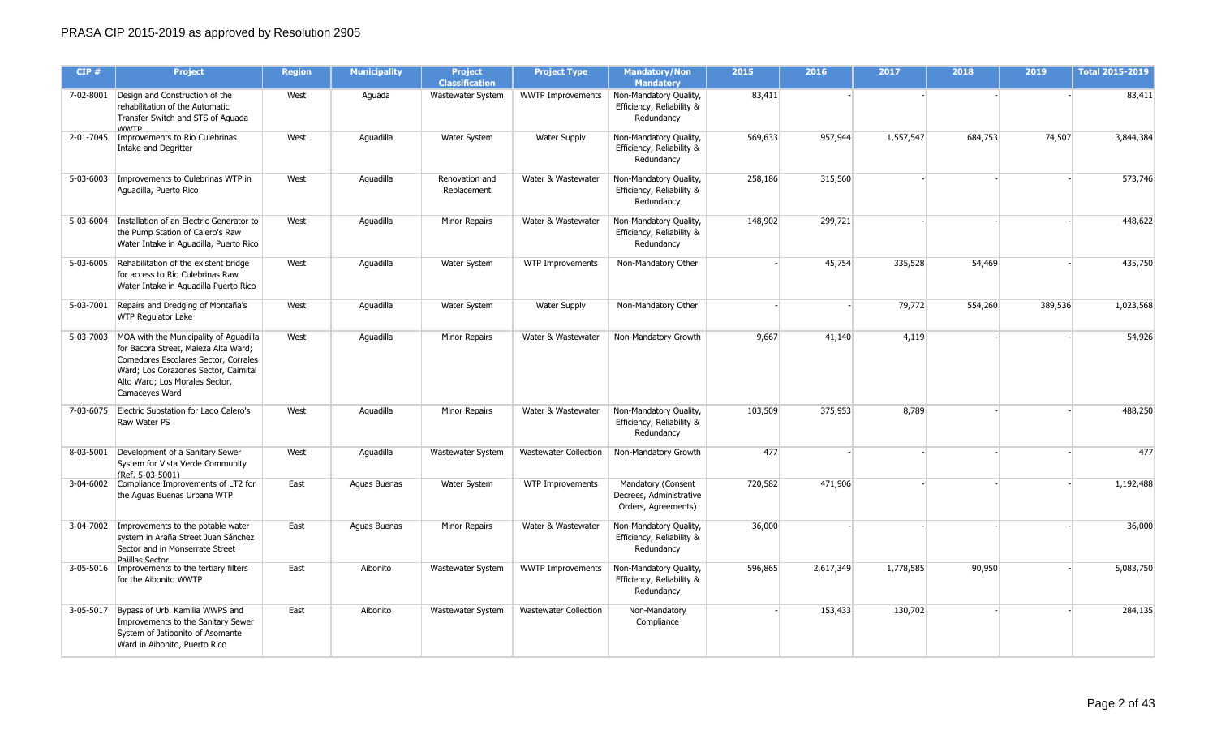| CIP#      | <b>Project</b>                                                                                                                                                                                                               | <b>Region</b> | <b>Municipality</b> | <b>Project</b><br><b>Classification</b> | <b>Project Type</b>          | <b>Mandatory/Non</b><br><b>Mandatory</b>                             | 2015    | 2016      | 2017      | 2018    | 2019    | <b>Total 2015-2019</b> |
|-----------|------------------------------------------------------------------------------------------------------------------------------------------------------------------------------------------------------------------------------|---------------|---------------------|-----------------------------------------|------------------------------|----------------------------------------------------------------------|---------|-----------|-----------|---------|---------|------------------------|
|           | 7-02-8001 Design and Construction of the<br>rehabilitation of the Automatic<br>Transfer Switch and STS of Aguada<br><b>WWTP</b>                                                                                              | West          | Aguada              | Wastewater System                       | <b>WWTP Improvements</b>     | Non-Mandatory Quality,<br>Efficiency, Reliability &<br>Redundancy    | 83,411  |           |           |         |         | 83,411                 |
|           | 2-01-7045   Improvements to Río Culebrinas<br><b>Intake and Degritter</b>                                                                                                                                                    | West          | Aguadilla           | Water System                            | <b>Water Supply</b>          | Non-Mandatory Quality,<br>Efficiency, Reliability &<br>Redundancy    | 569,633 | 957,944   | 1,557,547 | 684,753 | 74,507  | 3,844,384              |
| 5-03-6003 | Improvements to Culebrinas WTP in<br>Aguadilla, Puerto Rico                                                                                                                                                                  | West          | Aguadilla           | Renovation and<br>Replacement           | Water & Wastewater           | Non-Mandatory Quality,<br>Efficiency, Reliability &<br>Redundancy    | 258,186 | 315,560   |           |         |         | 573,746                |
|           | 5-03-6004 Installation of an Electric Generator to<br>the Pump Station of Calero's Raw<br>Water Intake in Aguadilla, Puerto Rico                                                                                             | West          | Aquadilla           | Minor Repairs                           | Water & Wastewater           | Non-Mandatory Quality,<br>Efficiency, Reliability &<br>Redundancy    | 148,902 | 299,721   |           |         |         | 448,622                |
|           | 5-03-6005 Rehabilitation of the existent bridge<br>for access to Río Culebrinas Raw<br>Water Intake in Aguadilla Puerto Rico                                                                                                 | West          | Aguadilla           | Water System                            | WTP Improvements             | Non-Mandatory Other                                                  |         | 45,754    | 335,528   | 54,469  |         | 435,750                |
| 5-03-7001 | Repairs and Dredging of Montaña's<br><b>WTP Regulator Lake</b>                                                                                                                                                               | West          | Aquadilla           | Water System                            | <b>Water Supply</b>          | Non-Mandatory Other                                                  |         |           | 79,772    | 554,260 | 389,536 | 1,023,568              |
|           | 5-03-7003 MOA with the Municipality of Aquadilla<br>for Bacora Street, Maleza Alta Ward;<br>Comedores Escolares Sector, Corrales<br>Ward; Los Corazones Sector, Caimital<br>Alto Ward; Los Morales Sector,<br>Camaceyes Ward | West          | Aquadilla           | Minor Repairs                           | Water & Wastewater           | Non-Mandatory Growth                                                 | 9,667   | 41,140    | 4,119     |         |         | 54,926                 |
|           | 7-03-6075 Electric Substation for Lago Calero's<br>Raw Water PS                                                                                                                                                              | West          | Aquadilla           | <b>Minor Repairs</b>                    | Water & Wastewater           | Non-Mandatory Quality,<br>Efficiency, Reliability &<br>Redundancy    | 103,509 | 375,953   | 8,789     |         |         | 488,250                |
|           | 8-03-5001 Development of a Sanitary Sewer<br>System for Vista Verde Community<br>(Ref. 5-03-5001)                                                                                                                            | West          | Aguadilla           | Wastewater System                       | <b>Wastewater Collection</b> | Non-Mandatory Growth                                                 | 477     |           |           |         |         | 477                    |
|           | 3-04-6002 Compliance Improvements of LT2 for<br>the Aguas Buenas Urbana WTP                                                                                                                                                  | East          | Aguas Buenas        | Water System                            | WTP Improvements             | Mandatory (Consent<br>Decrees, Administrative<br>Orders, Agreements) | 720,582 | 471,906   |           |         |         | 1,192,488              |
|           | 3-04-7002 Improvements to the potable water<br>system in Araña Street Juan Sánchez<br>Sector and in Monserrate Street<br>Paiillas Sector                                                                                     | East          | Aguas Buenas        | Minor Repairs                           | Water & Wastewater           | Non-Mandatory Quality,<br>Efficiency, Reliability &<br>Redundancy    | 36,000  |           |           |         |         | 36,000                 |
|           | 3-05-5016   Improvements to the tertiary filters<br>for the Aibonito WWTP                                                                                                                                                    | East          | Aibonito            | Wastewater System                       | <b>WWTP Improvements</b>     | Non-Mandatory Quality,<br>Efficiency, Reliability &<br>Redundancy    | 596,865 | 2,617,349 | 1,778,585 | 90,950  |         | 5,083,750              |
|           | 3-05-5017 Bypass of Urb. Kamilia WWPS and<br>Improvements to the Sanitary Sewer<br>System of Jatibonito of Asomante<br>Ward in Aibonito, Puerto Rico                                                                         | East          | Aibonito            | Wastewater System                       | <b>Wastewater Collection</b> | Non-Mandatory<br>Compliance                                          |         | 153,433   | 130,702   |         |         | 284,135                |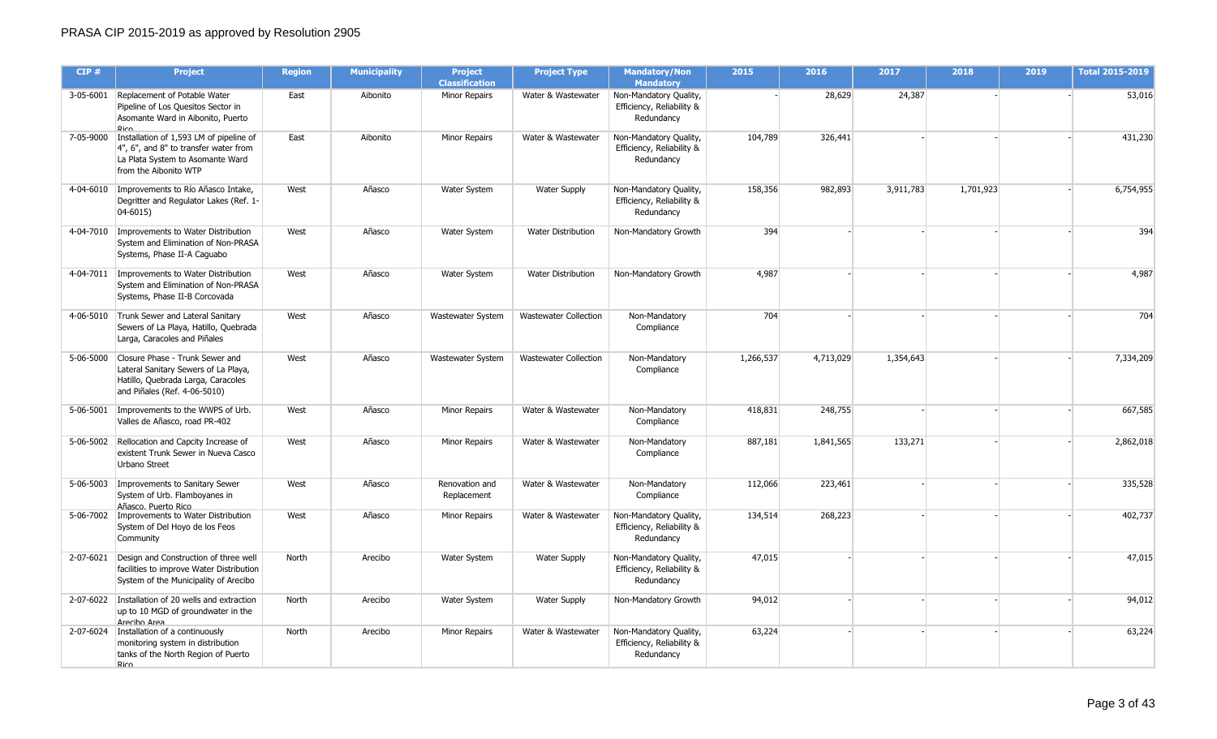| CIP#      | <b>Project</b>                                                                                                                                | <b>Region</b> | <b>Municipality</b> | <b>Project</b><br><b>Classification</b> | <b>Project Type</b>          | <b>Mandatory/Non</b><br><b>Mandatory</b>                          | 2015      | 2016      | 2017      | 2018      | 2019 | <b>Total 2015-2019</b> |
|-----------|-----------------------------------------------------------------------------------------------------------------------------------------------|---------------|---------------------|-----------------------------------------|------------------------------|-------------------------------------------------------------------|-----------|-----------|-----------|-----------|------|------------------------|
| 3-05-6001 | Replacement of Potable Water<br>Pipeline of Los Quesitos Sector in<br>Asomante Ward in Aibonito, Puerto<br>Rico                               | East          | Aibonito            | Minor Repairs                           | Water & Wastewater           | Non-Mandatory Quality,<br>Efficiency, Reliability &<br>Redundancy |           | 28,629    | 24,387    |           |      | 53,016                 |
| 7-05-9000 | Installation of 1,593 LM of pipeline of<br>4", 6", and 8" to transfer water from<br>La Plata System to Asomante Ward<br>from the Aibonito WTP | East          | Aibonito            | Minor Repairs                           | Water & Wastewater           | Non-Mandatory Quality,<br>Efficiency, Reliability &<br>Redundancy | 104,789   | 326,441   |           |           |      | 431,230                |
|           | 4-04-6010 Improvements to Río Añasco Intake,<br>Degritter and Regulator Lakes (Ref. 1-<br>$04 - 6015$                                         | West          | Añasco              | Water System                            | <b>Water Supply</b>          | Non-Mandatory Quality,<br>Efficiency, Reliability &<br>Redundancy | 158,356   | 982,893   | 3,911,783 | 1,701,923 |      | 6,754,955              |
|           | 4-04-7010   Improvements to Water Distribution<br>System and Elimination of Non-PRASA<br>Systems, Phase II-A Caguabo                          | West          | Añasco              | Water System                            | Water Distribution           | Non-Mandatory Growth                                              | 394       |           |           |           |      | 394                    |
|           | 4-04-7011   Improvements to Water Distribution<br>System and Elimination of Non-PRASA<br>Systems, Phase II-B Corcovada                        | West          | Añasco              | Water System                            | <b>Water Distribution</b>    | Non-Mandatory Growth                                              | 4,987     |           |           |           |      | 4,987                  |
|           | 4-06-5010 Trunk Sewer and Lateral Sanitary<br>Sewers of La Playa, Hatillo, Quebrada<br>Larga, Caracoles and Piñales                           | West          | Añasco              | Wastewater System                       | Wastewater Collection        | Non-Mandatory<br>Compliance                                       | 704       |           |           |           |      | 704                    |
| 5-06-5000 | Closure Phase - Trunk Sewer and<br>Lateral Sanitary Sewers of La Playa,<br>Hatillo, Quebrada Larga, Caracoles<br>and Piñales (Ref. 4-06-5010) | West          | Añasco              | Wastewater System                       | <b>Wastewater Collection</b> | Non-Mandatory<br>Compliance                                       | 1,266,537 | 4,713,029 | 1,354,643 |           |      | 7,334,209              |
| 5-06-5001 | Improvements to the WWPS of Urb.<br>Valles de Añasco, road PR-402                                                                             | West          | Añasco              | Minor Repairs                           | Water & Wastewater           | Non-Mandatory<br>Compliance                                       | 418,831   | 248,755   |           |           |      | 667,585                |
|           | 5-06-5002 Rellocation and Capcity Increase of<br>existent Trunk Sewer in Nueva Casco<br>Urbano Street                                         | West          | Añasco              | Minor Repairs                           | Water & Wastewater           | Non-Mandatory<br>Compliance                                       | 887,181   | 1,841,565 | 133,271   |           |      | 2,862,018              |
|           | 5-06-5003   Improvements to Sanitary Sewer<br>System of Urb. Flamboyanes in<br>Añasco. Puerto Rico                                            | West          | Añasco              | Renovation and<br>Replacement           | Water & Wastewater           | Non-Mandatory<br>Compliance                                       | 112,066   | 223,461   |           |           |      | 335,528                |
|           | 5-06-7002   Improvements to Water Distribution<br>System of Del Hoyo de los Feos<br>Community                                                 | West          | Añasco              | Minor Repairs                           | Water & Wastewater           | Non-Mandatory Quality,<br>Efficiency, Reliability &<br>Redundancy | 134,514   | 268,223   |           |           |      | 402,737                |
| 2-07-6021 | Design and Construction of three well<br>facilities to improve Water Distribution<br>System of the Municipality of Arecibo                    | North         | Arecibo             | Water System                            | <b>Water Supply</b>          | Non-Mandatory Quality,<br>Efficiency, Reliability &<br>Redundancy | 47,015    |           |           |           |      | 47,015                 |
|           | 2-07-6022 Installation of 20 wells and extraction<br>up to 10 MGD of groundwater in the<br>Areciho Area                                       | North         | Arecibo             | Water System                            | <b>Water Supply</b>          | Non-Mandatory Growth                                              | 94,012    |           |           |           |      | 94,012                 |
|           | 2-07-6024   Installation of a continuously<br>monitoring system in distribution<br>tanks of the North Region of Puerto<br>Rico                | North         | Arecibo             | Minor Repairs                           | Water & Wastewater           | Non-Mandatory Quality,<br>Efficiency, Reliability &<br>Redundancy | 63,224    |           |           |           |      | 63,224                 |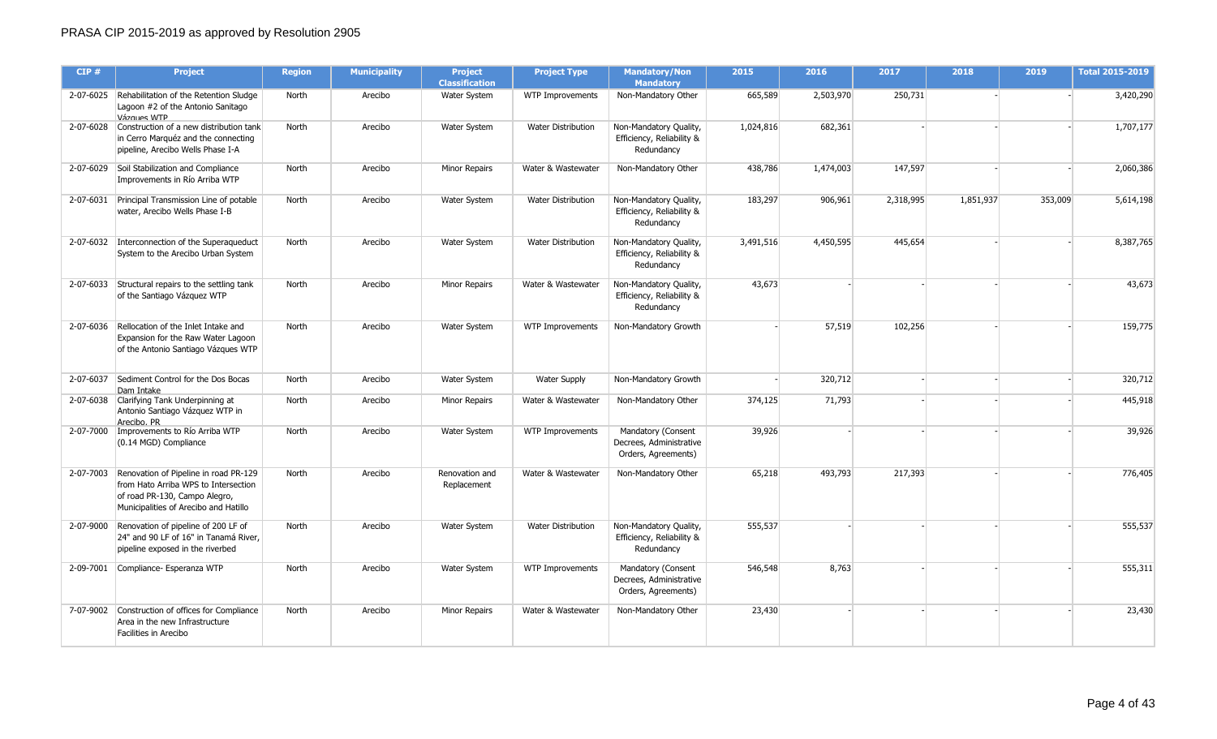| CIP#      | <b>Project</b>                                                                                                                                                    | <b>Region</b> | <b>Municipality</b> | <b>Project</b><br><b>Classification</b> | <b>Project Type</b>       | <b>Mandatory/Non</b><br><b>Mandatory</b>                             | 2015      | 2016      | 2017      | 2018      | 2019    | <b>Total 2015-2019</b> |
|-----------|-------------------------------------------------------------------------------------------------------------------------------------------------------------------|---------------|---------------------|-----------------------------------------|---------------------------|----------------------------------------------------------------------|-----------|-----------|-----------|-----------|---------|------------------------|
|           | 2-07-6025 Rehabilitation of the Retention Sludge<br>Lagoon #2 of the Antonio Sanitago<br>Vázques WTP                                                              | North         | Arecibo             | Water System                            | WTP Improvements          | Non-Mandatory Other                                                  | 665,589   | 2,503,970 | 250,731   |           |         | 3,420,290              |
|           | 2-07-6028 Construction of a new distribution tank<br>in Cerro Marquéz and the connecting<br>pipeline, Arecibo Wells Phase I-A                                     | North         | Arecibo             | Water System                            | <b>Water Distribution</b> | Non-Mandatory Quality,<br>Efficiency, Reliability &<br>Redundancy    | 1,024,816 | 682,361   |           |           |         | 1,707,177              |
|           | 2-07-6029 Soil Stabilization and Compliance<br>Improvements in Río Arriba WTP                                                                                     | North         | Arecibo             | <b>Minor Repairs</b>                    | Water & Wastewater        | Non-Mandatory Other                                                  | 438,786   | 1,474,003 | 147,597   |           |         | 2,060,386              |
|           | 2-07-6031 Principal Transmission Line of potable<br>water, Arecibo Wells Phase I-B                                                                                | North         | Arecibo             | Water System                            | <b>Water Distribution</b> | Non-Mandatory Quality,<br>Efficiency, Reliability &<br>Redundancy    | 183,297   | 906,961   | 2,318,995 | 1,851,937 | 353,009 | 5,614,198              |
|           | 2-07-6032 Interconnection of the Superaqueduct<br>System to the Arecibo Urban System                                                                              | North         | Arecibo             | Water System                            | <b>Water Distribution</b> | Non-Mandatory Quality,<br>Efficiency, Reliability &<br>Redundancy    | 3,491,516 | 4,450,595 | 445,654   |           |         | 8,387,765              |
|           | 2-07-6033 Structural repairs to the settling tank<br>of the Santiago Vázquez WTP                                                                                  | North         | Arecibo             | <b>Minor Repairs</b>                    | Water & Wastewater        | Non-Mandatory Quality,<br>Efficiency, Reliability &<br>Redundancy    | 43,673    |           |           |           |         | 43,673                 |
|           | 2-07-6036 Rellocation of the Inlet Intake and<br>Expansion for the Raw Water Lagoon<br>of the Antonio Santiago Vázques WTP                                        | North         | Arecibo             | <b>Water System</b>                     | WTP Improvements          | Non-Mandatory Growth                                                 |           | 57,519    | 102,256   |           |         | 159,775                |
| 2-07-6037 | Sediment Control for the Dos Bocas<br>Dam Intake                                                                                                                  | North         | Arecibo             | Water System                            | <b>Water Supply</b>       | Non-Mandatory Growth                                                 |           | 320,712   |           |           |         | 320,712                |
|           | 2-07-6038 Clarifying Tank Underpinning at<br>Antonio Santiago Vázquez WTP in<br>Areciho. PR                                                                       | North         | Arecibo             | <b>Minor Repairs</b>                    | Water & Wastewater        | Non-Mandatory Other                                                  | 374,125   | 71,793    |           |           |         | 445,918                |
|           | 2-07-7000 Improvements to Río Arriba WTP<br>(0.14 MGD) Compliance                                                                                                 | North         | Arecibo             | Water System                            | WTP Improvements          | Mandatory (Consent<br>Decrees, Administrative<br>Orders, Agreements) | 39,926    |           |           |           |         | 39,926                 |
|           | 2-07-7003 Renovation of Pipeline in road PR-129<br>from Hato Arriba WPS to Intersection<br>of road PR-130, Campo Alegro,<br>Municipalities of Arecibo and Hatillo | North         | Arecibo             | Renovation and<br>Replacement           | Water & Wastewater        | Non-Mandatory Other                                                  | 65,218    | 493,793   | 217,393   |           |         | 776,405                |
|           | 2-07-9000 Renovation of pipeline of 200 LF of<br>24" and 90 LF of 16" in Tanamá River,<br>pipeline exposed in the riverbed                                        | North         | Arecibo             | <b>Water System</b>                     | <b>Water Distribution</b> | Non-Mandatory Quality,<br>Efficiency, Reliability &<br>Redundancy    | 555,537   |           |           |           |         | 555,537                |
|           | 2-09-7001 Compliance- Esperanza WTP                                                                                                                               | North         | Arecibo             | Water System                            | WTP Improvements          | Mandatory (Consent<br>Decrees, Administrative<br>Orders, Agreements) | 546,548   | 8,763     |           |           |         | 555,311                |
|           | 7-07-9002 Construction of offices for Compliance<br>Area in the new Infrastructure<br>Facilities in Arecibo                                                       | North         | Arecibo             | <b>Minor Repairs</b>                    | Water & Wastewater        | Non-Mandatory Other                                                  | 23,430    |           |           |           |         | 23,430                 |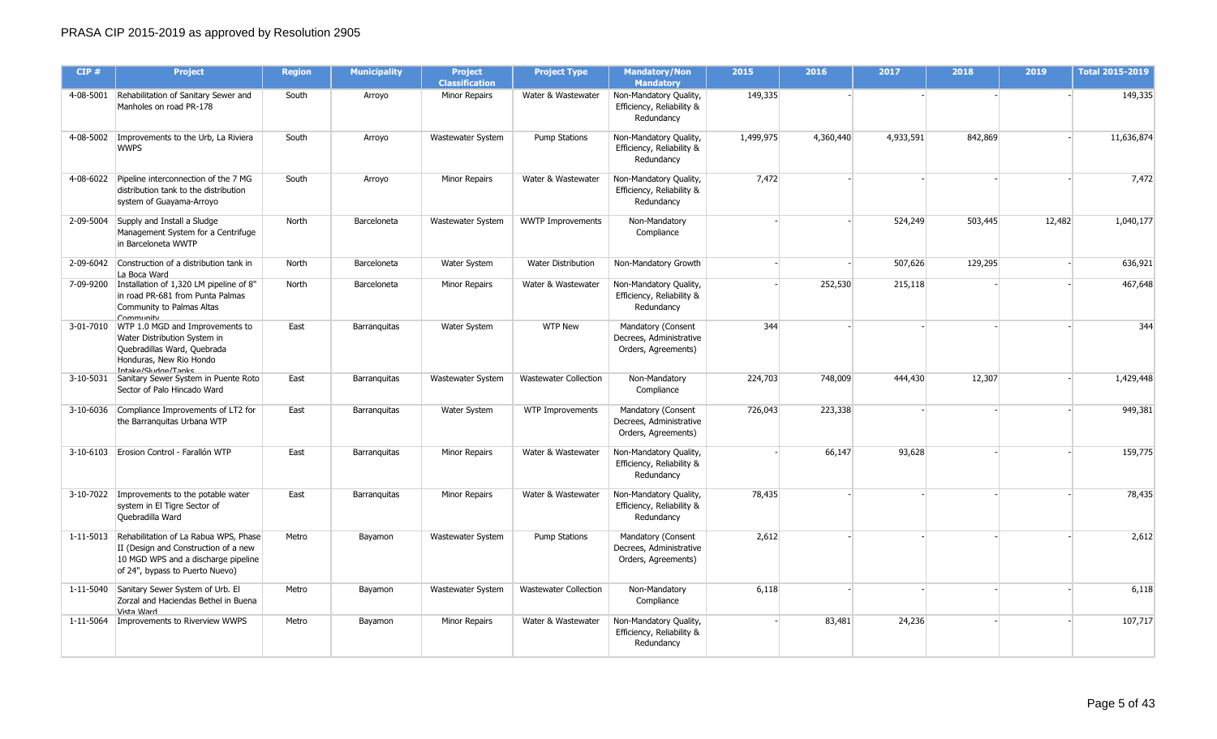| CIP#      | <b>Project</b>                                                                                                                                                    | <b>Region</b> | <b>Municipality</b> | <b>Project</b><br><b>Classification</b> | <b>Project Type</b>          | <b>Mandatory/Non</b><br><b>Mandatory</b>                             | 2015      | 2016      | 2017      | 2018    | 2019   | <b>Total 2015-2019</b> |
|-----------|-------------------------------------------------------------------------------------------------------------------------------------------------------------------|---------------|---------------------|-----------------------------------------|------------------------------|----------------------------------------------------------------------|-----------|-----------|-----------|---------|--------|------------------------|
|           | 4-08-5001 Rehabilitation of Sanitary Sewer and<br>Manholes on road PR-178                                                                                         | South         | Arroyo              | Minor Repairs                           | Water & Wastewater           | Non-Mandatory Quality,<br>Efficiency, Reliability &<br>Redundancy    | 149,335   |           |           |         |        | 149,335                |
|           | 4-08-5002   Improvements to the Urb, La Riviera<br><b>WWPS</b>                                                                                                    | South         | Arroyo              | Wastewater System                       | <b>Pump Stations</b>         | Non-Mandatory Quality,<br>Efficiency, Reliability &<br>Redundancy    | 1,499,975 | 4,360,440 | 4,933,591 | 842,869 |        | 11,636,874             |
|           | 4-08-6022 Pipeline interconnection of the 7 MG<br>distribution tank to the distribution<br>system of Guayama-Arroyo                                               | South         | Arroyo              | Minor Repairs                           | Water & Wastewater           | Non-Mandatory Quality,<br>Efficiency, Reliability &<br>Redundancy    | 7,472     |           |           |         |        | 7,472                  |
| 2-09-5004 | Supply and Install a Sludge<br>Management System for a Centrifuge<br>in Barceloneta WWTP                                                                          | North         | Barceloneta         | Wastewater System                       | <b>WWTP Improvements</b>     | Non-Mandatory<br>Compliance                                          |           |           | 524,249   | 503,445 | 12,482 | 1,040,177              |
|           | 2-09-6042 Construction of a distribution tank in<br>La Boca Ward                                                                                                  | North         | Barceloneta         | Water System                            | <b>Water Distribution</b>    | Non-Mandatory Growth                                                 |           |           | 507,626   | 129,295 |        | 636,921                |
| 7-09-9200 | Installation of 1,320 LM pipeline of 8"<br>in road PR-681 from Punta Palmas<br>Community to Palmas Altas<br>Community                                             | North         | Barceloneta         | Minor Repairs                           | Water & Wastewater           | Non-Mandatory Quality,<br>Efficiency, Reliability &<br>Redundancy    |           | 252,530   | 215,118   |         |        | 467,648                |
|           | 3-01-7010 WTP 1.0 MGD and Improvements to<br>Water Distribution System in<br>Quebradillas Ward, Quebrada<br>Honduras, New Rio Hondo<br>Intaka/Cludna/Tanke        | East          | Barranguitas        | Water System                            | <b>WTP New</b>               | Mandatory (Consent<br>Decrees, Administrative<br>Orders, Agreements) | 344       |           |           |         |        | 344                    |
| 3-10-5031 | Sanitary Sewer System in Puente Roto<br>Sector of Palo Hincado Ward                                                                                               | East          | Barranquitas        | Wastewater System                       | <b>Wastewater Collection</b> | Non-Mandatory<br>Compliance                                          | 224,703   | 748,009   | 444,430   | 12,307  |        | 1,429,448              |
|           | 3-10-6036 Compliance Improvements of LT2 for<br>the Barranquitas Urbana WTP                                                                                       | East          | Barranquitas        | Water System                            | WTP Improvements             | Mandatory (Consent<br>Decrees, Administrative<br>Orders, Agreements) | 726,043   | 223,338   |           |         |        | 949,381                |
|           | 3-10-6103 Erosion Control - Farallón WTP                                                                                                                          | East          | Barranguitas        | Minor Repairs                           | Water & Wastewater           | Non-Mandatory Quality,<br>Efficiency, Reliability &<br>Redundancy    |           | 66,147    | 93,628    |         |        | 159,775                |
|           | 3-10-7022 Improvements to the potable water<br>system in El Tigre Sector of<br>Quebradilla Ward                                                                   | East          | <b>Barranguitas</b> | Minor Repairs                           | Water & Wastewater           | Non-Mandatory Quality,<br>Efficiency, Reliability &<br>Redundancy    | 78,435    |           |           |         |        | 78,435                 |
|           | 1-11-5013 Rehabilitation of La Rabua WPS, Phase<br>II (Design and Construction of a new<br>10 MGD WPS and a discharge pipeline<br>of 24", bypass to Puerto Nuevo) | Metro         | Bayamon             | Wastewater System                       | <b>Pump Stations</b>         | Mandatory (Consent<br>Decrees, Administrative<br>Orders, Agreements) | 2,612     |           |           |         |        | 2,612                  |
|           | 1-11-5040 Sanitary Sewer System of Urb. El<br>Zorzal and Haciendas Bethel in Buena<br>Vista Ward                                                                  | Metro         | Bayamon             | Wastewater System                       | <b>Wastewater Collection</b> | Non-Mandatory<br>Compliance                                          | 6,118     |           |           |         |        | 6,118                  |
|           | 1-11-5064   Improvements to Riverview WWPS                                                                                                                        | Metro         | Bayamon             | Minor Repairs                           | Water & Wastewater           | Non-Mandatory Quality,<br>Efficiency, Reliability &<br>Redundancy    |           | 83,481    | 24,236    |         |        | 107,717                |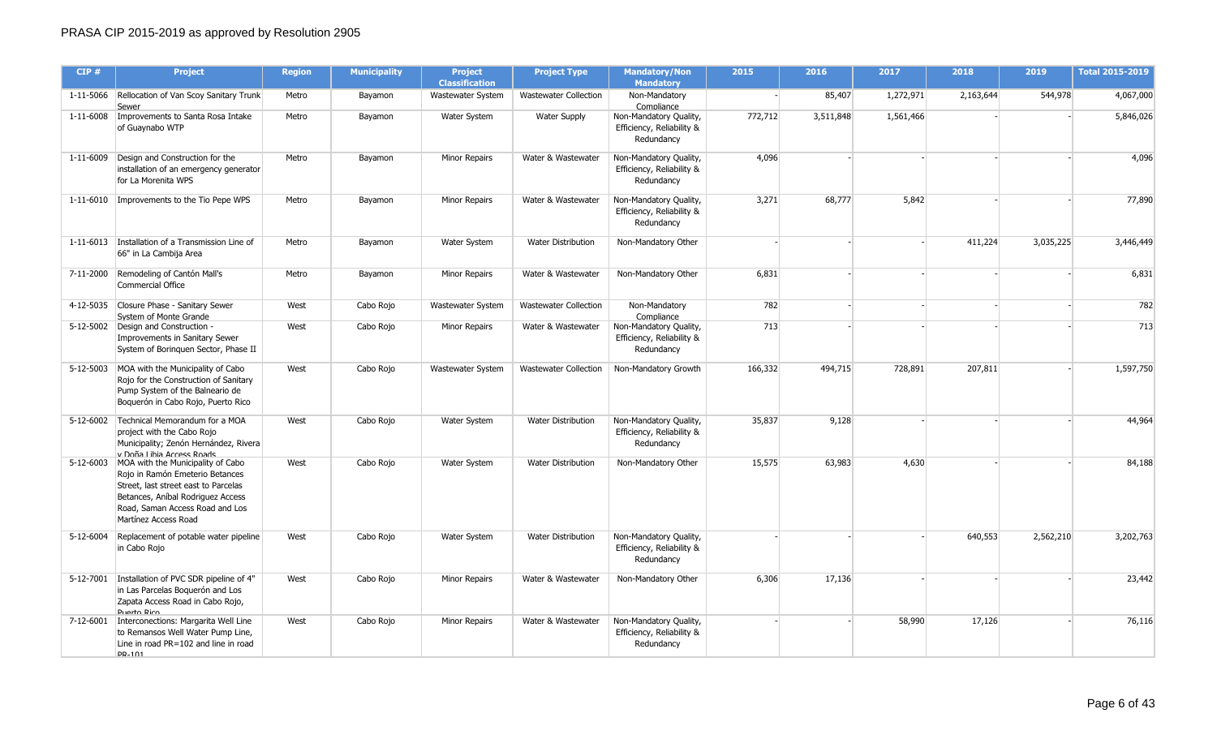| CIP#      | <b>Project</b>                                                                                                                                                                                                         | <b>Region</b> | <b>Municipality</b> | <b>Project</b><br><b>Classification</b> | <b>Project Type</b>          | <b>Mandatory/Non</b><br><b>Mandatory</b>                                        | 2015    | 2016      | 2017      | 2018      | 2019      | <b>Total 2015-2019</b> |
|-----------|------------------------------------------------------------------------------------------------------------------------------------------------------------------------------------------------------------------------|---------------|---------------------|-----------------------------------------|------------------------------|---------------------------------------------------------------------------------|---------|-----------|-----------|-----------|-----------|------------------------|
| 1-11-5066 | Rellocation of Van Scoy Sanitary Trunk<br>Sewer                                                                                                                                                                        | Metro         | Bayamon             | Wastewater System                       | <b>Wastewater Collection</b> | Non-Mandatory<br>Compliance                                                     |         | 85,407    | 1,272,971 | 2,163,644 | 544,978   | 4,067,000              |
|           | 1-11-6008   Improvements to Santa Rosa Intake<br>of Guaynabo WTP                                                                                                                                                       | Metro         | Bayamon             | Water System                            | <b>Water Supply</b>          | Non-Mandatory Quality,<br>Efficiency, Reliability &<br>Redundancy               | 772,712 | 3,511,848 | 1,561,466 |           |           | 5,846,026              |
| 1-11-6009 | Design and Construction for the<br>installation of an emergency generator<br>for La Morenita WPS                                                                                                                       | Metro         | Bayamon             | <b>Minor Repairs</b>                    | Water & Wastewater           | Non-Mandatory Quality,<br>Efficiency, Reliability &<br>Redundancy               | 4,096   |           |           |           |           | 4,096                  |
|           | 1-11-6010   Improvements to the Tio Pepe WPS                                                                                                                                                                           | Metro         | Bayamon             | Minor Repairs                           | Water & Wastewater           | Non-Mandatory Quality,<br>Efficiency, Reliability &<br>Redundancy               | 3,271   | 68,777    | 5,842     |           |           | 77,890                 |
|           | 1-11-6013   Installation of a Transmission Line of<br>66" in La Cambija Area                                                                                                                                           | Metro         | Bayamon             | Water System                            | <b>Water Distribution</b>    | Non-Mandatory Other                                                             |         |           |           | 411,224   | 3,035,225 | 3,446,449              |
|           | 7-11-2000 Remodeling of Cantón Mall's<br>Commercial Office                                                                                                                                                             | Metro         | Bayamon             | Minor Repairs                           | Water & Wastewater           | Non-Mandatory Other                                                             | 6,831   |           |           |           |           | 6,831                  |
| 4-12-5035 | Closure Phase - Sanitary Sewer<br>System of Monte Grande                                                                                                                                                               | West          | Cabo Rojo           | Wastewater System                       | <b>Wastewater Collection</b> | Non-Mandatory                                                                   | 782     |           |           |           |           | 782                    |
| 5-12-5002 | Design and Construction -<br>Improvements in Sanitary Sewer<br>System of Boringuen Sector, Phase II                                                                                                                    | West          | Cabo Rojo           | <b>Minor Repairs</b>                    | Water & Wastewater           | Compliance<br>Non-Mandatory Quality,<br>Efficiency, Reliability &<br>Redundancy | 713     |           |           |           |           | 713                    |
|           | 5-12-5003 MOA with the Municipality of Cabo<br>Rojo for the Construction of Sanitary<br>Pump System of the Balneario de<br>Boquerón in Cabo Rojo, Puerto Rico                                                          | West          | Cabo Rojo           | <b>Wastewater System</b>                | <b>Wastewater Collection</b> | Non-Mandatory Growth                                                            | 166,332 | 494,715   | 728,891   | 207,811   |           | 1,597,750              |
|           | 5-12-6002 Technical Memorandum for a MOA<br>project with the Cabo Rojo<br>Municipality; Zenón Hernández, Rivera<br>v Doña Lihia Access Roads                                                                           | West          | Cabo Rojo           | Water System                            | Water Distribution           | Non-Mandatory Quality,<br>Efficiency, Reliability &<br>Redundancy               | 35,837  | 9,128     |           |           |           | 44,964                 |
|           | 5-12-6003 MOA with the Municipality of Cabo<br>Rojo in Ramón Emeterio Betances<br>Street, last street east to Parcelas<br>Betances, Aníbal Rodriguez Access<br>Road, Saman Access Road and Los<br>Martínez Access Road | West          | Cabo Rojo           | Water System                            | <b>Water Distribution</b>    | Non-Mandatory Other                                                             | 15,575  | 63,983    | 4,630     |           |           | 84,188                 |
| 5-12-6004 | Replacement of potable water pipeline<br>in Cabo Rojo                                                                                                                                                                  | West          | Cabo Rojo           | Water System                            | <b>Water Distribution</b>    | Non-Mandatory Quality,<br>Efficiency, Reliability &<br>Redundancy               |         |           |           | 640,553   | 2,562,210 | 3,202,763              |
| 5-12-7001 | Installation of PVC SDR pipeline of 4"<br>in Las Parcelas Boquerón and Los<br>Zapata Access Road in Cabo Rojo,<br><b>Puerto Rico</b>                                                                                   | West          | Cabo Rojo           | Minor Repairs                           | Water & Wastewater           | Non-Mandatory Other                                                             | 6,306   | 17,136    |           |           |           | 23,442                 |
|           | 7-12-6001 Interconections: Margarita Well Line<br>to Remansos Well Water Pump Line,<br>Line in road PR=102 and line in road<br>PR-101                                                                                  | West          | Cabo Rojo           | <b>Minor Repairs</b>                    | Water & Wastewater           | Non-Mandatory Quality,<br>Efficiency, Reliability &<br>Redundancy               |         |           | 58,990    | 17,126    |           | 76,116                 |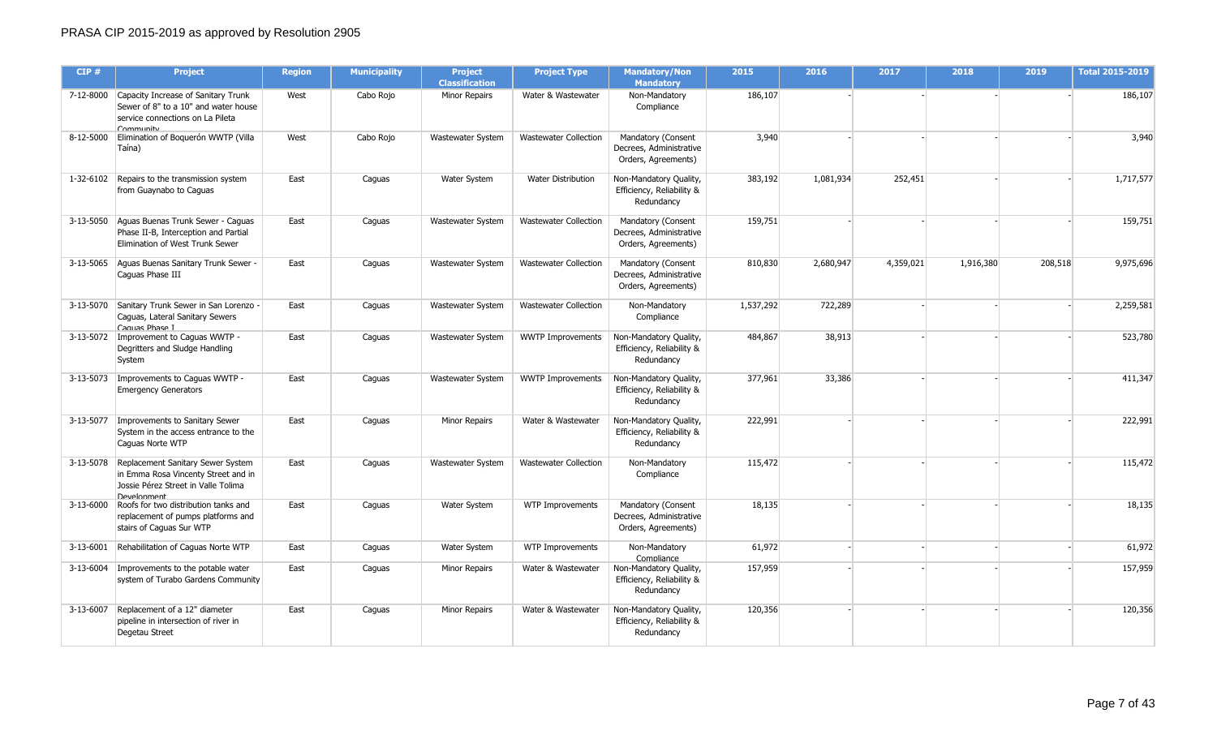| CIP#      | <b>Project</b>                                                                                                                                  | <b>Region</b> | <b>Municipality</b> | <b>Project</b><br><b>Classification</b> | <b>Project Type</b>          | <b>Mandatory/Non</b><br><b>Mandatory</b>                             | 2015      | 2016      | 2017      | 2018      | 2019    | <b>Total 2015-2019</b> |
|-----------|-------------------------------------------------------------------------------------------------------------------------------------------------|---------------|---------------------|-----------------------------------------|------------------------------|----------------------------------------------------------------------|-----------|-----------|-----------|-----------|---------|------------------------|
|           | 7-12-8000 Capacity Increase of Sanitary Trunk<br>Sewer of 8" to a 10" and water house<br>service connections on La Pileta<br>Community          | West          | Cabo Rojo           | <b>Minor Repairs</b>                    | Water & Wastewater           | Non-Mandatory<br>Compliance                                          | 186,107   |           |           |           |         | 186,107                |
|           | 8-12-5000 Elimination of Boquerón WWTP (Villa<br>Taína)                                                                                         | West          | Cabo Rojo           | Wastewater System                       | <b>Wastewater Collection</b> | Mandatory (Consent<br>Decrees, Administrative<br>Orders, Agreements) | 3,940     |           |           |           |         | 3,940                  |
|           | 1-32-6102 Repairs to the transmission system<br>from Guaynabo to Caguas                                                                         | East          | Caguas              | Water System                            | Water Distribution           | Non-Mandatory Quality,<br>Efficiency, Reliability &<br>Redundancy    | 383,192   | 1,081,934 | 252,451   |           |         | 1,717,577              |
|           | 3-13-5050 Aguas Buenas Trunk Sewer - Caguas<br>Phase II-B, Interception and Partial<br>Elimination of West Trunk Sewer                          | East          | Caguas              | Wastewater System                       | <b>Wastewater Collection</b> | Mandatory (Consent<br>Decrees, Administrative<br>Orders, Agreements) | 159,751   |           |           |           |         | 159,751                |
|           | 3-13-5065 Aguas Buenas Sanitary Trunk Sewer -<br>Caquas Phase III                                                                               | East          | Caguas              | Wastewater System                       | <b>Wastewater Collection</b> | Mandatory (Consent<br>Decrees, Administrative<br>Orders, Agreements) | 810,830   | 2,680,947 | 4,359,021 | 1,916,380 | 208,518 | 9,975,696              |
|           | 3-13-5070 Sanitary Trunk Sewer in San Lorenzo -<br>Caguas, Lateral Sanitary Sewers<br>Caguas Phase I                                            | East          | Caguas              | Wastewater System                       | <b>Wastewater Collection</b> | Non-Mandatory<br>Compliance                                          | 1,537,292 | 722,289   |           |           |         | 2,259,581              |
|           | 3-13-5072   Improvement to Caguas WWTP -<br>Degritters and Sludge Handling<br>System                                                            | East          | Caguas              | Wastewater System                       | <b>WWTP Improvements</b>     | Non-Mandatory Quality,<br>Efficiency, Reliability &<br>Redundancy    | 484,867   | 38,913    |           |           |         | 523,780                |
| 3-13-5073 | Improvements to Caguas WWTP -<br><b>Emergency Generators</b>                                                                                    | East          | Caguas              | Wastewater System                       | <b>WWTP Improvements</b>     | Non-Mandatory Quality,<br>Efficiency, Reliability &<br>Redundancy    | 377,961   | 33,386    |           |           |         | 411,347                |
|           | 3-13-5077   Improvements to Sanitary Sewer<br>System in the access entrance to the<br>Caquas Norte WTP                                          | East          | Caguas              | <b>Minor Repairs</b>                    | Water & Wastewater           | Non-Mandatory Quality,<br>Efficiency, Reliability &<br>Redundancy    | 222,991   |           |           |           |         | 222,991                |
|           | 3-13-5078 Replacement Sanitary Sewer System<br>in Emma Rosa Vincenty Street and in<br>Jossie Pérez Street in Valle Tolima<br><b>Develonment</b> | East          | Caguas              | Wastewater System                       | <b>Wastewater Collection</b> | Non-Mandatory<br>Compliance                                          | 115,472   |           |           |           |         | 115,472                |
|           | 3-13-6000 Roofs for two distribution tanks and<br>replacement of pumps platforms and<br>stairs of Caguas Sur WTP                                | East          | Caguas              | Water System                            | WTP Improvements             | Mandatory (Consent<br>Decrees, Administrative<br>Orders, Agreements) | 18,135    |           |           |           |         | 18,135                 |
| 3-13-6001 | Rehabilitation of Caguas Norte WTP                                                                                                              | East          | Caguas              | Water System                            | <b>WTP Improvements</b>      | Non-Mandatory<br>Compliance                                          | 61,972    |           |           |           |         | 61,972                 |
| 3-13-6004 | Improvements to the potable water<br>system of Turabo Gardens Community                                                                         | East          | Caguas              | Minor Repairs                           | Water & Wastewater           | Non-Mandatory Quality,<br>Efficiency, Reliability &<br>Redundancy    | 157,959   |           |           |           |         | 157,959                |
|           | 3-13-6007 Replacement of a 12" diameter<br>pipeline in intersection of river in<br>Degetau Street                                               | East          | Caguas              | <b>Minor Repairs</b>                    | Water & Wastewater           | Non-Mandatory Quality,<br>Efficiency, Reliability &<br>Redundancy    | 120,356   |           |           |           |         | 120,356                |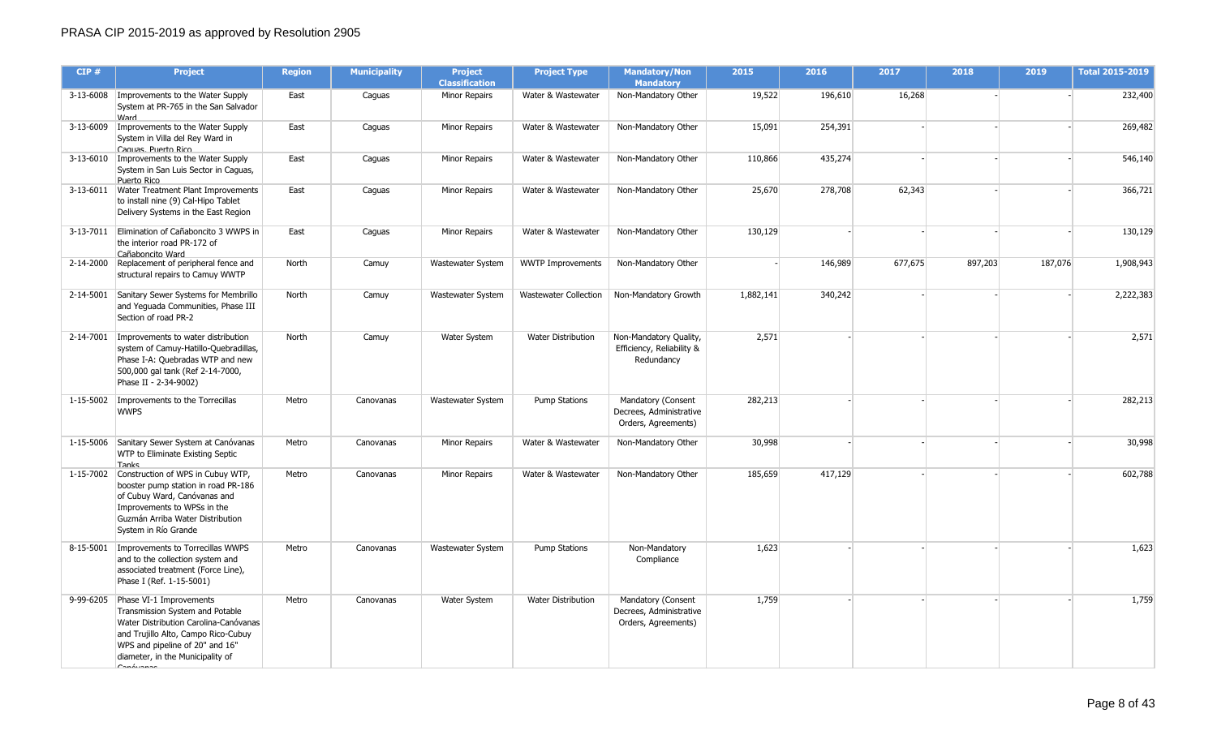| CIP#      | <b>Project</b>                                                                                                                                                                                                                              | <b>Region</b> | <b>Municipality</b> | <b>Project</b><br><b>Classification</b> | <b>Project Type</b>       | <b>Mandatory/Non</b><br><b>Mandatory</b>                             | 2015      | 2016    | 2017    | 2018    | 2019    | <b>Total 2015-2019</b> |
|-----------|---------------------------------------------------------------------------------------------------------------------------------------------------------------------------------------------------------------------------------------------|---------------|---------------------|-----------------------------------------|---------------------------|----------------------------------------------------------------------|-----------|---------|---------|---------|---------|------------------------|
| 3-13-6008 | Improvements to the Water Supply<br>System at PR-765 in the San Salvador<br>Ward                                                                                                                                                            | East          | Caguas              | Minor Repairs                           | Water & Wastewater        | Non-Mandatory Other                                                  | 19,522    | 196,610 | 16,268  |         |         | 232,400                |
|           | 3-13-6009   Improvements to the Water Supply<br>System in Villa del Rey Ward in<br>Caguas, Puerto Rico                                                                                                                                      | East          | Caguas              | <b>Minor Repairs</b>                    | Water & Wastewater        | Non-Mandatory Other                                                  | 15,091    | 254,391 |         |         |         | 269,482                |
|           | 3-13-6010   Improvements to the Water Supply<br>System in San Luis Sector in Caguas,<br>Puerto Rico                                                                                                                                         | East          | Caguas              | Minor Repairs                           | Water & Wastewater        | Non-Mandatory Other                                                  | 110,866   | 435,274 |         |         |         | 546,140                |
|           | 3-13-6011   Water Treatment Plant Improvements<br>to install nine (9) Cal-Hipo Tablet<br>Delivery Systems in the East Region                                                                                                                | East          | Caguas              | Minor Repairs                           | Water & Wastewater        | Non-Mandatory Other                                                  | 25,670    | 278,708 | 62,343  |         |         | 366,721                |
|           | 3-13-7011 Elimination of Cañaboncito 3 WWPS in<br>the interior road PR-172 of<br>Cañaboncito Ward                                                                                                                                           | East          | Caguas              | Minor Repairs                           | Water & Wastewater        | Non-Mandatory Other                                                  | 130,129   |         |         |         |         | 130,129                |
|           | 2-14-2000 Replacement of peripheral fence and<br>structural repairs to Camuy WWTP                                                                                                                                                           | North         | Camuy               | Wastewater System                       | <b>WWTP Improvements</b>  | Non-Mandatory Other                                                  |           | 146,989 | 677,675 | 897,203 | 187,076 | 1,908,943              |
|           | 2-14-5001 Sanitary Sewer Systems for Membrillo<br>and Yeguada Communities, Phase III<br>Section of road PR-2                                                                                                                                | North         | Camuy               | Wastewater System                       | Wastewater Collection     | Non-Mandatory Growth                                                 | 1,882,141 | 340,242 |         |         |         | 2,222,383              |
|           | 2-14-7001   Improvements to water distribution<br>system of Camuy-Hatillo-Quebradillas,<br>Phase I-A: Quebradas WTP and new<br>500,000 gal tank (Ref 2-14-7000,<br>Phase II - 2-34-9002)                                                    | North         | Camuy               | <b>Water System</b>                     | <b>Water Distribution</b> | Non-Mandatory Quality,<br>Efficiency, Reliability &<br>Redundancy    | 2,571     |         |         |         |         | 2,571                  |
|           | 1-15-5002   Improvements to the Torrecillas<br><b>WWPS</b>                                                                                                                                                                                  | Metro         | Canovanas           | Wastewater System                       | <b>Pump Stations</b>      | Mandatory (Consent<br>Decrees, Administrative<br>Orders, Agreements) | 282,213   |         |         |         |         | 282,213                |
|           | 1-15-5006 Sanitary Sewer System at Canóvanas<br>WTP to Eliminate Existing Septic<br>Tanks                                                                                                                                                   | Metro         | Canovanas           | Minor Repairs                           | Water & Wastewater        | Non-Mandatory Other                                                  | 30,998    |         |         |         |         | 30,998                 |
|           | 1-15-7002 Construction of WPS in Cubuy WTP,<br>booster pump station in road PR-186<br>of Cubuy Ward, Canóvanas and<br>Improvements to WPSs in the<br>Guzmán Arriba Water Distribution<br>System in Río Grande                               | Metro         | Canovanas           | Minor Repairs                           | Water & Wastewater        | Non-Mandatory Other                                                  | 185,659   | 417,129 |         |         |         | 602,788                |
|           | 8-15-5001   Improvements to Torrecillas WWPS<br>and to the collection system and<br>associated treatment (Force Line),<br>Phase I (Ref. 1-15-5001)                                                                                          | Metro         | Canovanas           | Wastewater System                       | <b>Pump Stations</b>      | Non-Mandatory<br>Compliance                                          | 1,623     |         |         |         |         | 1,623                  |
|           | 9-99-6205 Phase VI-1 Improvements<br>Transmission System and Potable<br>Water Distribution Carolina-Canóvanas<br>and Trujillo Alto, Campo Rico-Cubuy<br>WPS and pipeline of 20" and 16"<br>diameter, in the Municipality of<br>$C$ anáimnea | Metro         | Canovanas           | <b>Water System</b>                     | Water Distribution        | Mandatory (Consent<br>Decrees, Administrative<br>Orders, Agreements) | 1,759     |         |         |         |         | 1,759                  |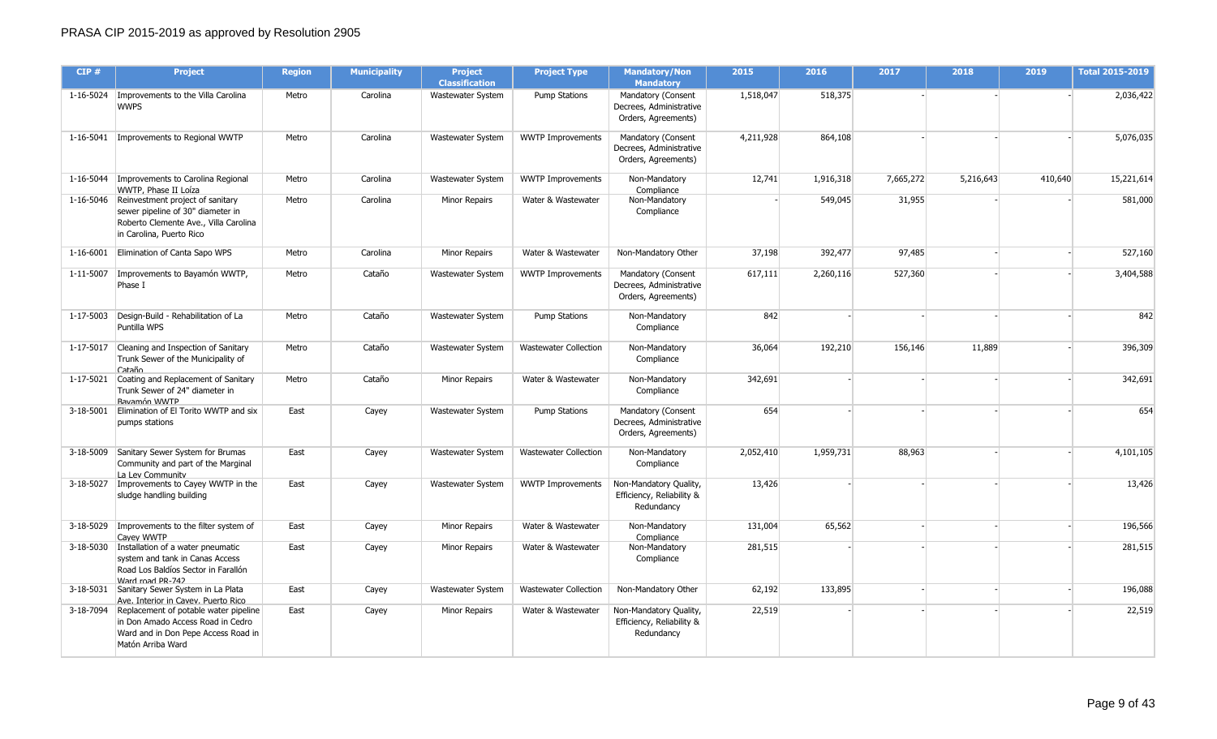| CIP#      | <b>Project</b>                                                                                                                                       | <b>Region</b> | <b>Municipality</b> | <b>Project</b><br><b>Classification</b> | <b>Project Type</b>          | <b>Mandatory/Non</b><br><b>Mandatory</b>                             | 2015      | 2016      | 2017      | 2018      | 2019    | <b>Total 2015-2019</b> |
|-----------|------------------------------------------------------------------------------------------------------------------------------------------------------|---------------|---------------------|-----------------------------------------|------------------------------|----------------------------------------------------------------------|-----------|-----------|-----------|-----------|---------|------------------------|
|           | 1-16-5024   Improvements to the Villa Carolina<br><b>WWPS</b>                                                                                        | Metro         | Carolina            | Wastewater System                       | Pump Stations                | Mandatory (Consent<br>Decrees, Administrative<br>Orders, Agreements) | 1,518,047 | 518,375   |           |           |         | 2,036,422              |
|           | 1-16-5041 Improvements to Regional WWTP                                                                                                              | Metro         | Carolina            | Wastewater System                       | <b>WWTP Improvements</b>     | Mandatory (Consent<br>Decrees, Administrative<br>Orders, Agreements) | 4,211,928 | 864,108   |           |           |         | 5,076,035              |
| 1-16-5044 | Improvements to Carolina Regional<br>WWTP, Phase II Loíza                                                                                            | Metro         | Carolina            | Wastewater System                       | <b>WWTP Improvements</b>     | Non-Mandatory<br>Compliance                                          | 12,741    | 1,916,318 | 7,665,272 | 5,216,643 | 410,640 | 15,221,614             |
|           | 1-16-5046 Reinvestment project of sanitary<br>sewer pipeline of 30" diameter in<br>Roberto Clemente Ave., Villa Carolina<br>in Carolina, Puerto Rico | Metro         | Carolina            | Minor Repairs                           | Water & Wastewater           | Non-Mandatory<br>Compliance                                          |           | 549,045   | 31,955    |           |         | 581,000                |
| 1-16-6001 | Elimination of Canta Sapo WPS                                                                                                                        | Metro         | Carolina            | Minor Repairs                           | Water & Wastewater           | Non-Mandatory Other                                                  | 37,198    | 392,477   | 97,485    |           |         | 527,160                |
|           | 1-11-5007   Improvements to Bayamón WWTP,<br>Phase I                                                                                                 | Metro         | Cataño              | Wastewater System                       | <b>WWTP Improvements</b>     | Mandatory (Consent<br>Decrees, Administrative<br>Orders, Agreements) | 617,111   | 2,260,116 | 527,360   |           |         | 3,404,588              |
| 1-17-5003 | Design-Build - Rehabilitation of La<br>Puntilla WPS                                                                                                  | Metro         | Cataño              | Wastewater System                       | <b>Pump Stations</b>         | Non-Mandatory<br>Compliance                                          | 842       |           |           |           |         | 842                    |
|           | 1-17-5017 Cleaning and Inspection of Sanitary<br>Trunk Sewer of the Municipality of<br>Cataño                                                        | Metro         | Cataño              | Wastewater System                       | <b>Wastewater Collection</b> | Non-Mandatory<br>Compliance                                          | 36,064    | 192,210   | 156,146   | 11,889    |         | 396,309                |
| 1-17-5021 | Coating and Replacement of Sanitary<br>Trunk Sewer of 24" diameter in<br>Bavamón WWTP                                                                | Metro         | Cataño              | Minor Repairs                           | Water & Wastewater           | Non-Mandatory<br>Compliance                                          | 342,691   |           |           |           |         | 342,691                |
| 3-18-5001 | Elimination of El Torito WWTP and six<br>pumps stations                                                                                              | East          | Cayey               | Wastewater System                       | <b>Pump Stations</b>         | Mandatory (Consent<br>Decrees, Administrative<br>Orders, Agreements) | 654       |           |           |           |         | 654                    |
|           | 3-18-5009 Sanitary Sewer System for Brumas<br>Community and part of the Marginal<br>La Lev Community                                                 | East          | Cayey               | Wastewater System                       | <b>Wastewater Collection</b> | Non-Mandatory<br>Compliance                                          | 2,052,410 | 1,959,731 | 88,963    |           |         | 4,101,105              |
|           | 3-18-5027   Improvements to Cayey WWTP in the<br>sludge handling building                                                                            | East          | Cayey               | Wastewater System                       | <b>WWTP Improvements</b>     | Non-Mandatory Quality,<br>Efficiency, Reliability &<br>Redundancy    | 13,426    |           |           |           |         | 13,426                 |
|           | 3-18-5029 Improvements to the filter system of<br>Cavev WWTP                                                                                         | East          | Cayey               | Minor Repairs                           | Water & Wastewater           | Non-Mandatory<br>Compliance                                          | 131,004   | 65,562    |           |           |         | 196,566                |
|           | 3-18-5030 Installation of a water pneumatic<br>system and tank in Canas Access<br>Road Los Baldíos Sector in Farallón<br>Ward mad PR-747             | East          | Cayey               | Minor Repairs                           | Water & Wastewater           | Non-Mandatory<br>Compliance                                          | 281,515   |           |           |           |         | 281,515                |
|           | 3-18-5031 Sanitary Sewer System in La Plata<br>Ave. Interior in Cavev. Puerto Rico                                                                   | East          | Cayey               | Wastewater System                       | <b>Wastewater Collection</b> | Non-Mandatory Other                                                  | 62,192    | 133,895   |           |           |         | 196,088                |
|           | 3-18-7094 Replacement of potable water pipeline<br>in Don Amado Access Road in Cedro<br>Ward and in Don Pepe Access Road in<br>Matón Arriba Ward     | East          | Cayey               | Minor Repairs                           | Water & Wastewater           | Non-Mandatory Quality,<br>Efficiency, Reliability &<br>Redundancy    | 22,519    |           |           |           |         | 22,519                 |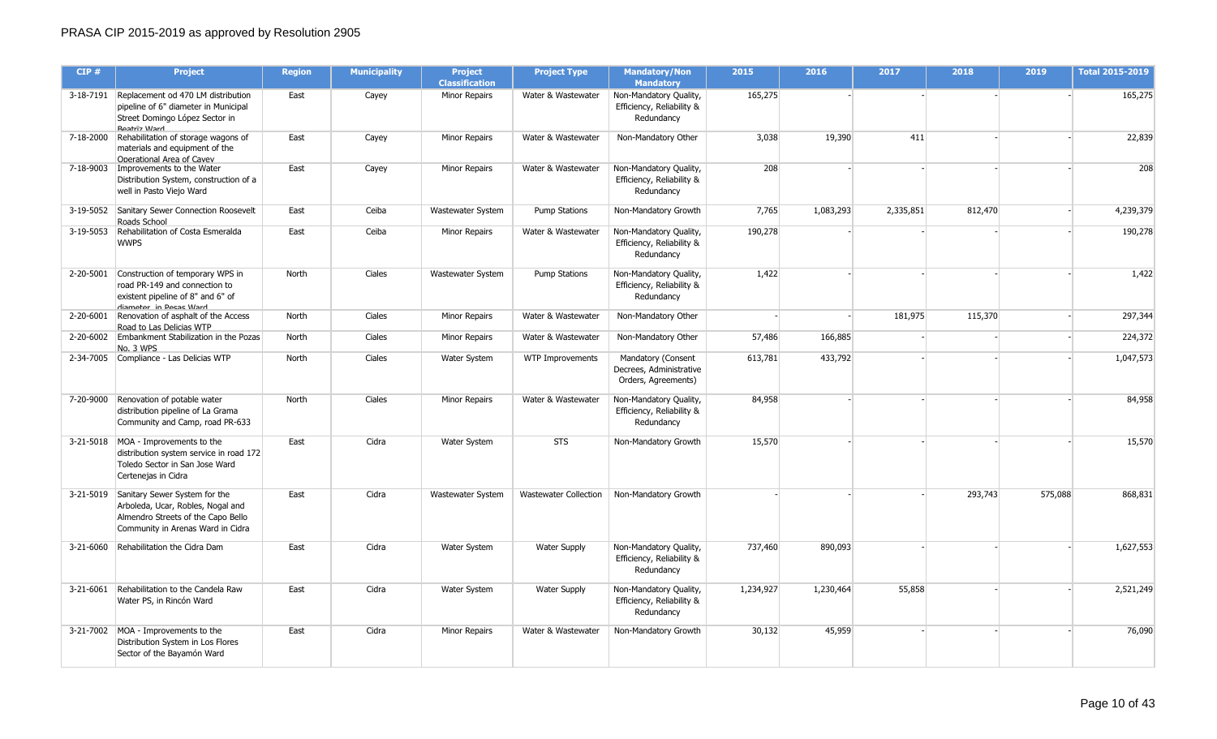| CIP#      | <b>Project</b>                                                                                                                                          | <b>Region</b> | <b>Municipality</b> | <b>Project</b><br><b>Classification</b> | <b>Project Type</b>          | <b>Mandatory/Non</b><br><b>Mandatory</b>                             | 2015      | 2016      | 2017      | 2018    | 2019    | <b>Total 2015-2019</b> |
|-----------|---------------------------------------------------------------------------------------------------------------------------------------------------------|---------------|---------------------|-----------------------------------------|------------------------------|----------------------------------------------------------------------|-----------|-----------|-----------|---------|---------|------------------------|
|           | 3-18-7191 Replacement od 470 LM distribution<br>pipeline of 6" diameter in Municipal<br>Street Domingo López Sector in<br><b>Reatriz Ward</b>           | East          | Cayey               | Minor Repairs                           | Water & Wastewater           | Non-Mandatory Quality,<br>Efficiency, Reliability &<br>Redundancy    | 165,275   |           |           |         |         | 165,275                |
| 7-18-2000 | Rehabilitation of storage wagons of<br>materials and equipment of the<br>Operational Area of Cavev                                                      | East          | Cayey               | Minor Repairs                           | Water & Wastewater           | Non-Mandatory Other                                                  | 3,038     | 19,390    | 411       |         |         | 22,839                 |
|           | 7-18-9003   Improvements to the Water<br>Distribution System, construction of a<br>well in Pasto Viejo Ward                                             | East          | Cayey               | Minor Repairs                           | Water & Wastewater           | Non-Mandatory Quality,<br>Efficiency, Reliability &<br>Redundancy    | 208       |           |           |         |         | 208                    |
|           | 3-19-5052 Sanitary Sewer Connection Roosevelt<br>Roads School                                                                                           | East          | Ceiba               | Wastewater System                       | <b>Pump Stations</b>         | Non-Mandatory Growth                                                 | 7,765     | 1,083,293 | 2,335,851 | 812,470 |         | 4,239,379              |
| 3-19-5053 | Rehabilitation of Costa Esmeralda<br><b>WWPS</b>                                                                                                        | East          | Ceiba               | Minor Repairs                           | Water & Wastewater           | Non-Mandatory Quality,<br>Efficiency, Reliability &<br>Redundancy    | 190,278   |           |           |         |         | 190,278                |
|           | 2-20-5001 Construction of temporary WPS in<br>road PR-149 and connection to<br>existent pipeline of 8" and 6" of<br>diameter in Pecas Ward              | North         | Ciales              | Wastewater System                       | <b>Pump Stations</b>         | Non-Mandatory Quality,<br>Efficiency, Reliability &<br>Redundancy    | 1,422     |           |           |         |         | 1,422                  |
| 2-20-6001 | Renovation of asphalt of the Access<br>Road to Las Delicias WTP                                                                                         | North         | Ciales              | Minor Repairs                           | Water & Wastewater           | Non-Mandatory Other                                                  |           |           | 181,975   | 115,370 |         | 297,344                |
| 2-20-6002 | Embankment Stabilization in the Pozas<br>No. 3 WPS                                                                                                      | North         | Ciales              | Minor Repairs                           | Water & Wastewater           | Non-Mandatory Other                                                  | 57,486    | 166,885   |           |         |         | 224,372                |
|           | 2-34-7005 Compliance - Las Delicias WTP                                                                                                                 | North         | Ciales              | <b>Water System</b>                     | WTP Improvements             | Mandatory (Consent<br>Decrees, Administrative<br>Orders, Agreements) | 613,781   | 433,792   |           |         |         | 1,047,573              |
|           | 7-20-9000 Renovation of potable water<br>distribution pipeline of La Grama<br>Community and Camp, road PR-633                                           | North         | Ciales              | Minor Repairs                           | Water & Wastewater           | Non-Mandatory Quality,<br>Efficiency, Reliability &<br>Redundancy    | 84,958    |           |           |         |         | 84,958                 |
|           | 3-21-5018 MOA - Improvements to the<br>distribution system service in road 172<br>Toledo Sector in San Jose Ward<br>Certenejas in Cidra                 | East          | Cidra               | Water System                            | <b>STS</b>                   | Non-Mandatory Growth                                                 | 15,570    |           |           |         |         | 15,570                 |
|           | 3-21-5019 Sanitary Sewer System for the<br>Arboleda, Ucar, Robles, Nogal and<br>Almendro Streets of the Capo Bello<br>Community in Arenas Ward in Cidra | East          | Cidra               | Wastewater System                       | <b>Wastewater Collection</b> | Non-Mandatory Growth                                                 |           |           |           | 293,743 | 575,088 | 868,831                |
| 3-21-6060 | Rehabilitation the Cidra Dam                                                                                                                            | East          | Cidra               | Water System                            | <b>Water Supply</b>          | Non-Mandatory Quality,<br>Efficiency, Reliability &<br>Redundancy    | 737,460   | 890,093   |           |         |         | 1,627,553              |
|           | 3-21-6061 Rehabilitation to the Candela Raw<br>Water PS, in Rincón Ward                                                                                 | East          | Cidra               | Water System                            | <b>Water Supply</b>          | Non-Mandatory Quality,<br>Efficiency, Reliability &<br>Redundancy    | 1,234,927 | 1,230,464 | 55,858    |         |         | 2,521,249              |
|           | 3-21-7002 MOA - Improvements to the<br>Distribution System in Los Flores<br>Sector of the Bayamón Ward                                                  | East          | Cidra               | Minor Repairs                           | Water & Wastewater           | Non-Mandatory Growth                                                 | 30,132    | 45,959    |           |         |         | 76,090                 |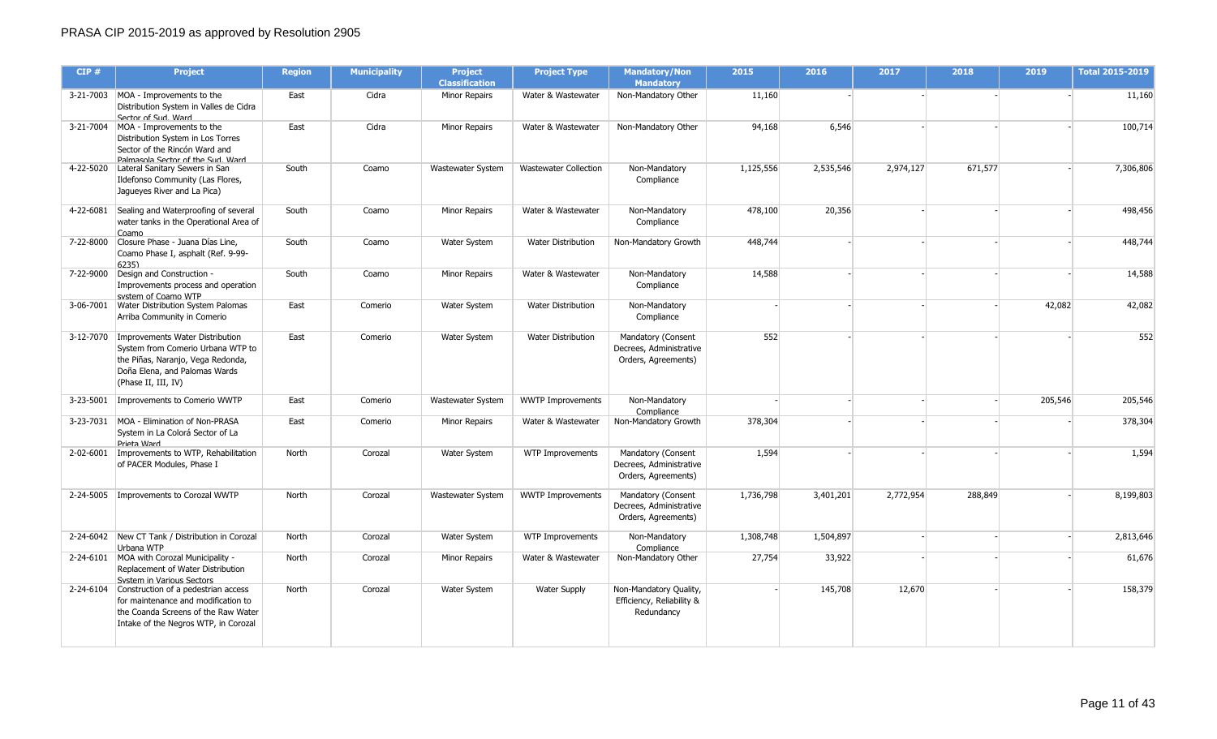| CIP#      | <b>Project</b>                                                                                                                                                              | <b>Region</b> | <b>Municipality</b> | <b>Project</b><br><b>Classification</b> | <b>Project Type</b>          | <b>Mandatory/Non</b><br><b>Mandatory</b>                             | 2015      | 2016      | 2017      | 2018    | 2019    | <b>Total 2015-2019</b> |
|-----------|-----------------------------------------------------------------------------------------------------------------------------------------------------------------------------|---------------|---------------------|-----------------------------------------|------------------------------|----------------------------------------------------------------------|-----------|-----------|-----------|---------|---------|------------------------|
|           | 3-21-7003 MOA - Improvements to the<br>Distribution System in Valles de Cidra<br>Sector of Sud. Ward                                                                        | East          | Cidra               | Minor Repairs                           | Water & Wastewater           | Non-Mandatory Other                                                  | 11,160    |           |           |         |         | 11,160                 |
|           | 3-21-7004   MOA - Improvements to the<br>Distribution System in Los Torres<br>Sector of the Rincón Ward and<br>Palmasola Sector of the Sud Ward                             | East          | Cidra               | <b>Minor Repairs</b>                    | Water & Wastewater           | Non-Mandatory Other                                                  | 94,168    | 6,546     |           |         |         | 100,714                |
| 4-22-5020 | Lateral Sanitary Sewers in San<br>Ildefonso Community (Las Flores,<br>Jaqueyes River and La Pica)                                                                           | South         | Coamo               | <b>Wastewater System</b>                | <b>Wastewater Collection</b> | Non-Mandatory<br>Compliance                                          | 1,125,556 | 2,535,546 | 2,974,127 | 671,577 |         | 7,306,806              |
|           | 4-22-6081 Sealing and Waterproofing of several<br>water tanks in the Operational Area of<br>Coamo                                                                           | South         | Coamo               | <b>Minor Repairs</b>                    | Water & Wastewater           | Non-Mandatory<br>Compliance                                          | 478,100   | 20,356    |           |         |         | 498,456                |
| 7-22-8000 | Closure Phase - Juana Días Line,<br>Coamo Phase I, asphalt (Ref. 9-99-<br>6235                                                                                              | South         | Coamo               | Water System                            | <b>Water Distribution</b>    | Non-Mandatory Growth                                                 | 448,744   |           |           |         |         | 448,744                |
| 7-22-9000 | Design and Construction -<br>Improvements process and operation<br>system of Coamo WTP                                                                                      | South         | Coamo               | Minor Repairs                           | Water & Wastewater           | Non-Mandatory<br>Compliance                                          | 14,588    |           |           |         |         | 14,588                 |
|           | 3-06-7001 Water Distribution System Palomas<br>Arriba Community in Comerio                                                                                                  | East          | Comerio             | Water System                            | <b>Water Distribution</b>    | Non-Mandatory<br>Compliance                                          |           |           |           |         | 42,082  | 42,082                 |
|           | 3-12-7070 Improvements Water Distribution<br>System from Comerio Urbana WTP to<br>the Piñas, Naranjo, Vega Redonda,<br>Doña Elena, and Palomas Wards<br>(Phase II, III, IV) | East          | Comerio             | Water System                            | <b>Water Distribution</b>    | Mandatory (Consent<br>Decrees, Administrative<br>Orders, Agreements) | 552       |           |           |         |         | 552                    |
| 3-23-5001 | Improvements to Comerio WWTP                                                                                                                                                | East          | Comerio             | Wastewater System                       | <b>WWTP Improvements</b>     | Non-Mandatory<br>Compliance                                          |           |           |           |         | 205,546 | 205,546                |
| 3-23-7031 | MOA - Elimination of Non-PRASA<br>System in La Colorá Sector of La<br>Prieta Ward                                                                                           | East          | Comerio             | <b>Minor Repairs</b>                    | Water & Wastewater           | Non-Mandatory Growth                                                 | 378,304   |           |           |         |         | 378,304                |
|           | 2-02-6001   Improvements to WTP, Rehabilitation<br>of PACER Modules, Phase I                                                                                                | North         | Corozal             | Water System                            | WTP Improvements             | Mandatory (Consent<br>Decrees, Administrative<br>Orders, Agreements) | 1,594     |           |           |         |         | 1,594                  |
| 2-24-5005 | Improvements to Corozal WWTP                                                                                                                                                | North         | Corozal             | Wastewater System                       | <b>WWTP Improvements</b>     | Mandatory (Consent<br>Decrees, Administrative<br>Orders, Agreements) | 1,736,798 | 3,401,201 | 2,772,954 | 288,849 |         | 8,199,803              |
|           | 2-24-6042 New CT Tank / Distribution in Corozal<br>Urbana WTP                                                                                                               | North         | Corozal             | Water System                            | WTP Improvements             | Non-Mandatory<br>Compliance                                          | 1,308,748 | 1,504,897 |           |         |         | 2,813,646              |
|           | 2-24-6101 MOA with Corozal Municipality -<br>Replacement of Water Distribution<br>System in Various Sectors                                                                 | North         | Corozal             | Minor Repairs                           | Water & Wastewater           | Non-Mandatory Other                                                  | 27,754    | 33,922    |           |         |         | 61,676                 |
|           | 2-24-6104 Construction of a pedestrian access<br>for maintenance and modification to<br>the Coanda Screens of the Raw Water<br>Intake of the Negros WTP, in Corozal         | North         | Corozal             | Water System                            | <b>Water Supply</b>          | Non-Mandatory Quality,<br>Efficiency, Reliability &<br>Redundancy    |           | 145,708   | 12,670    |         |         | 158,379                |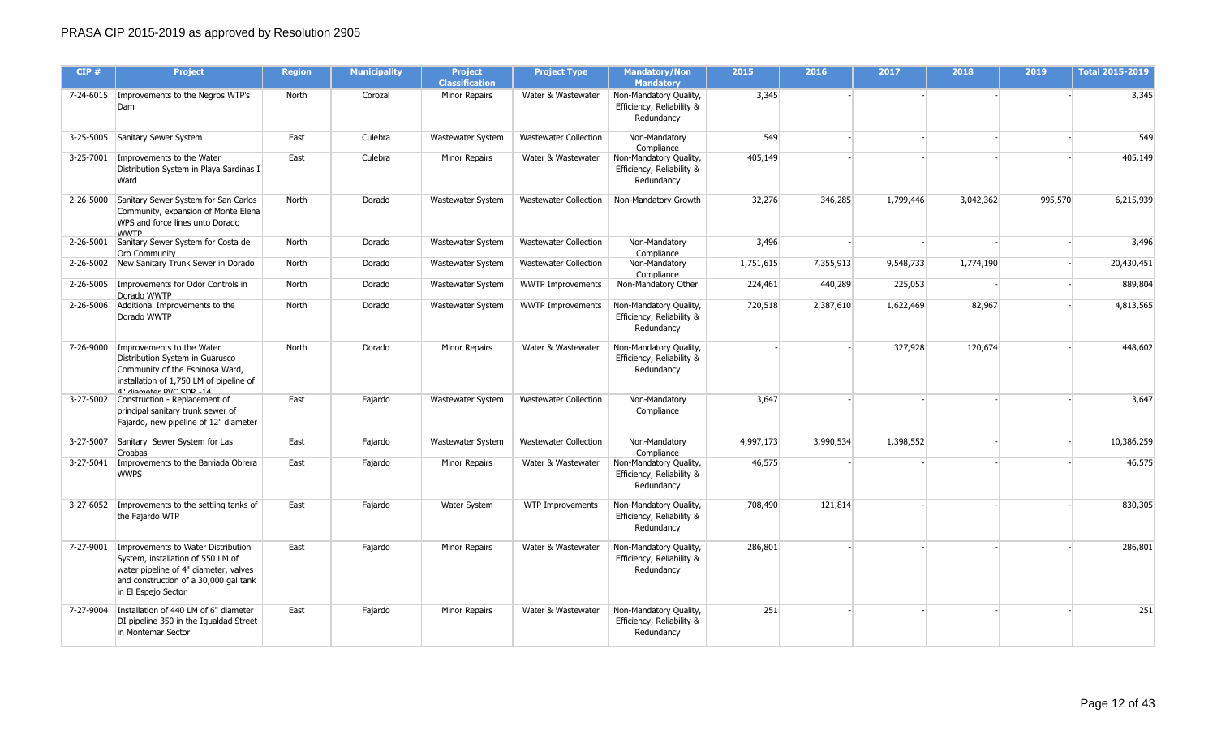| CIP#      | <b>Project</b>                                                                                                                                                                   | <b>Region</b> | <b>Municipality</b> | <b>Project</b><br><b>Classification</b> | <b>Project Type</b>          | <b>Mandatory/Non</b><br><b>Mandatory</b>                          | 2015      | 2016      | 2017      | 2018      | 2019    | <b>Total 2015-2019</b> |
|-----------|----------------------------------------------------------------------------------------------------------------------------------------------------------------------------------|---------------|---------------------|-----------------------------------------|------------------------------|-------------------------------------------------------------------|-----------|-----------|-----------|-----------|---------|------------------------|
|           | 7-24-6015   Improvements to the Negros WTP's<br>Dam                                                                                                                              | North         | Corozal             | Minor Repairs                           | Water & Wastewater           | Non-Mandatory Quality,<br>Efficiency, Reliability &<br>Redundancy | 3,345     |           |           |           |         | 3,345                  |
|           | 3-25-5005 Sanitary Sewer System                                                                                                                                                  | East          | Culebra             | Wastewater System                       | <b>Wastewater Collection</b> | Non-Mandatory<br>Compliance                                       | 549       |           |           |           |         | 549                    |
|           | 3-25-7001   Improvements to the Water<br>Distribution System in Playa Sardinas I<br>Ward                                                                                         | East          | Culebra             | Minor Repairs                           | Water & Wastewater           | Non-Mandatory Quality,<br>Efficiency, Reliability &<br>Redundancy | 405,149   |           |           |           |         | 405,149                |
|           | 2-26-5000 Sanitary Sewer System for San Carlos<br>Community, expansion of Monte Elena<br>WPS and force lines unto Dorado<br><b>WWTP</b>                                          | North         | Dorado              | Wastewater System                       | <b>Wastewater Collection</b> | Non-Mandatory Growth                                              | 32,276    | 346,285   | 1,799,446 | 3,042,362 | 995,570 | 6,215,939              |
|           | 2-26-5001 Sanitary Sewer System for Costa de<br>Oro Community                                                                                                                    | North         | Dorado              | Wastewater System                       | <b>Wastewater Collection</b> | Non-Mandatory<br>Compliance                                       | 3,496     |           |           |           |         | 3,496                  |
|           | 2-26-5002 New Sanitary Trunk Sewer in Dorado                                                                                                                                     | North         | Dorado              | Wastewater System                       | <b>Wastewater Collection</b> | Non-Mandatory<br>Compliance                                       | 1,751,615 | 7,355,913 | 9,548,733 | 1,774,190 |         | 20,430,451             |
|           | 2-26-5005   Improvements for Odor Controls in<br>Dorado WWTP                                                                                                                     | North         | Dorado              | Wastewater System                       | <b>WWTP Improvements</b>     | Non-Mandatory Other                                               | 224,461   | 440,289   | 225,053   |           |         | 889,804                |
|           | 2-26-5006 Additional Improvements to the<br>Dorado WWTP                                                                                                                          | North         | Dorado              | Wastewater System                       | <b>WWTP Improvements</b>     | Non-Mandatory Quality,<br>Efficiency, Reliability &<br>Redundancy | 720,518   | 2,387,610 | 1,622,469 | 82,967    |         | 4,813,565              |
| 7-26-9000 | Improvements to the Water<br>Distribution System in Guarusco<br>Community of the Espinosa Ward,<br>installation of 1,750 LM of pipeline of<br>4" diameter DVC SDD -14            | North         | Dorado              | Minor Repairs                           | Water & Wastewater           | Non-Mandatory Quality,<br>Efficiency, Reliability &<br>Redundancy |           |           | 327,928   | 120,674   |         | 448,602                |
|           | 3-27-5002 Construction - Replacement of<br>principal sanitary trunk sewer of<br>Fajardo, new pipeline of 12" diameter                                                            | East          | Fajardo             | Wastewater System                       | <b>Wastewater Collection</b> | Non-Mandatory<br>Compliance                                       | 3,647     |           |           |           |         | 3,647                  |
|           | 3-27-5007 Sanitary Sewer System for Las<br>Croabas                                                                                                                               | East          | Fajardo             | Wastewater System                       | <b>Wastewater Collection</b> | Non-Mandatory<br>Compliance                                       | 4,997,173 | 3,990,534 | 1,398,552 |           |         | 10,386,259             |
| 3-27-5041 | Improvements to the Barriada Obrera<br><b>WWPS</b>                                                                                                                               | East          | Fajardo             | Minor Repairs                           | Water & Wastewater           | Non-Mandatory Quality,<br>Efficiency, Reliability &<br>Redundancv | 46,575    |           |           |           |         | 46,575                 |
|           | 3-27-6052 Improvements to the settling tanks of<br>the Fajardo WTP                                                                                                               | East          | Fajardo             | <b>Water System</b>                     | WTP Improvements             | Non-Mandatory Quality,<br>Efficiency, Reliability &<br>Redundancy | 708,490   | 121,814   |           |           |         | 830,305                |
| 7-27-9001 | Improvements to Water Distribution<br>System, installation of 550 LM of<br>water pipeline of 4" diameter, valves<br>and construction of a 30,000 gal tank<br>in El Espejo Sector | East          | Fajardo             | Minor Repairs                           | Water & Wastewater           | Non-Mandatory Quality,<br>Efficiency, Reliability &<br>Redundancy | 286,801   |           |           |           |         | 286,801                |
| 7-27-9004 | Installation of 440 LM of 6" diameter<br>DI pipeline 350 in the Igualdad Street<br>in Montemar Sector                                                                            | East          | Fajardo             | Minor Repairs                           | Water & Wastewater           | Non-Mandatory Quality,<br>Efficiency, Reliability &<br>Redundancy | 251       |           |           |           |         | 251                    |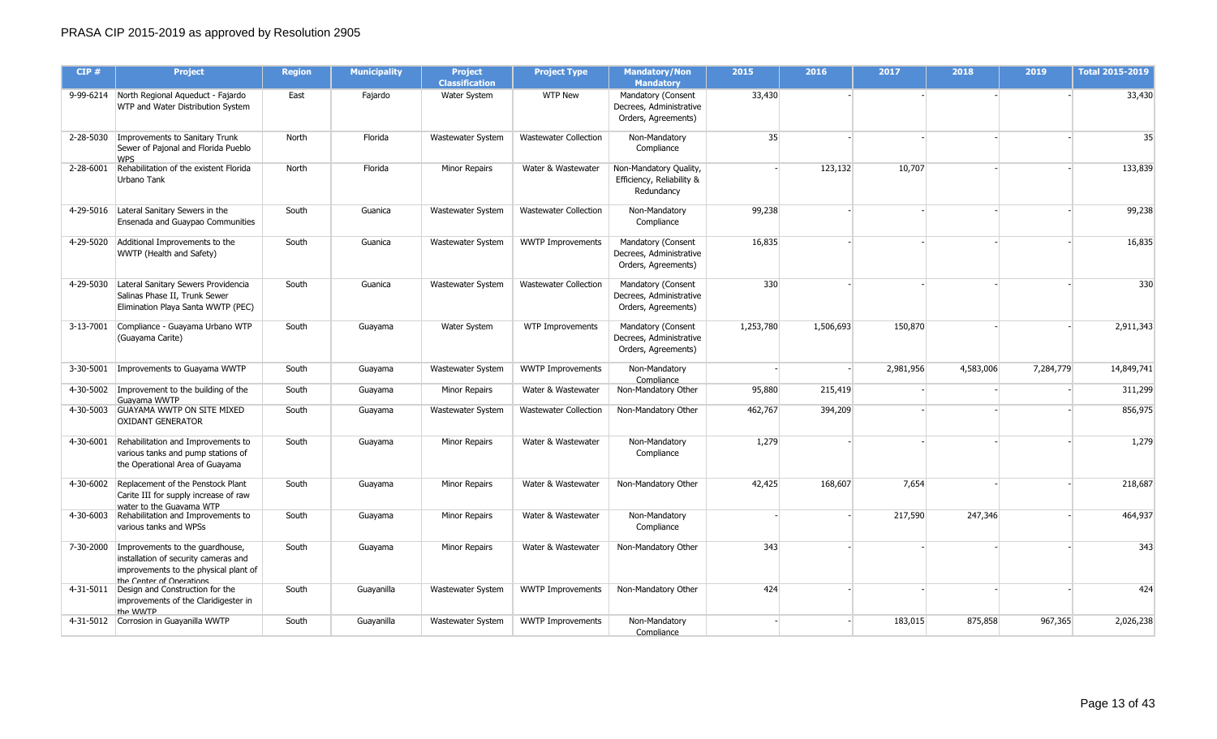| CIP#      | <b>Project</b>                                                                                                                                         | <b>Region</b> | <b>Municipality</b> | <b>Project</b><br><b>Classification</b> | <b>Project Type</b>          | <b>Mandatory/Non</b><br><b>Mandatory</b>                             | 2015      | 2016      | 2017      | 2018      | 2019      | <b>Total 2015-2019</b> |
|-----------|--------------------------------------------------------------------------------------------------------------------------------------------------------|---------------|---------------------|-----------------------------------------|------------------------------|----------------------------------------------------------------------|-----------|-----------|-----------|-----------|-----------|------------------------|
|           | 9-99-6214 North Regional Aqueduct - Fajardo<br>WTP and Water Distribution System                                                                       | East          | Fajardo             | Water System                            | <b>WTP New</b>               | Mandatory (Consent<br>Decrees, Administrative<br>Orders, Agreements) | 33,430    |           |           |           |           | 33,430                 |
|           | 2-28-5030   Improvements to Sanitary Trunk<br>Sewer of Pajonal and Florida Pueblo<br><b>WPS</b>                                                        | North         | Florida             | Wastewater System                       | <b>Wastewater Collection</b> | Non-Mandatory<br>Compliance                                          | 35        |           |           |           |           | 35                     |
|           | 2-28-6001 Rehabilitation of the existent Florida<br>Urbano Tank                                                                                        | North         | Florida             | Minor Repairs                           | Water & Wastewater           | Non-Mandatory Quality,<br>Efficiency, Reliability &<br>Redundancy    |           | 123,132   | 10,707    |           |           | 133,839                |
|           | 4-29-5016   Lateral Sanitary Sewers in the<br>Ensenada and Guaypao Communities                                                                         | South         | Guanica             | Wastewater System                       | <b>Wastewater Collection</b> | Non-Mandatory<br>Compliance                                          | 99,238    |           |           |           |           | 99,238                 |
|           | 4-29-5020 Additional Improvements to the<br>WWTP (Health and Safety)                                                                                   | South         | Guanica             | Wastewater System                       | <b>WWTP Improvements</b>     | Mandatory (Consent<br>Decrees, Administrative<br>Orders, Agreements) | 16,835    |           |           |           |           | 16,835                 |
|           | 4-29-5030 Lateral Sanitary Sewers Providencia<br>Salinas Phase II, Trunk Sewer<br>Elimination Playa Santa WWTP (PEC)                                   | South         | Guanica             | Wastewater System                       | <b>Wastewater Collection</b> | Mandatory (Consent<br>Decrees, Administrative<br>Orders, Agreements) | 330       |           |           |           |           | 330                    |
|           | 3-13-7001 Compliance - Guayama Urbano WTP<br>(Guayama Carite)                                                                                          | South         | Guayama             | Water System                            | WTP Improvements             | Mandatory (Consent<br>Decrees, Administrative<br>Orders, Agreements) | 1,253,780 | 1,506,693 | 150,870   |           |           | 2,911,343              |
|           | 3-30-5001   Improvements to Guayama WWTP                                                                                                               | South         | Guayama             | Wastewater System                       | <b>WWTP Improvements</b>     | Non-Mandatory<br>Compliance                                          |           |           | 2,981,956 | 4,583,006 | 7,284,779 | 14,849,741             |
|           | 4-30-5002   Improvement to the building of the<br>Guavama WWTP                                                                                         | South         | Guayama             | Minor Repairs                           | Water & Wastewater           | Non-Mandatory Other                                                  | 95,880    | 215,419   |           |           |           | 311,299                |
|           | 4-30-5003 GUAYAMA WWTP ON SITE MIXED<br><b>OXIDANT GENERATOR</b>                                                                                       | South         | Guayama             | Wastewater System                       | <b>Wastewater Collection</b> | Non-Mandatory Other                                                  | 462,767   | 394,209   |           |           |           | 856,975                |
| 4-30-6001 | Rehabilitation and Improvements to<br>various tanks and pump stations of<br>the Operational Area of Guayama                                            | South         | Guayama             | Minor Repairs                           | Water & Wastewater           | Non-Mandatory<br>Compliance                                          | 1,279     |           |           |           |           | 1,279                  |
|           | 4-30-6002 Replacement of the Penstock Plant<br>Carite III for supply increase of raw<br>water to the Guavama WTP                                       | South         | Guayama             | Minor Repairs                           | Water & Wastewater           | Non-Mandatory Other                                                  | 42,425    | 168,607   | 7,654     |           |           | 218,687                |
| 4-30-6003 | Rehabilitation and Improvements to<br>various tanks and WPSs                                                                                           | South         | Guayama             | Minor Repairs                           | Water & Wastewater           | Non-Mandatory<br>Compliance                                          |           |           | 217,590   | 247,346   |           | 464,937                |
|           | 7-30-2000 Improvements to the quardhouse,<br>installation of security cameras and<br>improvements to the physical plant of<br>the Center of Onerations | South         | Guayama             | Minor Repairs                           | Water & Wastewater           | Non-Mandatory Other                                                  | 343       |           |           |           |           | 343                    |
|           | 4-31-5011 Design and Construction for the<br>improvements of the Claridigester in<br>the WWTP                                                          | South         | Guayanilla          | Wastewater System                       | <b>WWTP Improvements</b>     | Non-Mandatory Other                                                  | 424       |           |           |           |           | 424                    |
|           | 4-31-5012 Corrosion in Guayanilla WWTP                                                                                                                 | South         | Guayanilla          | Wastewater System                       | <b>WWTP Improvements</b>     | Non-Mandatory<br>Compliance                                          |           |           | 183,015   | 875,858   | 967,365   | 2,026,238              |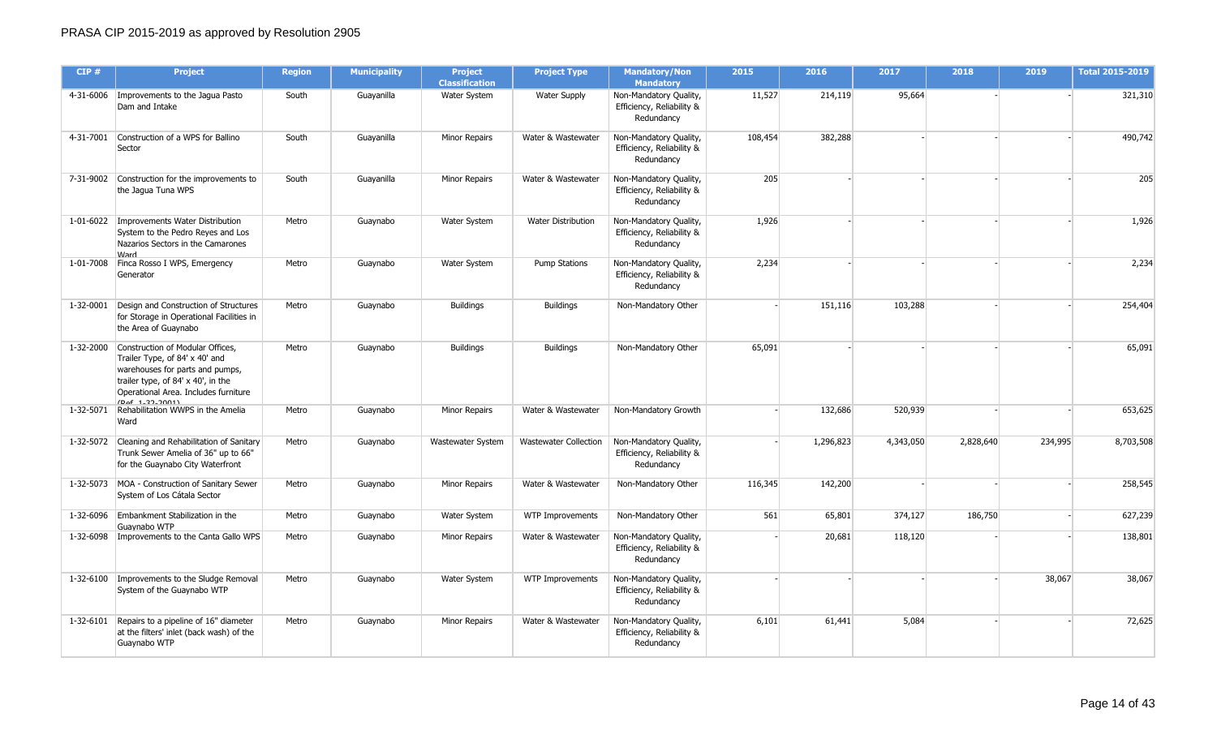| CIP#      | <b>Project</b>                                                                                                                                                                                           | <b>Region</b> | <b>Municipality</b> | <b>Project</b><br><b>Classification</b> | <b>Project Type</b>          | <b>Mandatory/Non</b><br><b>Mandatory</b>                          | 2015    | 2016      | 2017      | 2018      | 2019    | <b>Total 2015-2019</b> |
|-----------|----------------------------------------------------------------------------------------------------------------------------------------------------------------------------------------------------------|---------------|---------------------|-----------------------------------------|------------------------------|-------------------------------------------------------------------|---------|-----------|-----------|-----------|---------|------------------------|
|           | 4-31-6006   Improvements to the Jagua Pasto<br>Dam and Intake                                                                                                                                            | South         | Guayanilla          | Water System                            | <b>Water Supply</b>          | Non-Mandatory Quality,<br>Efficiency, Reliability &<br>Redundancy | 11,527  | 214,119   | 95,664    |           |         | 321,310                |
|           | 4-31-7001 Construction of a WPS for Ballino<br>Sector                                                                                                                                                    | South         | Guayanilla          | Minor Repairs                           | Water & Wastewater           | Non-Mandatory Quality,<br>Efficiency, Reliability &<br>Redundancy | 108,454 | 382,288   |           |           |         | 490,742                |
|           | 7-31-9002 Construction for the improvements to<br>the Jagua Tuna WPS                                                                                                                                     | South         | Guayanilla          | Minor Repairs                           | Water & Wastewater           | Non-Mandatory Quality,<br>Efficiency, Reliability &<br>Redundancy | 205     |           |           |           |         | 205                    |
|           | 1-01-6022   Improvements Water Distribution<br>System to the Pedro Reyes and Los<br>Nazarios Sectors in the Camarones<br><b>Mard</b>                                                                     | Metro         | Guaynabo            | Water System                            | <b>Water Distribution</b>    | Non-Mandatory Quality,<br>Efficiency, Reliability &<br>Redundancy | 1,926   |           |           |           |         | 1,926                  |
|           | 1-01-7008 Finca Rosso I WPS, Emergency<br>Generator                                                                                                                                                      | Metro         | Guaynabo            | Water System                            | <b>Pump Stations</b>         | Non-Mandatory Quality,<br>Efficiency, Reliability &<br>Redundancy | 2,234   |           |           |           |         | 2,234                  |
| 1-32-0001 | Design and Construction of Structures<br>for Storage in Operational Facilities in<br>the Area of Guaynabo                                                                                                | Metro         | Guaynabo            | <b>Buildings</b>                        | <b>Buildings</b>             | Non-Mandatory Other                                               |         | 151,116   | 103,288   |           |         | 254,404                |
| 1-32-2000 | Construction of Modular Offices,<br>Trailer Type, of 84' x 40' and<br>warehouses for parts and pumps,<br>trailer type, of 84' x 40', in the<br>Operational Area. Includes furniture<br>$(D2f + 22.2001)$ | Metro         | Guaynabo            | <b>Buildings</b>                        | <b>Buildings</b>             | Non-Mandatory Other                                               | 65,091  |           |           |           |         | 65,091                 |
| 1-32-5071 | Rehabilitation WWPS in the Amelia<br>Ward                                                                                                                                                                | Metro         | Guaynabo            | <b>Minor Repairs</b>                    | Water & Wastewater           | Non-Mandatory Growth                                              |         | 132,686   | 520,939   |           |         | 653,625                |
|           | 1-32-5072 Cleaning and Rehabilitation of Sanitary<br>Trunk Sewer Amelia of 36" up to 66"<br>for the Guaynabo City Waterfront                                                                             | Metro         | Guaynabo            | Wastewater System                       | <b>Wastewater Collection</b> | Non-Mandatory Quality,<br>Efficiency, Reliability &<br>Redundancy |         | 1,296,823 | 4,343,050 | 2,828,640 | 234,995 | 8,703,508              |
|           | 1-32-5073 MOA - Construction of Sanitary Sewer<br>System of Los Cátala Sector                                                                                                                            | Metro         | Guaynabo            | Minor Repairs                           | Water & Wastewater           | Non-Mandatory Other                                               | 116,345 | 142,200   |           |           |         | 258,545                |
|           | 1-32-6096 Embankment Stabilization in the<br>Guavnabo WTP                                                                                                                                                | Metro         | Guaynabo            | Water System                            | <b>WTP Improvements</b>      | Non-Mandatory Other                                               | 561     | 65,801    | 374,127   | 186,750   |         | 627,239                |
|           | 1-32-6098   Improvements to the Canta Gallo WPS                                                                                                                                                          | Metro         | Guaynabo            | Minor Repairs                           | Water & Wastewater           | Non-Mandatory Quality,<br>Efficiency, Reliability &<br>Redundancy |         | 20,681    | 118,120   |           |         | 138,801                |
|           | 1-32-6100 Improvements to the Sludge Removal<br>System of the Guaynabo WTP                                                                                                                               | Metro         | Guaynabo            | Water System                            | <b>WTP Improvements</b>      | Non-Mandatory Quality,<br>Efficiency, Reliability &<br>Redundancy |         |           |           |           | 38,067  | 38,067                 |
|           | 1-32-6101 Repairs to a pipeline of 16" diameter<br>at the filters' inlet (back wash) of the<br>Guaynabo WTP                                                                                              | Metro         | Guaynabo            | <b>Minor Repairs</b>                    | Water & Wastewater           | Non-Mandatory Quality,<br>Efficiency, Reliability &<br>Redundancy | 6,101   | 61,441    | 5,084     |           |         | 72,625                 |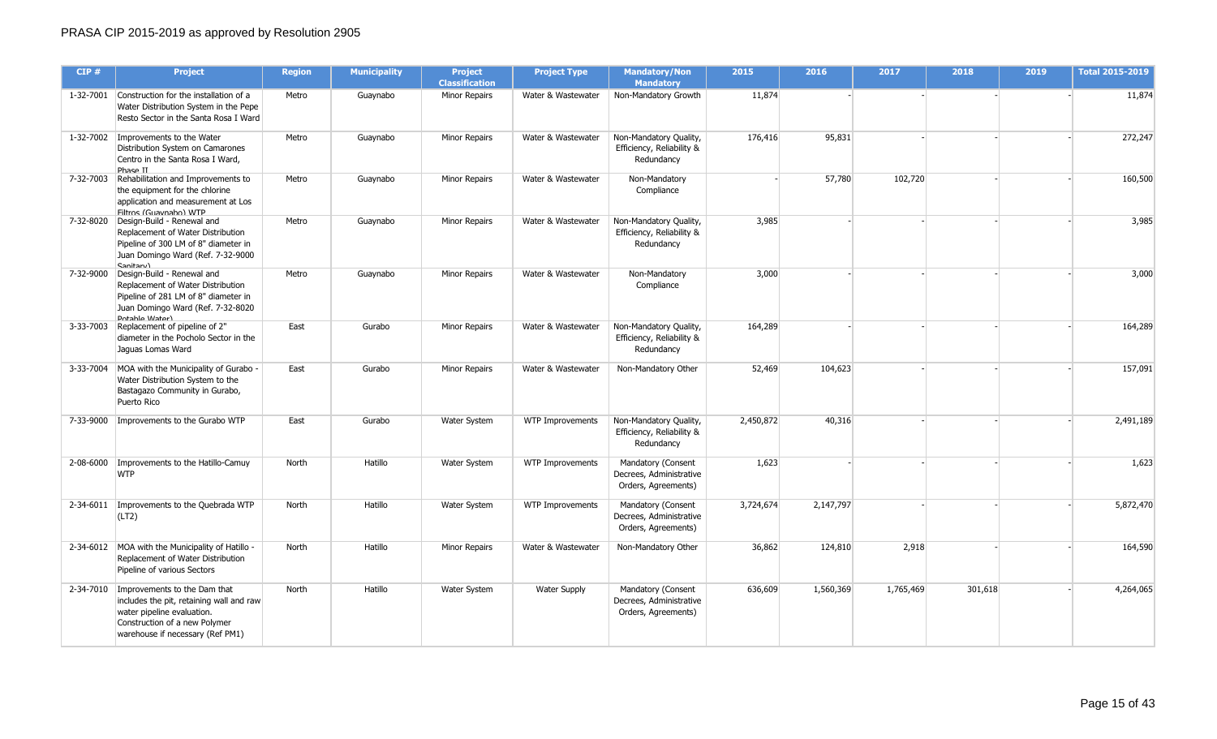| CIP#      | <b>Project</b>                                                                                                                                                                          | <b>Region</b> | <b>Municipality</b> | <b>Project</b><br><b>Classification</b> | <b>Project Type</b>     | <b>Mandatory/Non</b><br><b>Mandatory</b>                             | 2015      | 2016      | 2017      | 2018    | 2019 | <b>Total 2015-2019</b> |
|-----------|-----------------------------------------------------------------------------------------------------------------------------------------------------------------------------------------|---------------|---------------------|-----------------------------------------|-------------------------|----------------------------------------------------------------------|-----------|-----------|-----------|---------|------|------------------------|
|           | 1-32-7001 Construction for the installation of a<br>Water Distribution System in the Pepe<br>Resto Sector in the Santa Rosa I Ward                                                      | Metro         | Guaynabo            | <b>Minor Repairs</b>                    | Water & Wastewater      | Non-Mandatory Growth                                                 | 11,874    |           |           |         |      | 11,874                 |
|           | 1-32-7002 Improvements to the Water<br>Distribution System on Camarones<br>Centro in the Santa Rosa I Ward,<br>Phase II                                                                 | Metro         | Guaynabo            | <b>Minor Repairs</b>                    | Water & Wastewater      | Non-Mandatory Quality,<br>Efficiency, Reliability &<br>Redundancy    | 176,416   | 95,831    |           |         |      | 272,247                |
| 7-32-7003 | Rehabilitation and Improvements to<br>the equipment for the chlorine<br>application and measurement at Los<br>Filtros (Guavnabo) WTP                                                    | Metro         | Guaynabo            | <b>Minor Repairs</b>                    | Water & Wastewater      | Non-Mandatory<br>Compliance                                          |           | 57,780    | 102,720   |         |      | 160,500                |
|           | 7-32-8020   Design-Build - Renewal and<br>Replacement of Water Distribution<br>Pipeline of 300 LM of 8" diameter in<br>Juan Domingo Ward (Ref. 7-32-9000<br>$C$ anitan $\Lambda$        | Metro         | Guaynabo            | <b>Minor Repairs</b>                    | Water & Wastewater      | Non-Mandatory Quality,<br>Efficiency, Reliability &<br>Redundancy    | 3,985     |           |           |         |      | 3,985                  |
| 7-32-9000 | Design-Build - Renewal and<br>Replacement of Water Distribution<br>Pipeline of 281 LM of 8" diameter in<br>Juan Domingo Ward (Ref. 7-32-8020<br>Dotable Water                           | Metro         | Guaynabo            | Minor Repairs                           | Water & Wastewater      | Non-Mandatory<br>Compliance                                          | 3,000     |           |           |         |      | 3,000                  |
| 3-33-7003 | Replacement of pipeline of 2"<br>diameter in the Pocholo Sector in the<br>Jaquas Lomas Ward                                                                                             | East          | Gurabo              | <b>Minor Repairs</b>                    | Water & Wastewater      | Non-Mandatory Quality,<br>Efficiency, Reliability &<br>Redundancy    | 164,289   |           |           |         |      | 164,289                |
|           | 3-33-7004 MOA with the Municipality of Gurabo -<br>Water Distribution System to the<br>Bastagazo Community in Gurabo,<br>Puerto Rico                                                    | East          | Gurabo              | Minor Repairs                           | Water & Wastewater      | Non-Mandatory Other                                                  | 52,469    | 104,623   |           |         |      | 157,091                |
| 7-33-9000 | Improvements to the Gurabo WTP                                                                                                                                                          | East          | Gurabo              | Water System                            | WTP Improvements        | Non-Mandatory Quality,<br>Efficiency, Reliability &<br>Redundancy    | 2,450,872 | 40,316    |           |         |      | 2,491,189              |
|           | 2-08-6000 Improvements to the Hatillo-Camuy<br><b>WTP</b>                                                                                                                               | North         | Hatillo             | Water System                            | <b>WTP Improvements</b> | Mandatory (Consent<br>Decrees, Administrative<br>Orders, Agreements) | 1,623     |           |           |         |      | 1,623                  |
|           | 2-34-6011   Improvements to the Quebrada WTP<br>(LT2)                                                                                                                                   | North         | Hatillo             | Water System                            | <b>WTP Improvements</b> | Mandatory (Consent<br>Decrees, Administrative<br>Orders, Agreements) | 3,724,674 | 2,147,797 |           |         |      | 5,872,470              |
|           | 2-34-6012 MOA with the Municipality of Hatillo -<br>Replacement of Water Distribution<br>Pipeline of various Sectors                                                                    | North         | Hatillo             | <b>Minor Repairs</b>                    | Water & Wastewater      | Non-Mandatory Other                                                  | 36,862    | 124,810   | 2,918     |         |      | 164,590                |
|           | 2-34-7010   Improvements to the Dam that<br>includes the pit, retaining wall and raw<br>water pipeline evaluation.<br>Construction of a new Polymer<br>warehouse if necessary (Ref PM1) | North         | Hatillo             | Water System                            | <b>Water Supply</b>     | Mandatory (Consent<br>Decrees, Administrative<br>Orders, Agreements) | 636,609   | 1,560,369 | 1,765,469 | 301,618 |      | 4,264,065              |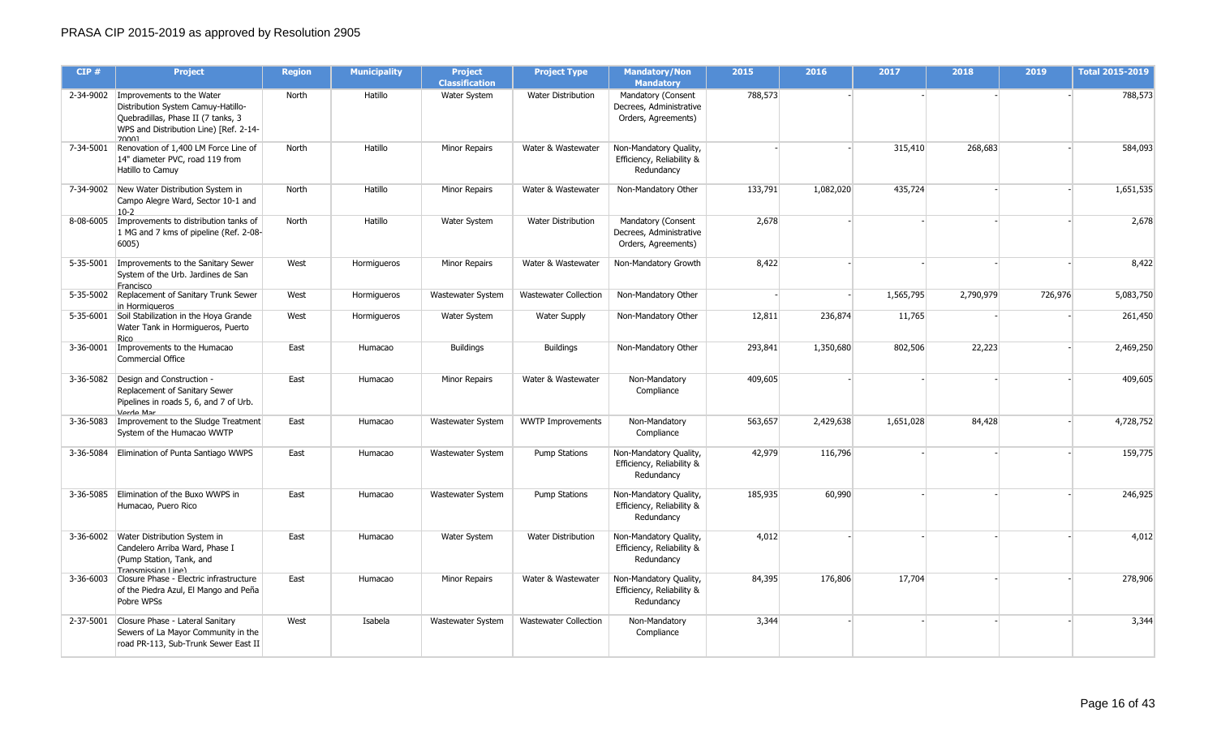| CIP#      | <b>Project</b>                                                                                                                                                       | <b>Region</b> | <b>Municipality</b> | <b>Project</b><br><b>Classification</b> | <b>Project Type</b>          | <b>Mandatory/Non</b><br><b>Mandatory</b>                             | 2015    | 2016      | 2017      | 2018      | 2019    | <b>Total 2015-2019</b> |
|-----------|----------------------------------------------------------------------------------------------------------------------------------------------------------------------|---------------|---------------------|-----------------------------------------|------------------------------|----------------------------------------------------------------------|---------|-----------|-----------|-----------|---------|------------------------|
|           | 2-34-9002   Improvements to the Water<br>Distribution System Camuy-Hatillo-<br>Quebradillas, Phase II (7 tanks, 3<br>WPS and Distribution Line) [Ref. 2-14-<br>70001 | North         | Hatillo             | Water System                            | <b>Water Distribution</b>    | Mandatory (Consent<br>Decrees, Administrative<br>Orders, Agreements) | 788,573 |           |           |           |         | 788,573                |
|           | 7-34-5001 Renovation of 1,400 LM Force Line of<br>14" diameter PVC, road 119 from<br>Hatillo to Camuy                                                                | North         | Hatillo             | <b>Minor Repairs</b>                    | Water & Wastewater           | Non-Mandatory Quality,<br>Efficiency, Reliability &<br>Redundancy    |         |           | 315,410   | 268,683   |         | 584,093                |
|           | 7-34-9002 New Water Distribution System in<br>Campo Alegre Ward, Sector 10-1 and<br>$10-2$                                                                           | North         | Hatillo             | <b>Minor Repairs</b>                    | Water & Wastewater           | Non-Mandatory Other                                                  | 133,791 | 1,082,020 | 435,724   |           |         | 1,651,535              |
|           | 8-08-6005   Improvements to distribution tanks of<br>1 MG and 7 kms of pipeline (Ref. 2-08-<br>6005)                                                                 | North         | Hatillo             | Water System                            | <b>Water Distribution</b>    | Mandatory (Consent<br>Decrees, Administrative<br>Orders, Agreements) | 2,678   |           |           |           |         | 2,678                  |
|           | 5-35-5001   Improvements to the Sanitary Sewer<br>System of the Urb. Jardines de San<br>Francisco                                                                    | West          | Hormigueros         | Minor Repairs                           | Water & Wastewater           | Non-Mandatory Growth                                                 | 8,422   |           |           |           |         | 8,422                  |
|           | 5-35-5002 Replacement of Sanitary Trunk Sewer<br>in Hormigueros                                                                                                      | West          | Hormigueros         | Wastewater System                       | Wastewater Collection        | Non-Mandatory Other                                                  |         |           | 1,565,795 | 2,790,979 | 726,976 | 5,083,750              |
|           | 5-35-6001 Soil Stabilization in the Hoya Grande<br>Water Tank in Hormigueros, Puerto<br>Rico                                                                         | West          | Hormigueros         | <b>Water System</b>                     | <b>Water Supply</b>          | Non-Mandatory Other                                                  | 12,811  | 236,874   | 11,765    |           |         | 261,450                |
| 3-36-0001 | Improvements to the Humacao<br>Commercial Office                                                                                                                     | East          | Humacao             | <b>Buildings</b>                        | <b>Buildings</b>             | Non-Mandatory Other                                                  | 293,841 | 1,350,680 | 802,506   | 22,223    |         | 2,469,250              |
|           | 3-36-5082 Design and Construction -<br>Replacement of Sanitary Sewer<br>Pipelines in roads 5, 6, and 7 of Urb.<br>Verde Mar                                          | East          | Humacao             | <b>Minor Repairs</b>                    | Water & Wastewater           | Non-Mandatory<br>Compliance                                          | 409,605 |           |           |           |         | 409,605                |
|           | 3-36-5083   Improvement to the Sludge Treatment<br>System of the Humacao WWTP                                                                                        | East          | Humacao             | Wastewater System                       | <b>WWTP Improvements</b>     | Non-Mandatory<br>Compliance                                          | 563,657 | 2,429,638 | 1,651,028 | 84,428    |         | 4,728,752              |
| 3-36-5084 | Elimination of Punta Santiago WWPS                                                                                                                                   | East          | Humacao             | Wastewater System                       | <b>Pump Stations</b>         | Non-Mandatory Quality,<br>Efficiency, Reliability &<br>Redundancy    | 42,979  | 116,796   |           |           |         | 159,775                |
| 3-36-5085 | Elimination of the Buxo WWPS in<br>Humacao, Puero Rico                                                                                                               | East          | Humacao             | Wastewater System                       | <b>Pump Stations</b>         | Non-Mandatory Quality,<br>Efficiency, Reliability &<br>Redundancy    | 185,935 | 60,990    |           |           |         | 246,925                |
|           | 3-36-6002 Water Distribution System in<br>Candelero Arriba Ward, Phase I<br>(Pump Station, Tank, and<br>Tranemiccion Line)                                           | East          | Humacao             | Water System                            | <b>Water Distribution</b>    | Non-Mandatory Quality,<br>Efficiency, Reliability &<br>Redundancy    | 4,012   |           |           |           |         | 4,012                  |
|           | 3-36-6003 Closure Phase - Electric infrastructure<br>of the Piedra Azul, El Mango and Peña<br>Pobre WPSs                                                             | East          | Humacao             | Minor Repairs                           | Water & Wastewater           | Non-Mandatory Quality,<br>Efficiency, Reliability &<br>Redundancy    | 84,395  | 176,806   | 17,704    |           |         | 278,906                |
|           | 2-37-5001 Closure Phase - Lateral Sanitary<br>Sewers of La Mayor Community in the<br>road PR-113, Sub-Trunk Sewer East II                                            | West          | Isabela             | Wastewater System                       | <b>Wastewater Collection</b> | Non-Mandatory<br>Compliance                                          | 3,344   |           |           |           |         | 3,344                  |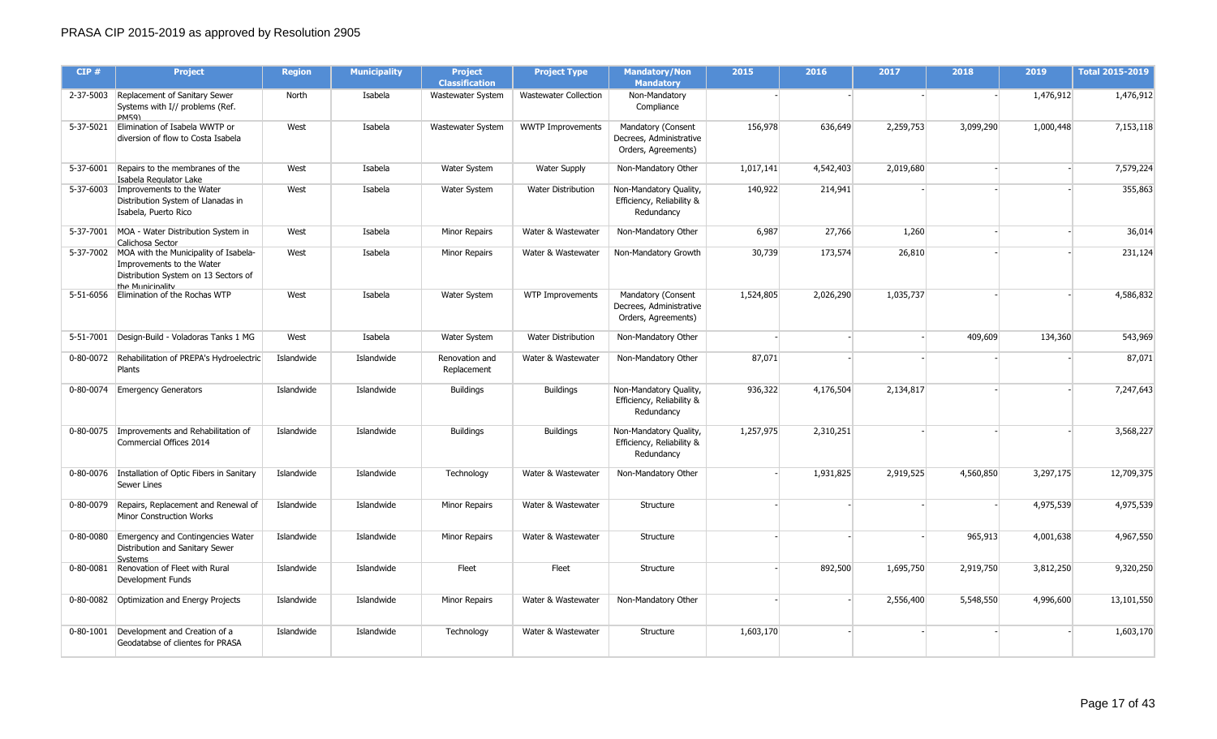| CIP#      | <b>Project</b>                                                                                                                             | <b>Region</b> | <b>Municipality</b> | <b>Project</b><br><b>Classification</b> | <b>Project Type</b>          | <b>Mandatory/Non</b><br><b>Mandatory</b>                             | 2015      | 2016      | 2017      | 2018      | 2019      | <b>Total 2015-2019</b> |
|-----------|--------------------------------------------------------------------------------------------------------------------------------------------|---------------|---------------------|-----------------------------------------|------------------------------|----------------------------------------------------------------------|-----------|-----------|-----------|-----------|-----------|------------------------|
|           | 2-37-5003 Replacement of Sanitary Sewer<br>Systems with I// problems (Ref.<br>PM59)                                                        | North         | Isabela             | Wastewater System                       | <b>Wastewater Collection</b> | Non-Mandatory<br>Compliance                                          |           |           |           |           | 1,476,912 | 1,476,912              |
| 5-37-5021 | Elimination of Isabela WWTP or<br>diversion of flow to Costa Isabela                                                                       | West          | Isabela             | Wastewater System                       | <b>WWTP Improvements</b>     | Mandatory (Consent<br>Decrees, Administrative<br>Orders, Agreements) | 156,978   | 636,649   | 2,259,753 | 3,099,290 | 1,000,448 | 7,153,118              |
| 5-37-6001 | Repairs to the membranes of the<br>Isabela Regulator Lake                                                                                  | West          | Isabela             | Water System                            | <b>Water Supply</b>          | Non-Mandatory Other                                                  | 1,017,141 | 4,542,403 | 2,019,680 |           |           | 7,579,224              |
| 5-37-6003 | Improvements to the Water<br>Distribution System of Llanadas in<br>Isabela, Puerto Rico                                                    | West          | Isabela             | <b>Water System</b>                     | <b>Water Distribution</b>    | Non-Mandatory Quality,<br>Efficiency, Reliability &<br>Redundancy    | 140,922   | 214,941   |           |           |           | 355,863                |
|           | 5-37-7001   MOA - Water Distribution System in<br>Calichosa Sector                                                                         | West          | Isabela             | Minor Repairs                           | Water & Wastewater           | Non-Mandatory Other                                                  | 6,987     | 27,766    | 1,260     |           |           | 36,014                 |
|           | 5-37-7002   MOA with the Municipality of Isabela-<br>Improvements to the Water<br>Distribution System on 13 Sectors of<br>the Municinality | West          | Isabela             | Minor Repairs                           | Water & Wastewater           | Non-Mandatory Growth                                                 | 30,739    | 173,574   | 26,810    |           |           | 231,124                |
|           | 5-51-6056 Elimination of the Rochas WTP                                                                                                    | West          | Isabela             | Water System                            | WTP Improvements             | Mandatory (Consent<br>Decrees, Administrative<br>Orders, Agreements) | 1,524,805 | 2,026,290 | 1,035,737 |           |           | 4,586,832              |
| 5-51-7001 | Design-Build - Voladoras Tanks 1 MG                                                                                                        | West          | Isabela             | Water System                            | Water Distribution           | Non-Mandatory Other                                                  |           |           |           | 409,609   | 134,360   | 543,969                |
|           | 0-80-0072 Rehabilitation of PREPA's Hydroelectric<br>Plants                                                                                | Islandwide    | Islandwide          | Renovation and<br>Replacement           | Water & Wastewater           | Non-Mandatory Other                                                  | 87,071    |           |           |           |           | 87,071                 |
|           | 0-80-0074 Emergency Generators                                                                                                             | Islandwide    | Islandwide          | <b>Buildings</b>                        | <b>Buildings</b>             | Non-Mandatory Quality,<br>Efficiency, Reliability &<br>Redundancy    | 936,322   | 4,176,504 | 2,134,817 |           |           | 7,247,643              |
|           | 0-80-0075   Improvements and Rehabilitation of<br>Commercial Offices 2014                                                                  | Islandwide    | Islandwide          | <b>Buildings</b>                        | <b>Buildings</b>             | Non-Mandatory Quality,<br>Efficiency, Reliability &<br>Redundancy    | 1,257,975 | 2,310,251 |           |           |           | 3,568,227              |
|           | 0-80-0076   Installation of Optic Fibers in Sanitary<br><b>Sewer Lines</b>                                                                 | Islandwide    | Islandwide          | Technology                              | Water & Wastewater           | Non-Mandatory Other                                                  |           | 1,931,825 | 2,919,525 | 4,560,850 | 3,297,175 | 12,709,375             |
| 0-80-0079 | Repairs, Replacement and Renewal of<br>Minor Construction Works                                                                            | Islandwide    | Islandwide          | Minor Repairs                           | Water & Wastewater           | Structure                                                            |           |           |           |           | 4,975,539 | 4,975,539              |
| 0-80-0080 | Emergency and Contingencies Water<br>Distribution and Sanitary Sewer<br>Systems                                                            | Islandwide    | Islandwide          | Minor Repairs                           | Water & Wastewater           | Structure                                                            |           |           |           | 965,913   | 4,001,638 | 4,967,550              |
| 0-80-0081 | Renovation of Fleet with Rural<br>Development Funds                                                                                        | Islandwide    | Islandwide          | Fleet                                   | Fleet                        | Structure                                                            |           | 892,500   | 1,695,750 | 2,919,750 | 3,812,250 | 9,320,250              |
| 0-80-0082 | Optimization and Energy Projects                                                                                                           | Islandwide    | Islandwide          | Minor Repairs                           | Water & Wastewater           | Non-Mandatory Other                                                  |           |           | 2,556,400 | 5,548,550 | 4,996,600 | 13,101,550             |
|           | 0-80-1001 Development and Creation of a<br>Geodatabse of clientes for PRASA                                                                | Islandwide    | Islandwide          | Technology                              | Water & Wastewater           | Structure                                                            | 1,603,170 |           |           |           |           | 1,603,170              |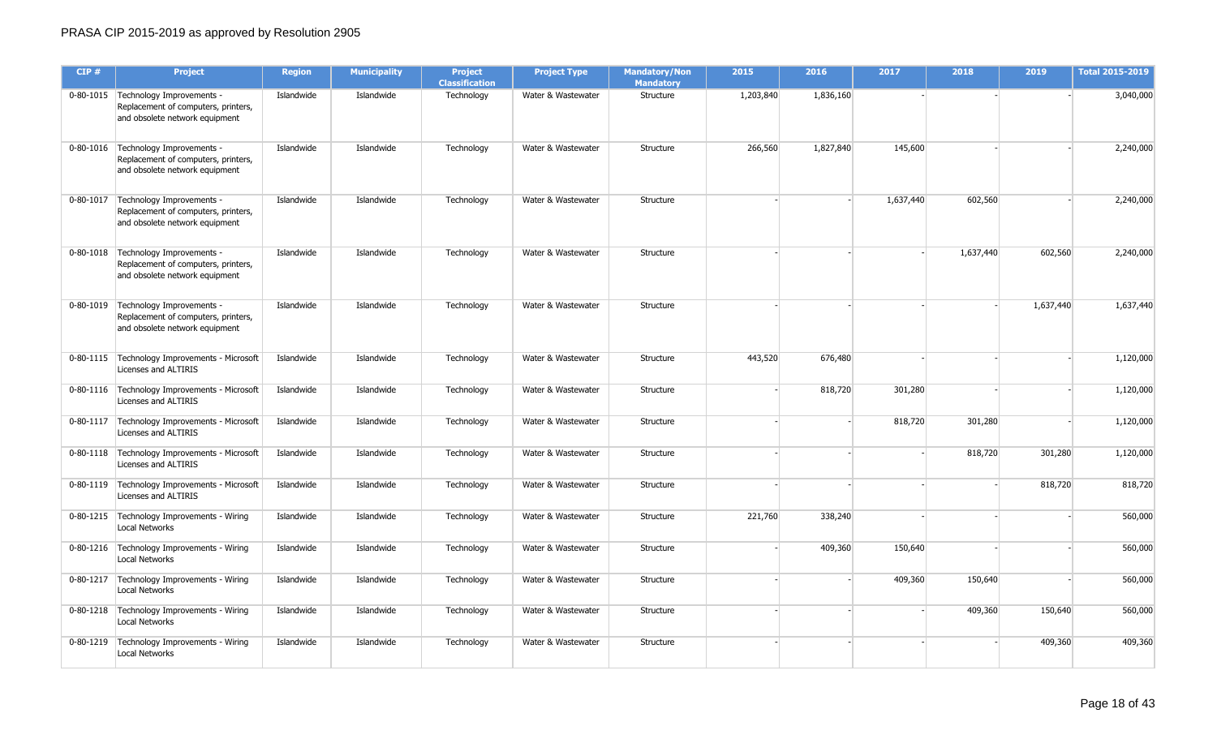| CIP# | <b>Project</b>                                                                                                 | <b>Region</b> | <b>Municipality</b> | <b>Project</b><br><b>Classification</b> | <b>Project Type</b> | <b>Mandatory/Non</b><br><b>Mandatory</b> | 2015      | 2016      | 2017      | 2018      | 2019      | <b>Total 2015-2019</b> |
|------|----------------------------------------------------------------------------------------------------------------|---------------|---------------------|-----------------------------------------|---------------------|------------------------------------------|-----------|-----------|-----------|-----------|-----------|------------------------|
|      | 0-80-1015 Technology Improvements -<br>Replacement of computers, printers,<br>and obsolete network equipment   | Islandwide    | Islandwide          | Technology                              | Water & Wastewater  | Structure                                | 1,203,840 | 1,836,160 |           |           |           | 3,040,000              |
|      | 0-80-1016 Technology Improvements -<br>Replacement of computers, printers,<br>and obsolete network equipment   | Islandwide    | Islandwide          | Technology                              | Water & Wastewater  | Structure                                | 266,560   | 1,827,840 | 145,600   |           |           | 2,240,000              |
|      | 0-80-1017   Technology Improvements -<br>Replacement of computers, printers,<br>and obsolete network equipment | Islandwide    | Islandwide          | Technology                              | Water & Wastewater  | Structure                                |           |           | 1,637,440 | 602,560   |           | 2,240,000              |
|      | 0-80-1018 Technology Improvements -<br>Replacement of computers, printers,<br>and obsolete network equipment   | Islandwide    | Islandwide          | Technology                              | Water & Wastewater  | Structure                                |           |           |           | 1,637,440 | 602,560   | 2,240,000              |
|      | 0-80-1019 Technology Improvements -<br>Replacement of computers, printers,<br>and obsolete network equipment   | Islandwide    | Islandwide          | Technology                              | Water & Wastewater  | Structure                                |           |           |           |           | 1,637,440 | 1,637,440              |
|      | 0-80-1115   Technology Improvements - Microsoft<br>Licenses and ALTIRIS                                        | Islandwide    | Islandwide          | Technology                              | Water & Wastewater  | Structure                                | 443,520   | 676,480   |           |           |           | 1,120,000              |
|      | 0-80-1116   Technology Improvements - Microsoft<br>Licenses and ALTIRIS                                        | Islandwide    | Islandwide          | Technology                              | Water & Wastewater  | Structure                                |           | 818,720   | 301,280   |           |           | 1,120,000              |
|      | 0-80-1117   Technology Improvements - Microsoft<br>Licenses and ALTIRIS                                        | Islandwide    | Islandwide          | Technology                              | Water & Wastewater  | Structure                                |           |           | 818,720   | 301,280   |           | 1,120,000              |
|      | 0-80-1118   Technology Improvements - Microsoft<br>Licenses and ALTIRIS                                        | Islandwide    | Islandwide          | Technology                              | Water & Wastewater  | Structure                                |           |           |           | 818,720   | 301,280   | 1,120,000              |
|      | 0-80-1119   Technology Improvements - Microsoft<br>Licenses and ALTIRIS                                        | Islandwide    | Islandwide          | Technology                              | Water & Wastewater  | Structure                                |           |           |           |           | 818,720   | 818,720                |
|      | 0-80-1215   Technology Improvements - Wiring<br><b>Local Networks</b>                                          | Islandwide    | Islandwide          | Technology                              | Water & Wastewater  | Structure                                | 221,760   | 338,240   |           |           |           | 560,000                |
|      | 0-80-1216   Technology Improvements - Wiring<br><b>Local Networks</b>                                          | Islandwide    | Islandwide          | Technology                              | Water & Wastewater  | Structure                                |           | 409,360   | 150,640   |           |           | 560,000                |
|      | 0-80-1217   Technology Improvements - Wiring<br>Local Networks                                                 | Islandwide    | Islandwide          | Technology                              | Water & Wastewater  | Structure                                |           |           | 409,360   | 150,640   |           | 560,000                |
|      | 0-80-1218   Technology Improvements - Wiring<br><b>Local Networks</b>                                          | Islandwide    | Islandwide          | Technology                              | Water & Wastewater  | Structure                                |           |           |           | 409,360   | 150,640   | 560,000                |
|      | 0-80-1219 Technology Improvements - Wiring<br><b>Local Networks</b>                                            | Islandwide    | Islandwide          | Technology                              | Water & Wastewater  | Structure                                |           |           |           |           | 409,360   | 409,360                |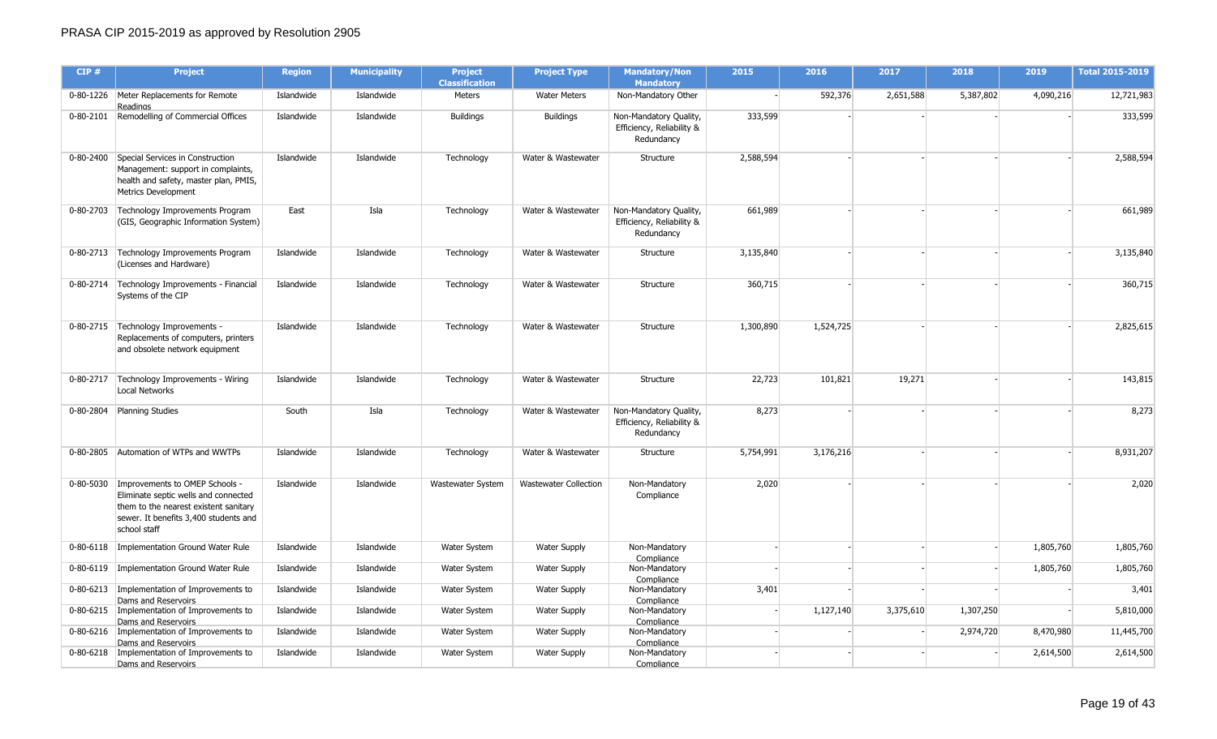| CIP#      | <b>Project</b>                                                                                                                                                                       | <b>Region</b> | <b>Municipality</b> | <b>Project</b><br><b>Classification</b> | <b>Project Type</b>          | <b>Mandatory/Non</b><br><b>Mandatory</b>                          | 2015      | 2016      | 2017      | 2018      | 2019      | <b>Total 2015-2019</b> |
|-----------|--------------------------------------------------------------------------------------------------------------------------------------------------------------------------------------|---------------|---------------------|-----------------------------------------|------------------------------|-------------------------------------------------------------------|-----------|-----------|-----------|-----------|-----------|------------------------|
|           | 0-80-1226 Meter Replacements for Remote<br><b>Readings</b>                                                                                                                           | Islandwide    | Islandwide          | Meters                                  | <b>Water Meters</b>          | Non-Mandatory Other                                               |           | 592,376   | 2,651,588 | 5,387,802 | 4,090,216 | 12,721,983             |
|           | 0-80-2101 Remodelling of Commercial Offices                                                                                                                                          | Islandwide    | Islandwide          | <b>Buildings</b>                        | <b>Buildings</b>             | Non-Mandatory Quality,<br>Efficiency, Reliability &<br>Redundancy | 333,599   |           |           |           |           | 333,599                |
|           | 0-80-2400 Special Services in Construction<br>Management: support in complaints,<br>health and safety, master plan, PMIS,<br><b>Metrics Development</b>                              | Islandwide    | Islandwide          | Technology                              | Water & Wastewater           | Structure                                                         | 2,588,594 |           |           |           |           | 2,588,594              |
|           | 0-80-2703 Technology Improvements Program<br>(GIS, Geographic Information System)                                                                                                    | East          | Isla                | Technology                              | Water & Wastewater           | Non-Mandatory Quality,<br>Efficiency, Reliability &<br>Redundancy | 661,989   |           |           |           |           | 661,989                |
|           | 0-80-2713 Technology Improvements Program<br>(Licenses and Hardware)                                                                                                                 | Islandwide    | Islandwide          | Technology                              | Water & Wastewater           | Structure                                                         | 3,135,840 |           |           |           |           | 3,135,840              |
|           | 0-80-2714   Technology Improvements - Financial<br>Systems of the CIP                                                                                                                | Islandwide    | Islandwide          | Technology                              | Water & Wastewater           | Structure                                                         | 360,715   |           |           |           |           | 360,715                |
|           | 0-80-2715 Technology Improvements -<br>Replacements of computers, printers<br>and obsolete network equipment                                                                         | Islandwide    | Islandwide          | Technology                              | Water & Wastewater           | Structure                                                         | 1,300,890 | 1,524,725 |           |           |           | 2,825,615              |
|           | 0-80-2717   Technology Improvements - Wiring<br>Local Networks                                                                                                                       | Islandwide    | Islandwide          | Technology                              | Water & Wastewater           | Structure                                                         | 22,723    | 101,821   | 19,271    |           |           | 143,815                |
|           | 0-80-2804 Planning Studies                                                                                                                                                           | South         | Isla                | Technology                              | Water & Wastewater           | Non-Mandatory Quality,<br>Efficiency, Reliability &<br>Redundancy | 8,273     |           |           |           |           | 8,273                  |
|           | 0-80-2805 Automation of WTPs and WWTPs                                                                                                                                               | Islandwide    | Islandwide          | Technology                              | Water & Wastewater           | Structure                                                         | 5,754,991 | 3,176,216 |           |           |           | 8,931,207              |
|           | 0-80-5030   Improvements to OMEP Schools -<br>Eliminate septic wells and connected<br>them to the nearest existent sanitary<br>sewer. It benefits 3,400 students and<br>school staff | Islandwide    | Islandwide          | Wastewater System                       | <b>Wastewater Collection</b> | Non-Mandatory<br>Compliance                                       | 2,020     |           |           |           |           | 2,020                  |
| 0-80-6118 | Implementation Ground Water Rule                                                                                                                                                     | Islandwide    | Islandwide          | <b>Water System</b>                     | <b>Water Supply</b>          | Non-Mandatory<br>Compliance                                       |           |           |           |           | 1,805,760 | 1,805,760              |
|           | 0-80-6119   Implementation Ground Water Rule                                                                                                                                         | Islandwide    | Islandwide          | Water System                            | <b>Water Supply</b>          | Non-Mandatory<br>Compliance                                       |           |           |           |           | 1,805,760 | 1,805,760              |
|           | 0-80-6213   Implementation of Improvements to<br>Dams and Reservoirs                                                                                                                 | Islandwide    | Islandwide          | Water System                            | <b>Water Supply</b>          | Non-Mandatory<br>Compliance                                       | 3,401     |           |           |           |           | 3,401                  |
|           | 0-80-6215   Implementation of Improvements to<br>Dams and Reservoirs                                                                                                                 | Islandwide    | Islandwide          | <b>Water System</b>                     | <b>Water Supply</b>          | Non-Mandatory<br>Compliance                                       |           | 1,127,140 | 3,375,610 | 1,307,250 |           | 5,810,000              |
|           | 0-80-6216   Implementation of Improvements to<br>Dams and Reservoirs                                                                                                                 | Islandwide    | Islandwide          | Water System                            | <b>Water Supply</b>          | Non-Mandatory<br>Compliance                                       |           |           |           | 2,974,720 | 8,470,980 | 11,445,700             |
| 0-80-6218 | Implementation of Improvements to<br>Dams and Reservoirs                                                                                                                             | Islandwide    | Islandwide          | Water System                            | <b>Water Supply</b>          | Non-Mandatory<br>Compliance                                       |           |           |           |           | 2,614,500 | 2,614,500              |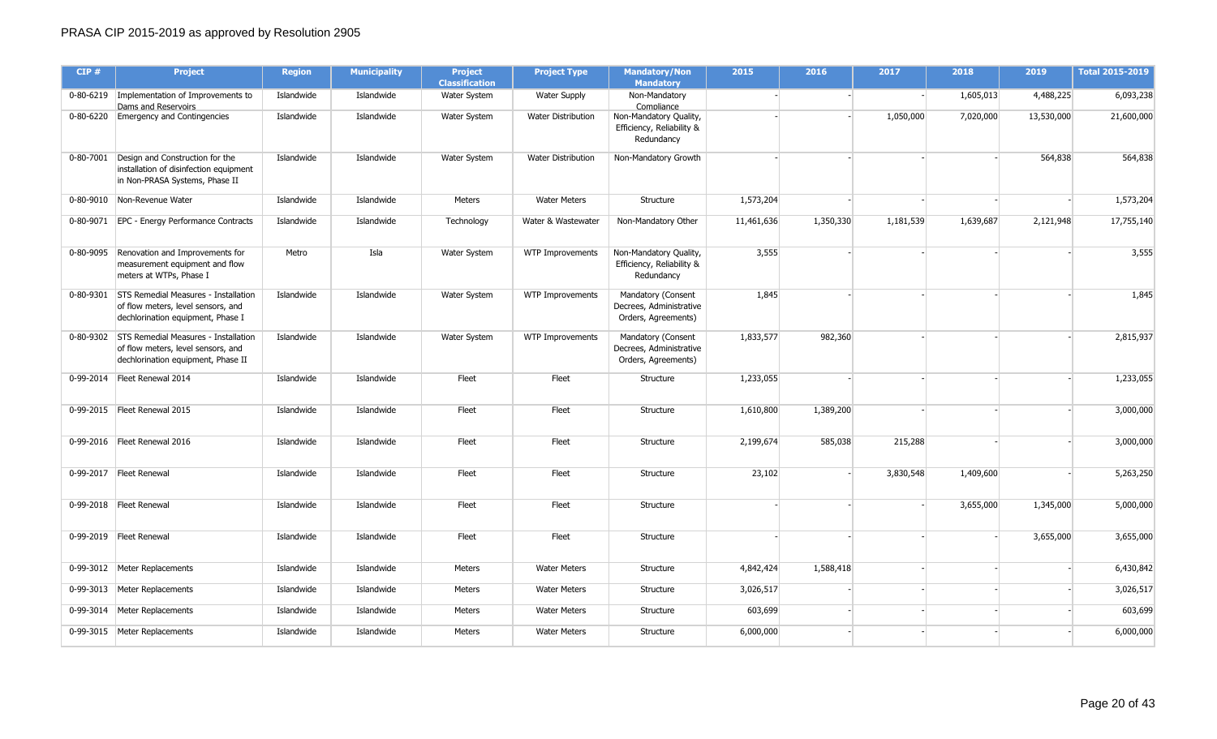| CIP#      | <b>Project</b>                                                                                                             | <b>Region</b> | <b>Municipality</b> | <b>Project</b><br><b>Classification</b> | <b>Project Type</b>       | <b>Mandatory/Non</b><br><b>Mandatory</b>                             | 2015       | 2016      | 2017      | 2018      | 2019       | <b>Total 2015-2019</b> |
|-----------|----------------------------------------------------------------------------------------------------------------------------|---------------|---------------------|-----------------------------------------|---------------------------|----------------------------------------------------------------------|------------|-----------|-----------|-----------|------------|------------------------|
|           | 0-80-6219 Implementation of Improvements to<br>Dams and Reservoirs                                                         | Islandwide    | Islandwide          | Water System                            | <b>Water Supply</b>       | Non-Mandatory<br>Compliance                                          |            |           |           | 1,605,013 | 4,488,225  | 6,093,238              |
|           | 0-80-6220 Emergency and Contingencies                                                                                      | Islandwide    | Islandwide          | Water System                            | Water Distribution        | Non-Mandatory Quality,<br>Efficiency, Reliability &<br>Redundancy    |            |           | 1,050,000 | 7,020,000 | 13,530,000 | 21,600,000             |
|           | 0-80-7001 Design and Construction for the<br>installation of disinfection equipment<br>in Non-PRASA Systems, Phase II      | Islandwide    | Islandwide          | Water System                            | <b>Water Distribution</b> | Non-Mandatory Growth                                                 |            |           |           |           | 564,838    | 564,838                |
|           | 0-80-9010 Non-Revenue Water                                                                                                | Islandwide    | Islandwide          | Meters                                  | <b>Water Meters</b>       | Structure                                                            | 1,573,204  |           |           |           |            | 1,573,204              |
|           | 0-80-9071   EPC - Energy Performance Contracts                                                                             | Islandwide    | Islandwide          | Technology                              | Water & Wastewater        | Non-Mandatory Other                                                  | 11,461,636 | 1,350,330 | 1,181,539 | 1,639,687 | 2,121,948  | 17,755,140             |
| 0-80-9095 | Renovation and Improvements for<br>measurement equipment and flow<br>meters at WTPs, Phase I                               | Metro         | Isla                | Water System                            | <b>WTP Improvements</b>   | Non-Mandatory Quality,<br>Efficiency, Reliability &<br>Redundancy    | 3,555      |           |           |           |            | 3,555                  |
|           | 0-80-9301 STS Remedial Measures - Installation<br>of flow meters, level sensors, and<br>dechlorination equipment, Phase I  | Islandwide    | Islandwide          | Water System                            | WTP Improvements          | Mandatory (Consent<br>Decrees, Administrative<br>Orders, Agreements) | 1,845      |           |           |           |            | 1,845                  |
|           | 0-80-9302 STS Remedial Measures - Installation<br>of flow meters, level sensors, and<br>dechlorination equipment, Phase II | Islandwide    | Islandwide          | Water System                            | <b>WTP Improvements</b>   | Mandatory (Consent<br>Decrees, Administrative<br>Orders, Agreements) | 1,833,577  | 982,360   |           |           |            | 2,815,937              |
|           | 0-99-2014   Fleet Renewal 2014                                                                                             | Islandwide    | Islandwide          | Fleet                                   | Fleet                     | Structure                                                            | 1,233,055  |           |           |           |            | 1,233,055              |
|           | 0-99-2015   Fleet Renewal 2015                                                                                             | Islandwide    | Islandwide          | Fleet                                   | Fleet                     | Structure                                                            | 1,610,800  | 1,389,200 |           |           |            | 3,000,000              |
|           | 0-99-2016 Fleet Renewal 2016                                                                                               | Islandwide    | Islandwide          | Fleet                                   | Fleet                     | Structure                                                            | 2,199,674  | 585,038   | 215,288   |           |            | 3,000,000              |
|           | 0-99-2017   Fleet Renewal                                                                                                  | Islandwide    | Islandwide          | Fleet                                   | Fleet                     | Structure                                                            | 23,102     |           | 3,830,548 | 1,409,600 |            | 5,263,250              |
|           | 0-99-2018 Fleet Renewal                                                                                                    | Islandwide    | Islandwide          | Fleet                                   | Fleet                     | Structure                                                            |            |           |           | 3,655,000 | 1,345,000  | 5,000,000              |
|           | 0-99-2019 Fleet Renewal                                                                                                    | Islandwide    | Islandwide          | Fleet                                   | Fleet                     | Structure                                                            |            |           |           |           | 3,655,000  | 3,655,000              |
|           | 0-99-3012 Meter Replacements                                                                                               | Islandwide    | Islandwide          | Meters                                  | <b>Water Meters</b>       | Structure                                                            | 4,842,424  | 1,588,418 |           |           |            | 6,430,842              |
|           | 0-99-3013 Meter Replacements                                                                                               | Islandwide    | Islandwide          | Meters                                  | <b>Water Meters</b>       | Structure                                                            | 3,026,517  |           |           |           |            | 3,026,517              |
|           | 0-99-3014   Meter Replacements                                                                                             | Islandwide    | Islandwide          | Meters                                  | <b>Water Meters</b>       | Structure                                                            | 603,699    |           |           |           |            | 603,699                |
|           | 0-99-3015 Meter Replacements                                                                                               | Islandwide    | Islandwide          | Meters                                  | <b>Water Meters</b>       | Structure                                                            | 6,000,000  |           |           |           |            | 6,000,000              |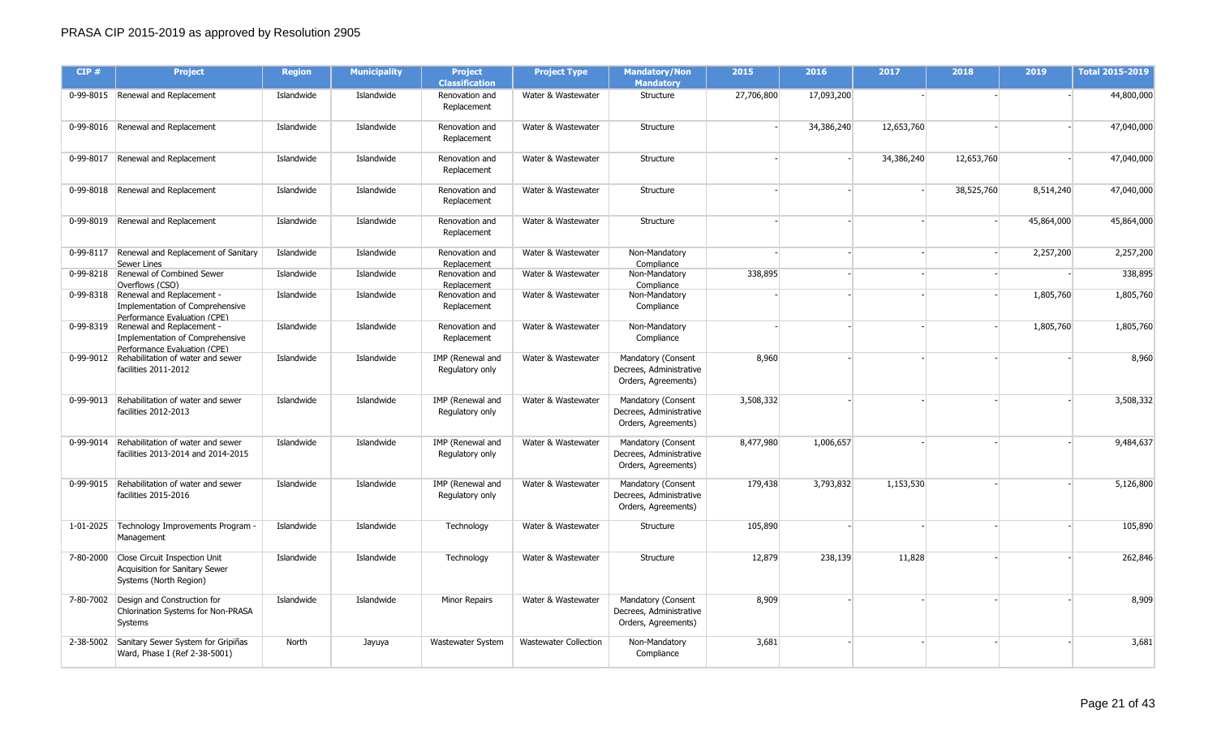| CIP# | <b>Project</b>                                                                                         | <b>Region</b> | <b>Municipality</b> | <b>Project</b><br><b>Classification</b> | <b>Project Type</b>          | <b>Mandatory/Non</b><br><b>Mandatory</b>                             | 2015       | 2016       | 2017       | 2018       | 2019       | <b>Total 2015-2019</b> |
|------|--------------------------------------------------------------------------------------------------------|---------------|---------------------|-----------------------------------------|------------------------------|----------------------------------------------------------------------|------------|------------|------------|------------|------------|------------------------|
|      | 0-99-8015 Renewal and Replacement                                                                      | Islandwide    | Islandwide          | Renovation and<br>Replacement           | Water & Wastewater           | Structure                                                            | 27,706,800 | 17,093,200 |            |            |            | 44,800,000             |
|      | 0-99-8016 Renewal and Replacement                                                                      | Islandwide    | Islandwide          | Renovation and<br>Replacement           | Water & Wastewater           | Structure                                                            |            | 34,386,240 | 12,653,760 |            |            | 47,040,000             |
|      | 0-99-8017 Renewal and Replacement                                                                      | Islandwide    | Islandwide          | Renovation and<br>Replacement           | Water & Wastewater           | Structure                                                            |            |            | 34,386,240 | 12,653,760 |            | 47,040,000             |
|      | 0-99-8018 Renewal and Replacement                                                                      | Islandwide    | Islandwide          | Renovation and<br>Replacement           | Water & Wastewater           | Structure                                                            |            |            |            | 38,525,760 | 8,514,240  | 47,040,000             |
|      | 0-99-8019 Renewal and Replacement                                                                      | Islandwide    | Islandwide          | Renovation and<br>Replacement           | Water & Wastewater           | Structure                                                            |            |            |            |            | 45,864,000 | 45,864,000             |
|      | 0-99-8117 Renewal and Replacement of Sanitary<br><b>Sewer Lines</b>                                    | Islandwide    | Islandwide          | Renovation and<br>Replacement           | Water & Wastewater           | Non-Mandatory<br>Compliance                                          |            |            |            |            | 2,257,200  | 2,257,200              |
|      | 0-99-8218 Renewal of Combined Sewer<br>Overflows (CSO)                                                 | Islandwide    | Islandwide          | Renovation and<br>Replacement           | Water & Wastewater           | Non-Mandatory<br>Compliance                                          | 338,895    |            |            |            |            | 338,895                |
|      | 0-99-8318 Renewal and Replacement -<br>Implementation of Comprehensive<br>Performance Evaluation (CPE) | Islandwide    | Islandwide          | Renovation and<br>Replacement           | Water & Wastewater           | Non-Mandatory<br>Compliance                                          |            |            |            |            | 1,805,760  | 1,805,760              |
|      | 0-99-8319 Renewal and Replacement -<br>Implementation of Comprehensive<br>Performance Evaluation (CPE) | Islandwide    | Islandwide          | Renovation and<br>Replacement           | Water & Wastewater           | Non-Mandatory<br>Compliance                                          |            |            |            |            | 1,805,760  | 1,805,760              |
|      | 0-99-9012 Rehabilitation of water and sewer<br>facilities 2011-2012                                    | Islandwide    | Islandwide          | IMP (Renewal and<br>Regulatory only     | Water & Wastewater           | Mandatory (Consent<br>Decrees, Administrative<br>Orders, Agreements) | 8,960      |            |            |            |            | 8,960                  |
|      | 0-99-9013 Rehabilitation of water and sewer<br>facilities 2012-2013                                    | Islandwide    | Islandwide          | IMP (Renewal and<br>Regulatory only     | Water & Wastewater           | Mandatory (Consent<br>Decrees, Administrative<br>Orders, Agreements) | 3,508,332  |            |            |            |            | 3,508,332              |
|      | 0-99-9014 Rehabilitation of water and sewer<br>facilities 2013-2014 and 2014-2015                      | Islandwide    | Islandwide          | IMP (Renewal and<br>Regulatory only     | Water & Wastewater           | Mandatory (Consent<br>Decrees, Administrative<br>Orders, Agreements) | 8,477,980  | 1,006,657  |            |            |            | 9,484,637              |
|      | 0-99-9015 Rehabilitation of water and sewer<br>facilities 2015-2016                                    | Islandwide    | Islandwide          | IMP (Renewal and<br>Regulatory only     | Water & Wastewater           | Mandatory (Consent<br>Decrees, Administrative<br>Orders, Agreements) | 179,438    | 3,793,832  | 1,153,530  |            |            | 5,126,800              |
|      | 1-01-2025   Technology Improvements Program<br>Management                                              | Islandwide    | Islandwide          | Technology                              | Water & Wastewater           | Structure                                                            | 105,890    |            |            |            |            | 105,890                |
|      | 7-80-2000 Close Circuit Inspection Unit<br>Acquisition for Sanitary Sewer<br>Systems (North Region)    | Islandwide    | Islandwide          | Technology                              | Water & Wastewater           | Structure                                                            | 12,879     | 238,139    | 11,828     |            |            | 262,846                |
|      | 7-80-7002 Design and Construction for<br>Chlorination Systems for Non-PRASA<br>Systems                 | Islandwide    | Islandwide          | Minor Repairs                           | Water & Wastewater           | Mandatory (Consent<br>Decrees, Administrative<br>Orders, Agreements) | 8,909      |            |            |            |            | 8,909                  |
|      | 2-38-5002 Sanitary Sewer System for Gripiñas<br>Ward, Phase I (Ref 2-38-5001)                          | North         | Jayuya              | Wastewater System                       | <b>Wastewater Collection</b> | Non-Mandatory<br>Compliance                                          | 3,681      |            |            |            |            | 3,681                  |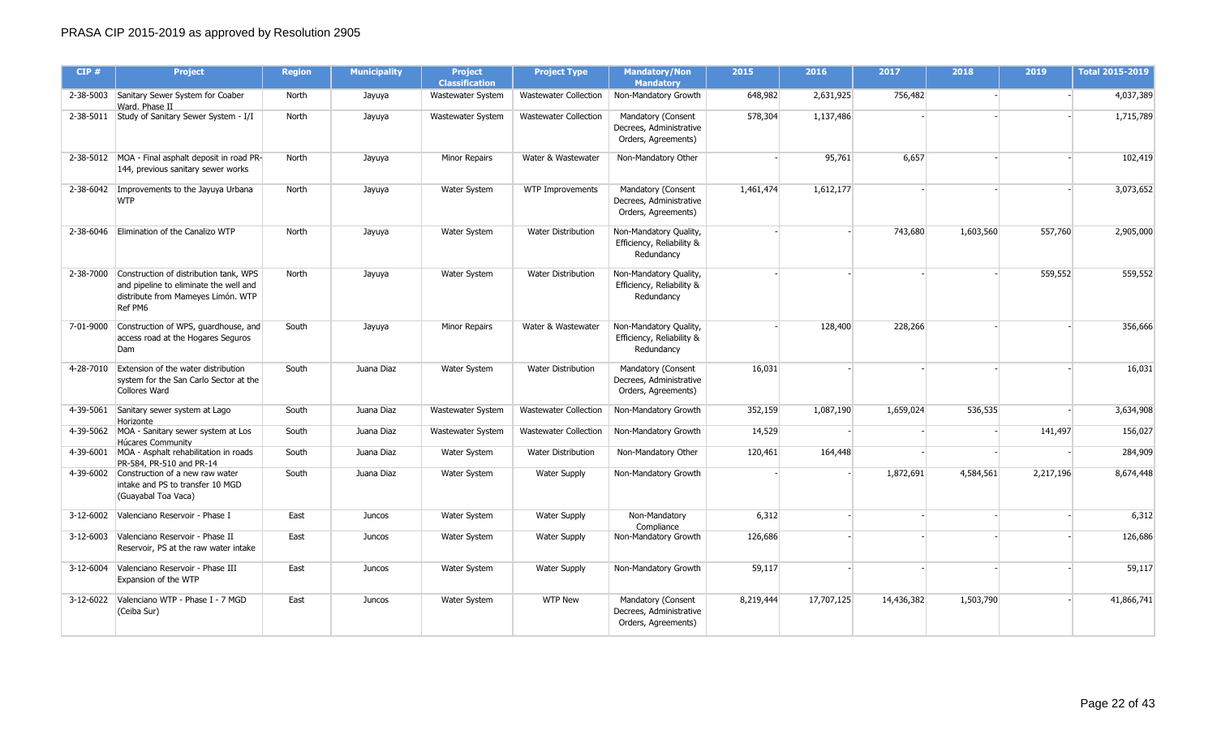| CIP#      | <b>Project</b>                                                                                                                              | <b>Region</b> | <b>Municipality</b> | <b>Project</b><br><b>Classification</b> | <b>Project Type</b>          | <b>Mandatory/Non</b><br><b>Mandatory</b>                             | 2015      | 2016       | 2017       | 2018      | 2019      | <b>Total 2015-2019</b> |
|-----------|---------------------------------------------------------------------------------------------------------------------------------------------|---------------|---------------------|-----------------------------------------|------------------------------|----------------------------------------------------------------------|-----------|------------|------------|-----------|-----------|------------------------|
|           | 2-38-5003 Sanitary Sewer System for Coaber<br>Ward, Phase II                                                                                | North         | Jayuya              | Wastewater System                       | <b>Wastewater Collection</b> | Non-Mandatory Growth                                                 | 648,982   | 2,631,925  | 756,482    |           |           | 4,037,389              |
|           | 2-38-5011 Study of Sanitary Sewer System - I/I                                                                                              | North         | Jayuya              | Wastewater System                       | <b>Wastewater Collection</b> | Mandatory (Consent<br>Decrees, Administrative<br>Orders, Agreements) | 578,304   | 1,137,486  |            |           |           | 1,715,789              |
|           | 2-38-5012 MOA - Final asphalt deposit in road PR-<br>144, previous sanitary sewer works                                                     | North         | Jayuya              | Minor Repairs                           | Water & Wastewater           | Non-Mandatory Other                                                  |           | 95,761     | 6,657      |           |           | 102,419                |
|           | 2-38-6042 Improvements to the Jayuya Urbana<br><b>WTP</b>                                                                                   | North         | Jayuya              | <b>Water System</b>                     | WTP Improvements             | Mandatory (Consent<br>Decrees, Administrative<br>Orders, Agreements) | 1,461,474 | 1,612,177  |            |           |           | 3,073,652              |
|           | 2-38-6046 Elimination of the Canalizo WTP                                                                                                   | North         | Jayuya              | <b>Water System</b>                     | Water Distribution           | Non-Mandatory Quality,<br>Efficiency, Reliability &<br>Redundancy    |           |            | 743,680    | 1,603,560 | 557,760   | 2,905,000              |
|           | 2-38-7000 Construction of distribution tank, WPS<br>and pipeline to eliminate the well and<br>distribute from Mameyes Limón. WTP<br>Ref PM6 | North         | Jayuya              | <b>Water System</b>                     | <b>Water Distribution</b>    | Non-Mandatory Quality,<br>Efficiency, Reliability &<br>Redundancy    |           |            |            |           | 559,552   | 559,552                |
| 7-01-9000 | Construction of WPS, guardhouse, and<br>access road at the Hogares Seguros<br>Dam                                                           | South         | Jayuya              | Minor Repairs                           | Water & Wastewater           | Non-Mandatory Quality,<br>Efficiency, Reliability &<br>Redundancy    |           | 128,400    | 228,266    |           |           | 356,666                |
|           | 4-28-7010 Extension of the water distribution<br>system for the San Carlo Sector at the<br>Collores Ward                                    | South         | Juana Diaz          | Water System                            | <b>Water Distribution</b>    | Mandatory (Consent<br>Decrees, Administrative<br>Orders, Agreements) | 16,031    |            |            |           |           | 16,031                 |
| 4-39-5061 | Sanitary sewer system at Lago<br>Horizonte                                                                                                  | South         | Juana Diaz          | Wastewater System                       | <b>Wastewater Collection</b> | Non-Mandatory Growth                                                 | 352,159   | 1,087,190  | 1,659,024  | 536,535   |           | 3,634,908              |
|           | 4-39-5062 MOA - Sanitary sewer system at Los<br>Húcares Community                                                                           | South         | Juana Diaz          | Wastewater System                       | <b>Wastewater Collection</b> | Non-Mandatory Growth                                                 | 14,529    |            |            |           | 141,497   | 156,027                |
| 4-39-6001 | MOA - Asphalt rehabilitation in roads<br>PR-584, PR-510 and PR-14                                                                           | South         | Juana Diaz          | <b>Water System</b>                     | <b>Water Distribution</b>    | Non-Mandatory Other                                                  | 120,461   | 164,448    |            |           |           | 284,909                |
|           | 4-39-6002 Construction of a new raw water<br>intake and PS to transfer 10 MGD<br>(Guayabal Toa Vaca)                                        | South         | Juana Diaz          | Water System                            | <b>Water Supply</b>          | Non-Mandatory Growth                                                 |           |            | 1,872,691  | 4,584,561 | 2,217,196 | 8,674,448              |
| 3-12-6002 | Valenciano Reservoir - Phase I                                                                                                              | East          | Juncos              | <b>Water System</b>                     | <b>Water Supply</b>          | Non-Mandatory<br>Compliance                                          | 6,312     |            |            |           |           | 6,312                  |
|           | 3-12-6003 Valenciano Reservoir - Phase II<br>Reservoir, PS at the raw water intake                                                          | East          | Juncos              | <b>Water System</b>                     | <b>Water Supply</b>          | Non-Mandatory Growth                                                 | 126,686   |            |            |           |           | 126,686                |
|           | 3-12-6004 Valenciano Reservoir - Phase III<br>Expansion of the WTP                                                                          | East          | Juncos              | Water System                            | <b>Water Supply</b>          | Non-Mandatory Growth                                                 | 59,117    |            |            |           |           | 59,117                 |
| 3-12-6022 | Valenciano WTP - Phase I - 7 MGD<br>(Ceiba Sur)                                                                                             | East          | Juncos              | Water System                            | <b>WTP New</b>               | Mandatory (Consent<br>Decrees, Administrative<br>Orders, Agreements) | 8,219,444 | 17,707,125 | 14,436,382 | 1,503,790 |           | 41,866,741             |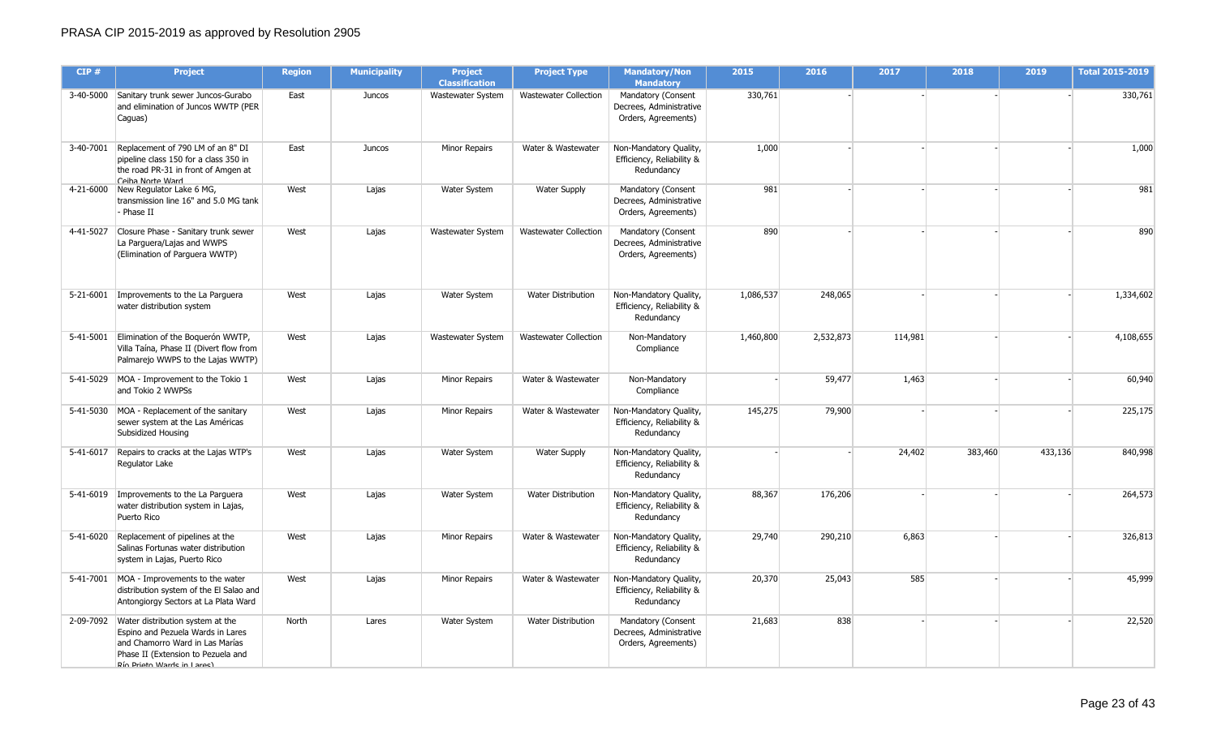| CIP#      | <b>Project</b>                                                                                                                                                                          | <b>Region</b> | <b>Municipality</b> | <b>Project</b><br><b>Classification</b> | <b>Project Type</b>          | <b>Mandatory/Non</b><br><b>Mandatory</b>                             | 2015      | 2016      | 2017    | 2018    | 2019    | <b>Total 2015-2019</b> |
|-----------|-----------------------------------------------------------------------------------------------------------------------------------------------------------------------------------------|---------------|---------------------|-----------------------------------------|------------------------------|----------------------------------------------------------------------|-----------|-----------|---------|---------|---------|------------------------|
|           | 3-40-5000 Sanitary trunk sewer Juncos-Gurabo<br>and elimination of Juncos WWTP (PER<br>Caguas)                                                                                          | East          | Juncos              | Wastewater System                       | <b>Wastewater Collection</b> | Mandatory (Consent<br>Decrees, Administrative<br>Orders, Agreements) | 330,761   |           |         |         |         | 330,761                |
|           | 3-40-7001 Replacement of 790 LM of an 8" DI<br>pipeline class 150 for a class 350 in<br>the road PR-31 in front of Amgen at<br>Ceiha Norte Ward                                         | East          | Juncos              | Minor Repairs                           | Water & Wastewater           | Non-Mandatory Quality,<br>Efficiency, Reliability &<br>Redundancy    | 1,000     |           |         |         |         | 1,000                  |
|           | 4-21-6000 New Regulator Lake 6 MG,<br>transmission line 16" and 5.0 MG tank<br>- Phase II                                                                                               | West          | Lajas               | Water System                            | <b>Water Supply</b>          | Mandatory (Consent<br>Decrees, Administrative<br>Orders, Agreements) | 981       |           |         |         |         | 981                    |
| 4-41-5027 | Closure Phase - Sanitary trunk sewer<br>La Parguera/Lajas and WWPS<br>(Elimination of Parguera WWTP)                                                                                    | West          | Lajas               | Wastewater System                       | <b>Wastewater Collection</b> | Mandatory (Consent<br>Decrees, Administrative<br>Orders, Agreements) | 890       |           |         |         |         | 890                    |
|           | 5-21-6001 Improvements to the La Parguera<br>water distribution system                                                                                                                  | West          | Lajas               | Water System                            | <b>Water Distribution</b>    | Non-Mandatory Quality,<br>Efficiency, Reliability &<br>Redundancy    | 1,086,537 | 248,065   |         |         |         | 1,334,602              |
|           | 5-41-5001 Elimination of the Boquerón WWTP,<br>Villa Taína, Phase II (Divert flow from<br>Palmarejo WWPS to the Lajas WWTP)                                                             | West          | Lajas               | Wastewater System                       | <b>Wastewater Collection</b> | Non-Mandatory<br>Compliance                                          | 1,460,800 | 2,532,873 | 114,981 |         |         | 4,108,655              |
|           | 5-41-5029 MOA - Improvement to the Tokio 1<br>and Tokio 2 WWPSs                                                                                                                         | West          | Lajas               | Minor Repairs                           | Water & Wastewater           | Non-Mandatory<br>Compliance                                          |           | 59,477    | 1,463   |         |         | 60,940                 |
|           | 5-41-5030 MOA - Replacement of the sanitary<br>sewer system at the Las Américas<br>Subsidized Housing                                                                                   | West          | Lajas               | Minor Repairs                           | Water & Wastewater           | Non-Mandatory Quality,<br>Efficiency, Reliability &<br>Redundancy    | 145,275   | 79,900    |         |         |         | 225,175                |
|           | 5-41-6017 Repairs to cracks at the Lajas WTP's<br>Regulator Lake                                                                                                                        | West          | Lajas               | Water System                            | <b>Water Supply</b>          | Non-Mandatory Quality,<br>Efficiency, Reliability &<br>Redundancy    |           |           | 24,402  | 383,460 | 433,136 | 840,998                |
|           | 5-41-6019 Improvements to the La Parguera<br>water distribution system in Lajas,<br>Puerto Rico                                                                                         | West          | Lajas               | Water System                            | <b>Water Distribution</b>    | Non-Mandatory Quality,<br>Efficiency, Reliability &<br>Redundancy    | 88,367    | 176,206   |         |         |         | 264,573                |
|           | 5-41-6020 Replacement of pipelines at the<br>Salinas Fortunas water distribution<br>system in Lajas, Puerto Rico                                                                        | West          | Lajas               | Minor Repairs                           | Water & Wastewater           | Non-Mandatory Quality,<br>Efficiency, Reliability &<br>Redundancy    | 29,740    | 290,210   | 6,863   |         |         | 326,813                |
|           | 5-41-7001 MOA - Improvements to the water<br>distribution system of the El Salao and<br>Antongiorgy Sectors at La Plata Ward                                                            | West          | Lajas               | Minor Repairs                           | Water & Wastewater           | Non-Mandatory Quality,<br>Efficiency, Reliability &<br>Redundancy    | 20,370    | 25,043    | 585     |         |         | 45,999                 |
|           | 2-09-7092 Water distribution system at the<br>Espino and Pezuela Wards in Lares<br>and Chamorro Ward in Las Marías<br>Phase II (Extension to Pezuela and<br>Dín Driatn Warde in I arac) | North         | Lares               | Water System                            | Water Distribution           | Mandatory (Consent<br>Decrees, Administrative<br>Orders, Agreements) | 21,683    | 838       |         |         |         | 22,520                 |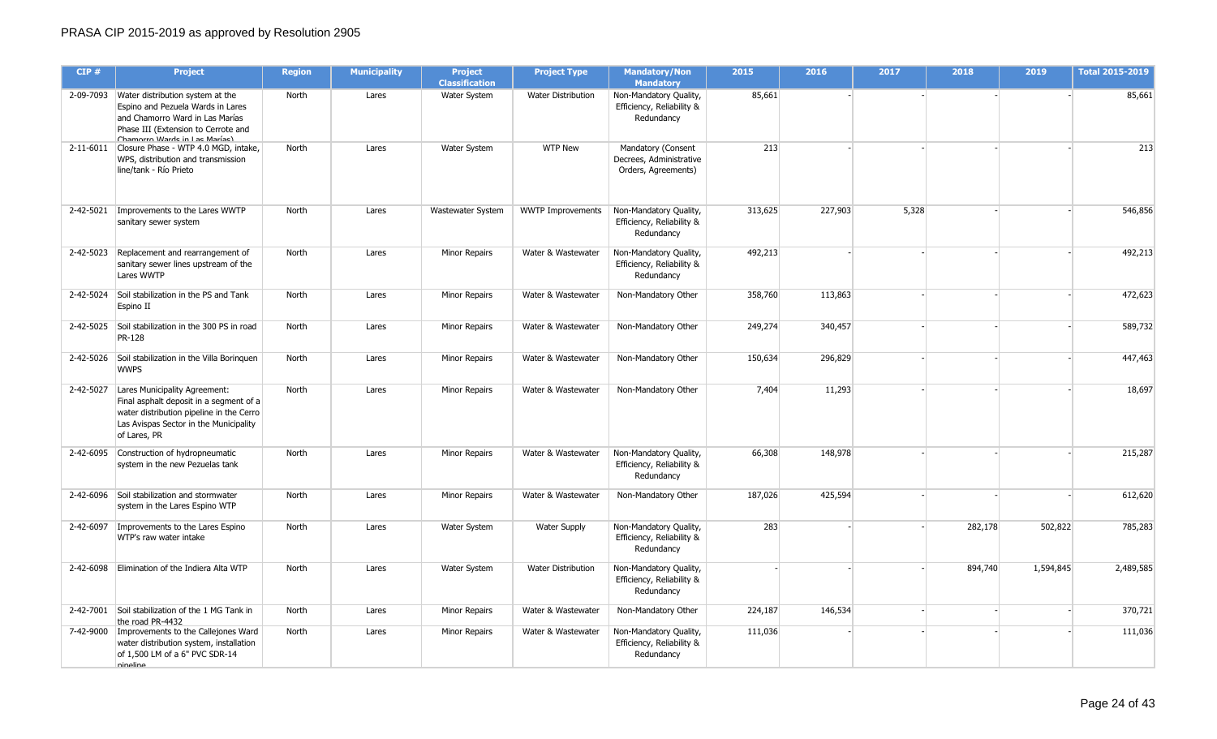| CIP#      | <b>Project</b>                                                                                                                                                                             | <b>Region</b> | <b>Municipality</b> | <b>Project</b><br><b>Classification</b> | <b>Project Type</b>       | <b>Mandatory/Non</b><br><b>Mandatory</b>                             | 2015    | 2016    | 2017  | 2018    | 2019      | <b>Total 2015-2019</b> |
|-----------|--------------------------------------------------------------------------------------------------------------------------------------------------------------------------------------------|---------------|---------------------|-----------------------------------------|---------------------------|----------------------------------------------------------------------|---------|---------|-------|---------|-----------|------------------------|
|           | 2-09-7093 Water distribution system at the<br>Espino and Pezuela Wards in Lares<br>and Chamorro Ward in Las Marías<br>Phase III (Extension to Cerrote and<br>Chamorro Warde in Lae Maríae) | North         | Lares               | Water System                            | Water Distribution        | Non-Mandatory Quality,<br>Efficiency, Reliability &<br>Redundancy    | 85,661  |         |       |         |           | 85,661                 |
|           | 2-11-6011 Closure Phase - WTP 4.0 MGD, intake,<br>WPS, distribution and transmission<br>line/tank - Río Prieto                                                                             | North         | Lares               | Water System                            | <b>WTP New</b>            | Mandatory (Consent<br>Decrees, Administrative<br>Orders, Agreements) | 213     |         |       |         |           | 213                    |
|           | 2-42-5021   Improvements to the Lares WWTP<br>sanitary sewer system                                                                                                                        | North         | Lares               | Wastewater System                       | <b>WWTP Improvements</b>  | Non-Mandatory Quality,<br>Efficiency, Reliability &<br>Redundancy    | 313,625 | 227,903 | 5,328 |         |           | 546,856                |
| 2-42-5023 | Replacement and rearrangement of<br>sanitary sewer lines upstream of the<br>Lares WWTP                                                                                                     | North         | Lares               | <b>Minor Repairs</b>                    | Water & Wastewater        | Non-Mandatory Quality,<br>Efficiency, Reliability &<br>Redundancy    | 492,213 |         |       |         |           | 492,213                |
| 2-42-5024 | Soil stabilization in the PS and Tank<br>Espino II                                                                                                                                         | North         | Lares               | <b>Minor Repairs</b>                    | Water & Wastewater        | Non-Mandatory Other                                                  | 358,760 | 113,863 |       |         |           | 472,623                |
| 2-42-5025 | Soil stabilization in the 300 PS in road<br><b>PR-128</b>                                                                                                                                  | North         | Lares               | Minor Repairs                           | Water & Wastewater        | Non-Mandatory Other                                                  | 249,274 | 340,457 |       |         |           | 589,732                |
| 2-42-5026 | Soil stabilization in the Villa Boringuen<br><b>WWPS</b>                                                                                                                                   | North         | Lares               | Minor Repairs                           | Water & Wastewater        | Non-Mandatory Other                                                  | 150,634 | 296,829 |       |         |           | 447,463                |
| 2-42-5027 | Lares Municipality Agreement:<br>Final asphalt deposit in a segment of a<br>water distribution pipeline in the Cerro<br>Las Avispas Sector in the Municipality<br>of Lares, PR             | North         | Lares               | <b>Minor Repairs</b>                    | Water & Wastewater        | Non-Mandatory Other                                                  | 7,404   | 11,293  |       |         |           | 18,697                 |
|           | 2-42-6095 Construction of hydropneumatic<br>system in the new Pezuelas tank                                                                                                                | North         | Lares               | <b>Minor Repairs</b>                    | Water & Wastewater        | Non-Mandatory Quality,<br>Efficiency, Reliability &<br>Redundancy    | 66,308  | 148,978 |       |         |           | 215,287                |
|           | 2-42-6096 Soil stabilization and stormwater<br>system in the Lares Espino WTP                                                                                                              | North         | Lares               | <b>Minor Repairs</b>                    | Water & Wastewater        | Non-Mandatory Other                                                  | 187,026 | 425,594 |       |         |           | 612,620                |
|           | 2-42-6097 Improvements to the Lares Espino<br>WTP's raw water intake                                                                                                                       | North         | Lares               | Water System                            | <b>Water Supply</b>       | Non-Mandatory Quality,<br>Efficiency, Reliability &<br>Redundancy    | 283     |         |       | 282,178 | 502,822   | 785,283                |
| 2-42-6098 | Elimination of the Indiera Alta WTP                                                                                                                                                        | North         | Lares               | Water System                            | <b>Water Distribution</b> | Non-Mandatory Quality,<br>Efficiency, Reliability &<br>Redundancy    |         |         |       | 894,740 | 1,594,845 | 2,489,585              |
|           | 2-42-7001 Soil stabilization of the 1 MG Tank in<br>the road PR-4432                                                                                                                       | North         | Lares               | <b>Minor Repairs</b>                    | Water & Wastewater        | Non-Mandatory Other                                                  | 224,187 | 146,534 |       |         |           | 370,721                |
|           | 7-42-9000   Improvements to the Callejones Ward<br>water distribution system, installation<br>of 1,500 LM of a 6" PVC SDR-14<br>nineline                                                   | North         | Lares               | <b>Minor Repairs</b>                    | Water & Wastewater        | Non-Mandatory Quality,<br>Efficiency, Reliability &<br>Redundancy    | 111,036 |         |       |         |           | 111,036                |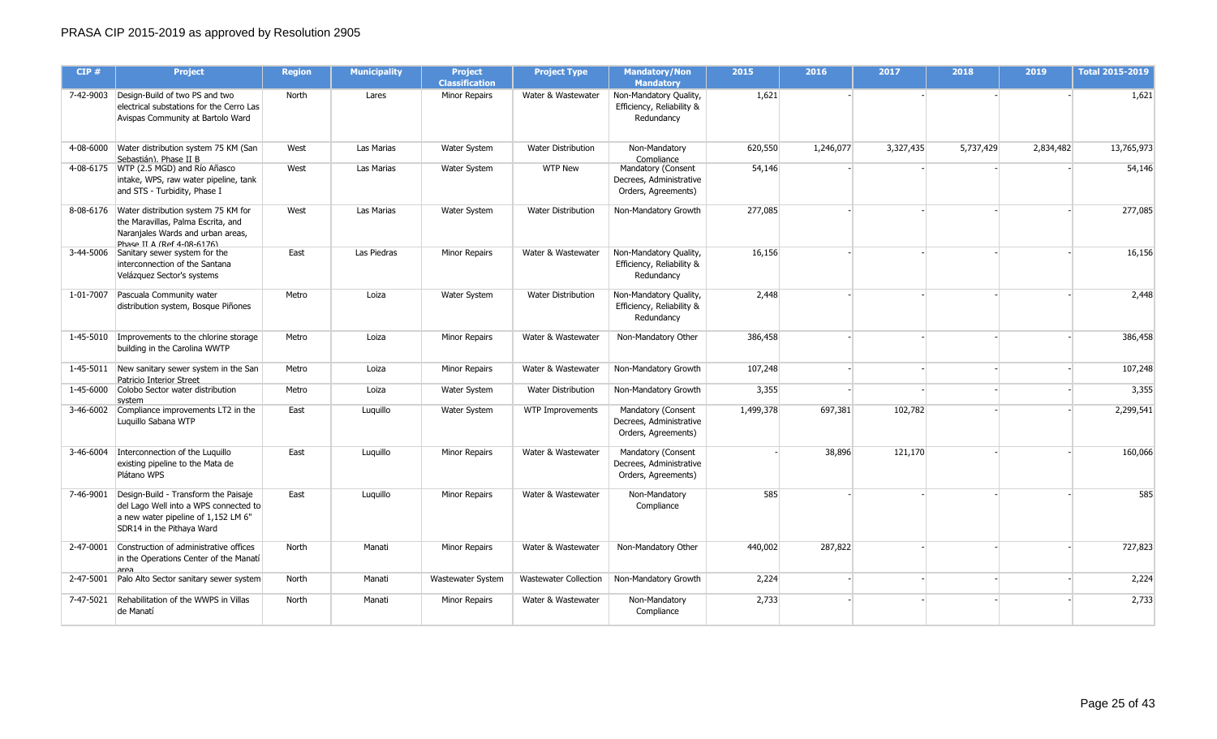| CIP#      | Project                                                                                                                                                | <b>Region</b> | <b>Municipality</b> | <b>Project</b><br><b>Classification</b> | <b>Project Type</b>          | <b>Mandatory/Non</b><br><b>Mandatory</b>                             | 2015      | 2016      | 2017      | 2018      | 2019      | <b>Total 2015-2019</b> |
|-----------|--------------------------------------------------------------------------------------------------------------------------------------------------------|---------------|---------------------|-----------------------------------------|------------------------------|----------------------------------------------------------------------|-----------|-----------|-----------|-----------|-----------|------------------------|
|           | 7-42-9003 Design-Build of two PS and two<br>electrical substations for the Cerro Las<br>Avispas Community at Bartolo Ward                              | North         | Lares               | <b>Minor Repairs</b>                    | Water & Wastewater           | Non-Mandatory Quality,<br>Efficiency, Reliability &<br>Redundancv    | 1,621     |           |           |           |           | 1,621                  |
|           | 4-08-6000 Water distribution system 75 KM (San<br>Sebastián), Phase II B                                                                               | West          | Las Marias          | Water System                            | Water Distribution           | Non-Mandatory<br>Compliance                                          | 620,550   | 1,246,077 | 3,327,435 | 5,737,429 | 2,834,482 | 13,765,973             |
|           | 4-08-6175 WTP (2.5 MGD) and Río Añasco<br>intake, WPS, raw water pipeline, tank<br>and STS - Turbidity, Phase I                                        | West          | Las Marias          | Water System                            | <b>WTP New</b>               | Mandatory (Consent<br>Decrees, Administrative<br>Orders, Agreements) | 54,146    |           |           |           |           | 54,146                 |
|           | 8-08-6176 Water distribution system 75 KM for<br>the Maravillas, Palma Escrita, and<br>Naraniales Wards and urban areas,<br>Phace II Δ (Ref 4-08-6176) | West          | Las Marias          | <b>Water System</b>                     | <b>Water Distribution</b>    | Non-Mandatory Growth                                                 | 277,085   |           |           |           |           | 277,085                |
|           | 3-44-5006 Sanitary sewer system for the<br>interconnection of the Santana<br>Velázquez Sector's systems                                                | East          | Las Piedras         | Minor Repairs                           | Water & Wastewater           | Non-Mandatory Quality,<br>Efficiency, Reliability &<br>Redundancy    | 16,156    |           |           |           |           | 16,156                 |
|           | 1-01-7007 Pascuala Community water<br>distribution system, Bosque Piñones                                                                              | Metro         | Loiza               | Water System                            | <b>Water Distribution</b>    | Non-Mandatory Quality,<br>Efficiency, Reliability &<br>Redundancy    | 2,448     |           |           |           |           | 2,448                  |
|           | 1-45-5010 Improvements to the chlorine storage<br>building in the Carolina WWTP                                                                        | Metro         | Loiza               | <b>Minor Repairs</b>                    | Water & Wastewater           | Non-Mandatory Other                                                  | 386,458   |           |           |           |           | 386,458                |
|           | 1-45-5011 New sanitary sewer system in the San<br>Patricio Interior Street                                                                             | Metro         | Loiza               | Minor Repairs                           | Water & Wastewater           | Non-Mandatory Growth                                                 | 107,248   |           |           |           |           | 107,248                |
| 1-45-6000 | Colobo Sector water distribution<br>svstem                                                                                                             | Metro         | Loiza               | Water System                            | <b>Water Distribution</b>    | Non-Mandatory Growth                                                 | 3,355     |           |           |           |           | 3,355                  |
|           | 3-46-6002 Compliance improvements LT2 in the<br>Luquillo Sabana WTP                                                                                    | East          | Luquillo            | Water System                            | <b>WTP Improvements</b>      | Mandatory (Consent<br>Decrees, Administrative<br>Orders, Agreements) | 1,499,378 | 697,381   | 102,782   |           |           | 2,299,541              |
|           | 3-46-6004   Interconnection of the Luquillo<br>existing pipeline to the Mata de<br>Plátano WPS                                                         | East          | Luquillo            | <b>Minor Repairs</b>                    | Water & Wastewater           | Mandatory (Consent<br>Decrees, Administrative<br>Orders, Agreements) |           | 38,896    | 121,170   |           |           | 160,066                |
| 7-46-9001 | Design-Build - Transform the Paisaje<br>del Lago Well into a WPS connected to<br>a new water pipeline of 1,152 LM 6"<br>SDR14 in the Pithaya Ward      | East          | Luquillo            | <b>Minor Repairs</b>                    | Water & Wastewater           | Non-Mandatory<br>Compliance                                          | 585       |           |           |           |           | 585                    |
|           | 2-47-0001 Construction of administrative offices<br>in the Operations Center of the Manatí<br>area                                                     | North         | Manati              | Minor Repairs                           | Water & Wastewater           | Non-Mandatory Other                                                  | 440,002   | 287,822   |           |           |           | 727,823                |
|           | 2-47-5001 Palo Alto Sector sanitary sewer system                                                                                                       | North         | Manati              | Wastewater System                       | <b>Wastewater Collection</b> | Non-Mandatory Growth                                                 | 2,224     |           |           |           |           | 2,224                  |
| 7-47-5021 | Rehabilitation of the WWPS in Villas<br>de Manatí                                                                                                      | North         | Manati              | Minor Repairs                           | Water & Wastewater           | Non-Mandatory<br>Compliance                                          | 2,733     |           |           |           |           | 2,733                  |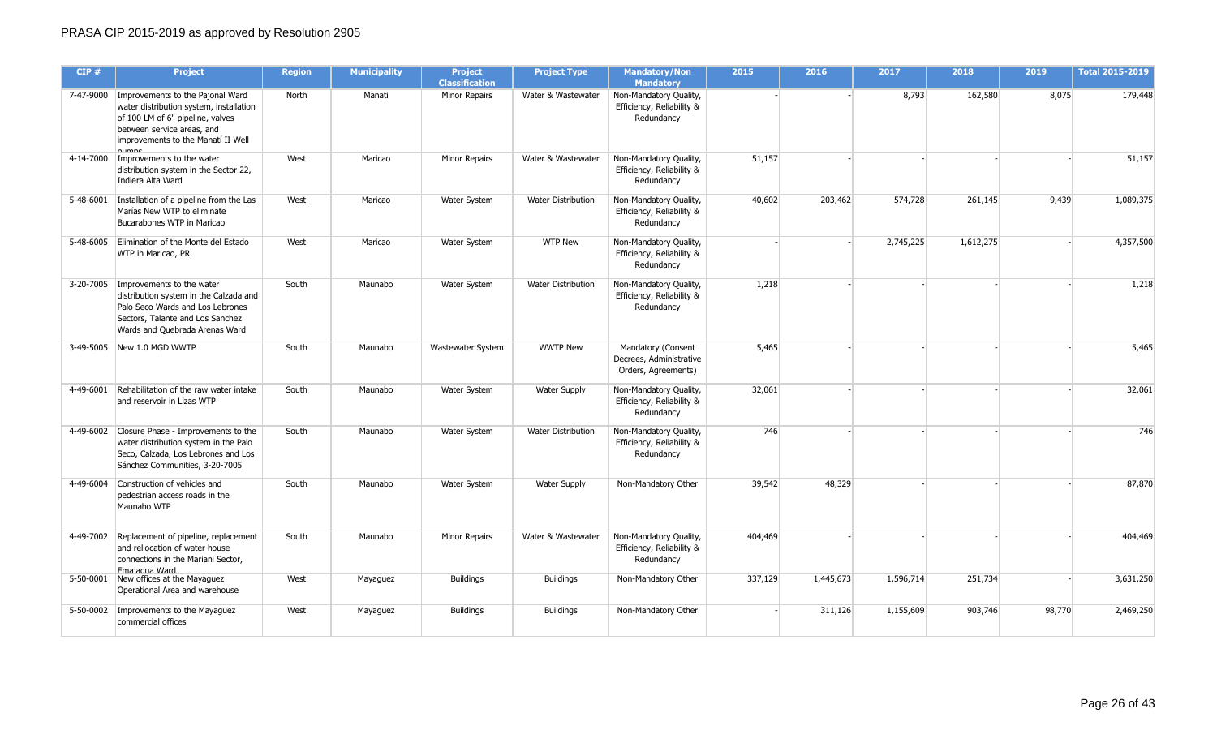| CIP#      | <b>Project</b>                                                                                                                                                                                | <b>Region</b> | <b>Municipality</b> | <b>Project</b><br><b>Classification</b> | <b>Project Type</b>       | <b>Mandatory/Non</b><br><b>Mandatory</b>                             | 2015    | 2016      | 2017      | 2018      | 2019   | Total 2015-2019 |
|-----------|-----------------------------------------------------------------------------------------------------------------------------------------------------------------------------------------------|---------------|---------------------|-----------------------------------------|---------------------------|----------------------------------------------------------------------|---------|-----------|-----------|-----------|--------|-----------------|
|           | 7-47-9000 Improvements to the Pajonal Ward<br>water distribution system, installation<br>of 100 LM of 6" pipeline, valves<br>between service areas, and<br>improvements to the Manatí II Well | North         | Manati              | <b>Minor Repairs</b>                    | Water & Wastewater        | Non-Mandatory Quality,<br>Efficiency, Reliability &<br>Redundancy    |         |           | 8,793     | 162,580   | 8,075  | 179,448         |
|           | 4-14-7000 Improvements to the water<br>distribution system in the Sector 22,<br>Indiera Alta Ward                                                                                             | West          | Maricao             | <b>Minor Repairs</b>                    | Water & Wastewater        | Non-Mandatory Quality,<br>Efficiency, Reliability &<br>Redundancy    | 51,157  |           |           |           |        | 51,157          |
|           | 5-48-6001   Installation of a pipeline from the Las<br>Marías New WTP to eliminate<br>Bucarabones WTP in Maricao                                                                              | West          | Maricao             | Water System                            | <b>Water Distribution</b> | Non-Mandatory Quality,<br>Efficiency, Reliability &<br>Redundancy    | 40,602  | 203,462   | 574,728   | 261,145   | 9,439  | 1,089,375       |
|           | 5-48-6005 Elimination of the Monte del Estado<br>WTP in Maricao, PR                                                                                                                           | West          | Maricao             | Water System                            | <b>WTP New</b>            | Non-Mandatory Quality,<br>Efficiency, Reliability &<br>Redundancy    |         |           | 2,745,225 | 1,612,275 |        | 4,357,500       |
|           | 3-20-7005   Improvements to the water<br>distribution system in the Calzada and<br>Palo Seco Wards and Los Lebrones<br>Sectors, Talante and Los Sanchez<br>Wards and Quebrada Arenas Ward     | South         | Maunabo             | Water System                            | Water Distribution        | Non-Mandatory Quality,<br>Efficiency, Reliability &<br>Redundancy    | 1,218   |           |           |           |        | 1,218           |
|           | 3-49-5005 New 1.0 MGD WWTP                                                                                                                                                                    | South         | Maunabo             | Wastewater System                       | <b>WWTP New</b>           | Mandatory (Consent<br>Decrees, Administrative<br>Orders, Agreements) | 5,465   |           |           |           |        | 5,465           |
| 4-49-6001 | Rehabilitation of the raw water intake<br>and reservoir in Lizas WTP                                                                                                                          | South         | Maunabo             | Water System                            | <b>Water Supply</b>       | Non-Mandatory Quality,<br>Efficiency, Reliability &<br>Redundancy    | 32,061  |           |           |           |        | 32,061          |
| 4-49-6002 | Closure Phase - Improvements to the<br>water distribution system in the Palo<br>Seco, Calzada, Los Lebrones and Los<br>Sánchez Communities, 3-20-7005                                         | South         | Maunabo             | Water System                            | <b>Water Distribution</b> | Non-Mandatory Quality,<br>Efficiency, Reliability &<br>Redundancy    | 746     |           |           |           |        | 746             |
|           | 4-49-6004 Construction of vehicles and<br>pedestrian access roads in the<br>Maunabo WTP                                                                                                       | South         | Maunabo             | Water System                            | <b>Water Supply</b>       | Non-Mandatory Other                                                  | 39,542  | 48,329    |           |           |        | 87,870          |
|           | 4-49-7002 Replacement of pipeline, replacement<br>and rellocation of water house<br>connections in the Mariani Sector,<br><b>Emaianua Ward</b>                                                | South         | Maunabo             | <b>Minor Repairs</b>                    | Water & Wastewater        | Non-Mandatory Quality,<br>Efficiency, Reliability &<br>Redundancy    | 404,469 |           |           |           |        | 404,469         |
|           | 5-50-0001 New offices at the Mayaguez<br>Operational Area and warehouse                                                                                                                       | West          | Mayaguez            | <b>Buildings</b>                        | <b>Buildings</b>          | Non-Mandatory Other                                                  | 337,129 | 1,445,673 | 1,596,714 | 251,734   |        | 3,631,250       |
|           | 5-50-0002   Improvements to the Mayaguez<br>commercial offices                                                                                                                                | West          | Mayaguez            | <b>Buildings</b>                        | <b>Buildings</b>          | Non-Mandatory Other                                                  |         | 311,126   | 1,155,609 | 903,746   | 98,770 | 2,469,250       |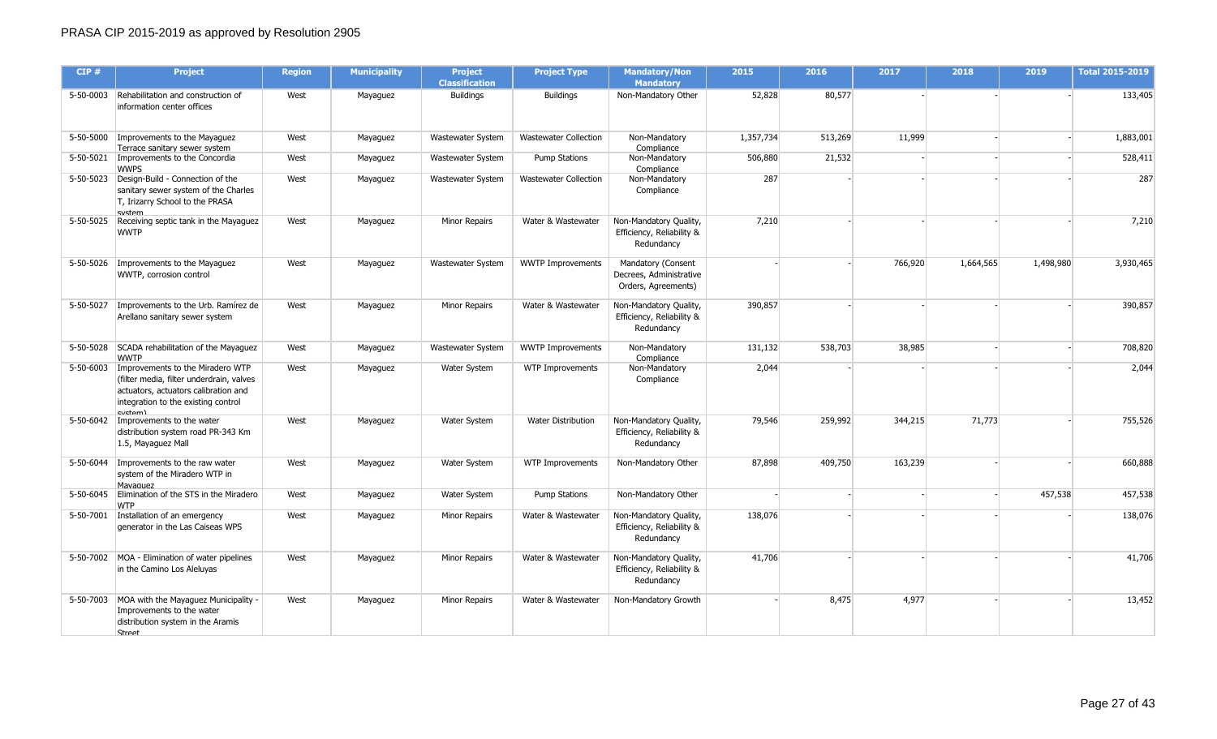| CIP#      | <b>Project</b>                                                                                                                                                                    | <b>Region</b> | <b>Municipality</b> | <b>Project</b><br><b>Classification</b> | <b>Project Type</b>          | <b>Mandatory/Non</b><br><b>Mandatory</b>                             | 2015      | 2016    | 2017    | 2018      | 2019      | <b>Total 2015-2019</b> |
|-----------|-----------------------------------------------------------------------------------------------------------------------------------------------------------------------------------|---------------|---------------------|-----------------------------------------|------------------------------|----------------------------------------------------------------------|-----------|---------|---------|-----------|-----------|------------------------|
|           | 5-50-0003 Rehabilitation and construction of<br>information center offices                                                                                                        | West          | Mayaguez            | <b>Buildings</b>                        | <b>Buildings</b>             | Non-Mandatory Other                                                  | 52,828    | 80,577  |         |           |           | 133,405                |
|           | 5-50-5000   Improvements to the Mayaguez<br>Terrace sanitary sewer system                                                                                                         | West          | Mayaguez            | Wastewater System                       | <b>Wastewater Collection</b> | Non-Mandatory<br>Compliance                                          | 1,357,734 | 513,269 | 11,999  |           |           | 1,883,001              |
|           | 5-50-5021   Improvements to the Concordia<br><b>WWPS</b>                                                                                                                          | West          | Mayaguez            | Wastewater System                       | <b>Pump Stations</b>         | Non-Mandatory<br>Compliance                                          | 506,880   | 21,532  |         |           |           | 528,411                |
|           | 5-50-5023 Design-Build - Connection of the<br>sanitary sewer system of the Charles<br>T, Irizarry School to the PRASA<br>cyctem                                                   | West          | Mayaguez            | Wastewater System                       | Wastewater Collection        | Non-Mandatory<br>Compliance                                          | 287       |         |         |           |           | 287                    |
|           | 5-50-5025 Receiving septic tank in the Mayaguez<br><b>WWTP</b>                                                                                                                    | West          | Mayaguez            | Minor Repairs                           | Water & Wastewater           | Non-Mandatory Quality,<br>Efficiency, Reliability &<br>Redundancy    | 7,210     |         |         |           |           | 7,210                  |
|           | 5-50-5026 Improvements to the Mayaguez<br>WWTP, corrosion control                                                                                                                 | West          | Mayaguez            | Wastewater System                       | <b>WWTP Improvements</b>     | Mandatory (Consent<br>Decrees, Administrative<br>Orders, Agreements) |           |         | 766,920 | 1,664,565 | 1,498,980 | 3,930,465              |
| 5-50-5027 | Improvements to the Urb. Ramirez de<br>Arellano sanitary sewer system                                                                                                             | West          | Mayaguez            | Minor Repairs                           | Water & Wastewater           | Non-Mandatory Quality,<br>Efficiency, Reliability &<br>Redundancy    | 390,857   |         |         |           |           | 390,857                |
|           | 5-50-5028 SCADA rehabilitation of the Mayaguez<br><b>WWTP</b>                                                                                                                     | West          | Mayaguez            | Wastewater System                       | <b>WWTP Improvements</b>     | Non-Mandatory<br>Compliance                                          | 131,132   | 538,703 | 38,985  |           |           | 708,820                |
|           | 5-50-6003   Improvements to the Miradero WTP<br>(filter media, filter underdrain, valves<br>actuators, actuators calibration and<br>integration to the existing control<br>cutam) | West          | Mayaguez            | Water System                            | WTP Improvements             | Non-Mandatory<br>Compliance                                          | 2,044     |         |         |           |           | 2,044                  |
|           | 5-50-6042   Improvements to the water<br>distribution system road PR-343 Km<br>1.5, Mayaguez Mall                                                                                 | West          | Mayaguez            | Water System                            | Water Distribution           | Non-Mandatory Quality,<br>Efficiency, Reliability &<br>Redundancy    | 79,546    | 259,992 | 344,215 | 71,773    |           | 755,526                |
|           | 5-50-6044 Improvements to the raw water<br>system of the Miradero WTP in<br>Mavaguez                                                                                              | West          | Mayaguez            | Water System                            | WTP Improvements             | Non-Mandatory Other                                                  | 87,898    | 409,750 | 163,239 |           |           | 660,888                |
|           | 5-50-6045 Elimination of the STS in the Miradero<br><b>WTP</b>                                                                                                                    | West          | Mayaguez            | Water System                            | Pump Stations                | Non-Mandatory Other                                                  |           |         |         |           | 457,538   | 457,538                |
|           | 5-50-7001   Installation of an emergency<br>generator in the Las Caiseas WPS                                                                                                      | West          | Mayaguez            | Minor Repairs                           | Water & Wastewater           | Non-Mandatory Quality,<br>Efficiency, Reliability &<br>Redundancy    | 138,076   |         |         |           |           | 138,076                |
|           | 5-50-7002 MOA - Elimination of water pipelines<br>in the Camino Los Aleluyas                                                                                                      | West          | Mayaguez            | Minor Repairs                           | Water & Wastewater           | Non-Mandatory Quality,<br>Efficiency, Reliability &<br>Redundancy    | 41,706    |         |         |           |           | 41,706                 |
|           | 5-50-7003 MOA with the Mayaguez Municipality -<br>Improvements to the water<br>distribution system in the Aramis<br>Street                                                        | West          | Mayaguez            | Minor Repairs                           | Water & Wastewater           | Non-Mandatory Growth                                                 |           | 8,475   | 4,977   |           |           | 13,452                 |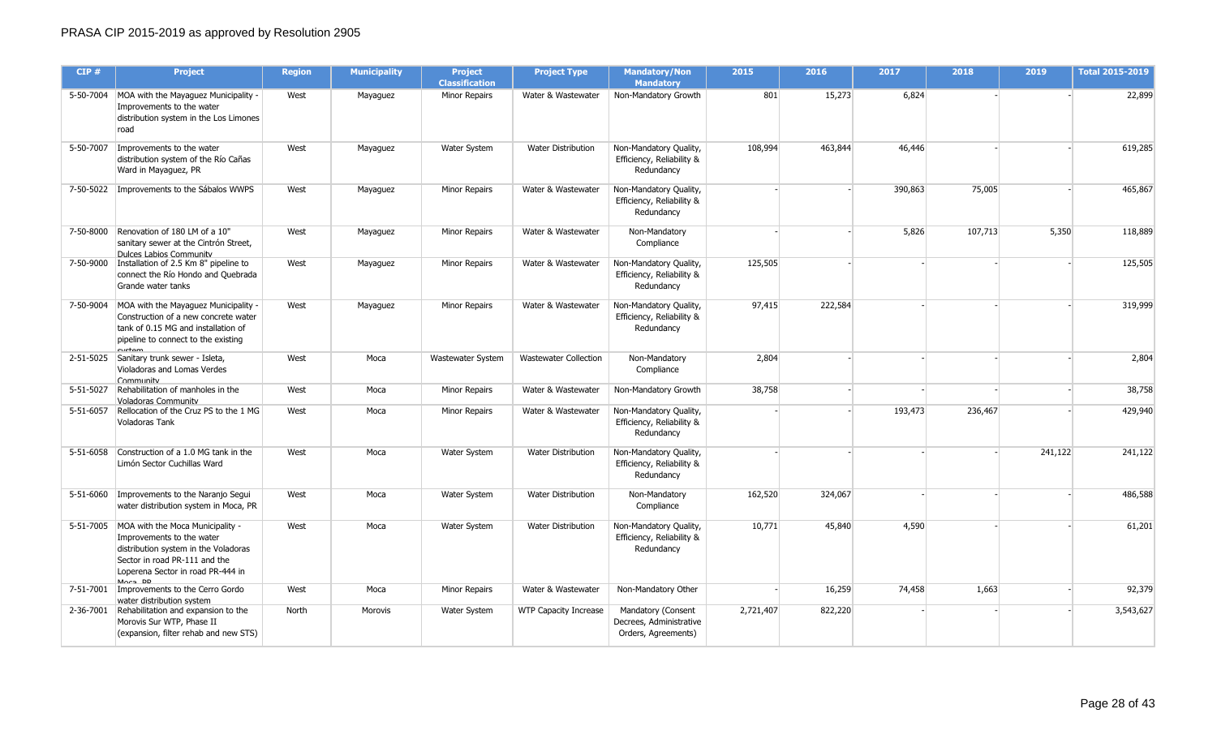| CIP#      | <b>Project</b>                                                                                                                                                                                     | <b>Region</b> | <b>Municipality</b> | <b>Project</b><br><b>Classification</b> | <b>Project Type</b>          | <b>Mandatory/Non</b><br><b>Mandatory</b>                             | 2015      | 2016    | 2017    | 2018    | 2019    | <b>Total 2015-2019</b> |
|-----------|----------------------------------------------------------------------------------------------------------------------------------------------------------------------------------------------------|---------------|---------------------|-----------------------------------------|------------------------------|----------------------------------------------------------------------|-----------|---------|---------|---------|---------|------------------------|
|           | 5-50-7004 MOA with the Mayaguez Municipality -<br>Improvements to the water<br>distribution system in the Los Limones<br>road                                                                      | West          | Mayaguez            | <b>Minor Repairs</b>                    | Water & Wastewater           | Non-Mandatory Growth                                                 | 801       | 15,273  | 6,824   |         |         | 22,899                 |
| 5-50-7007 | Improvements to the water<br>distribution system of the Río Cañas<br>Ward in Mayaguez, PR                                                                                                          | West          | Mayaguez            | Water System                            | <b>Water Distribution</b>    | Non-Mandatory Quality,<br>Efficiency, Reliability &<br>Redundancy    | 108,994   | 463,844 | 46,446  |         |         | 619,285                |
| 7-50-5022 | Improvements to the Sábalos WWPS                                                                                                                                                                   | West          | Mayaguez            | <b>Minor Repairs</b>                    | Water & Wastewater           | Non-Mandatory Quality,<br>Efficiency, Reliability &<br>Redundancy    |           |         | 390,863 | 75,005  |         | 465,867                |
|           | 7-50-8000 Renovation of 180 LM of a 10"<br>sanitary sewer at the Cintrón Street,<br>Dulces Labios Community                                                                                        | West          | Mayaguez            | <b>Minor Repairs</b>                    | Water & Wastewater           | Non-Mandatory<br>Compliance                                          |           |         | 5,826   | 107,713 | 5,350   | 118,889                |
|           | 7-50-9000 Tnstallation of 2.5 Km 8" pipeline to<br>connect the Río Hondo and Quebrada<br>Grande water tanks                                                                                        | West          | Mayaguez            | <b>Minor Repairs</b>                    | Water & Wastewater           | Non-Mandatory Quality,<br>Efficiency, Reliability &<br>Redundancy    | 125,505   |         |         |         |         | 125,505                |
|           | 7-50-9004 MOA with the Mayaguez Municipality -<br>Construction of a new concrete water<br>tank of 0.15 MG and installation of<br>pipeline to connect to the existing<br>$\ddot{\text{c}}$          | West          | Mayaguez            | <b>Minor Repairs</b>                    | Water & Wastewater           | Non-Mandatory Quality,<br>Efficiency, Reliability &<br>Redundancy    | 97,415    | 222,584 |         |         |         | 319,999                |
| 2-51-5025 | Sanitary trunk sewer - Isleta,<br>Violadoras and Lomas Verdes<br>Community                                                                                                                         | West          | Moca                | Wastewater System                       | <b>Wastewater Collection</b> | Non-Mandatory<br>Compliance                                          | 2,804     |         |         |         |         | 2,804                  |
| 5-51-5027 | Rehabilitation of manholes in the<br><b>Voladoras Community</b>                                                                                                                                    | West          | Moca                | <b>Minor Repairs</b>                    | Water & Wastewater           | Non-Mandatory Growth                                                 | 38,758    |         |         |         |         | 38,758                 |
| 5-51-6057 | Rellocation of the Cruz PS to the 1 MG<br><b>Voladoras Tank</b>                                                                                                                                    | West          | Moca                | <b>Minor Repairs</b>                    | Water & Wastewater           | Non-Mandatory Quality,<br>Efficiency, Reliability &<br>Redundancy    |           |         | 193,473 | 236,467 |         | 429,940                |
|           | 5-51-6058 Construction of a 1.0 MG tank in the<br>Limón Sector Cuchillas Ward                                                                                                                      | West          | Moca                | Water System                            | <b>Water Distribution</b>    | Non-Mandatory Quality,<br>Efficiency, Reliability &<br>Redundancy    |           |         |         |         | 241,122 | 241,122                |
| 5-51-6060 | Improvements to the Naranjo Segui<br>water distribution system in Moca, PR                                                                                                                         | West          | Moca                | Water System                            | <b>Water Distribution</b>    | Non-Mandatory<br>Compliance                                          | 162,520   | 324,067 |         |         |         | 486,588                |
|           | 5-51-7005 MOA with the Moca Municipality -<br>Improvements to the water<br>distribution system in the Voladoras<br>Sector in road PR-111 and the<br>Loperena Sector in road PR-444 in<br>$Mmax$ DD | West          | Moca                | Water System                            | <b>Water Distribution</b>    | Non-Mandatory Quality,<br>Efficiency, Reliability &<br>Redundancy    | 10,771    | 45,840  | 4,590   |         |         | 61,201                 |
|           | 7-51-7001   Improvements to the Cerro Gordo<br>water distribution system                                                                                                                           | West          | Moca                | <b>Minor Repairs</b>                    | Water & Wastewater           | Non-Mandatory Other                                                  |           | 16,259  | 74,458  | 1,663   |         | 92,379                 |
|           | 2-36-7001 Rehabilitation and expansion to the<br>Morovis Sur WTP, Phase II<br>(expansion, filter rehab and new STS)                                                                                | North         | Morovis             | Water System                            | WTP Capacity Increase        | Mandatory (Consent<br>Decrees, Administrative<br>Orders, Agreements) | 2,721,407 | 822,220 |         |         |         | 3,543,627              |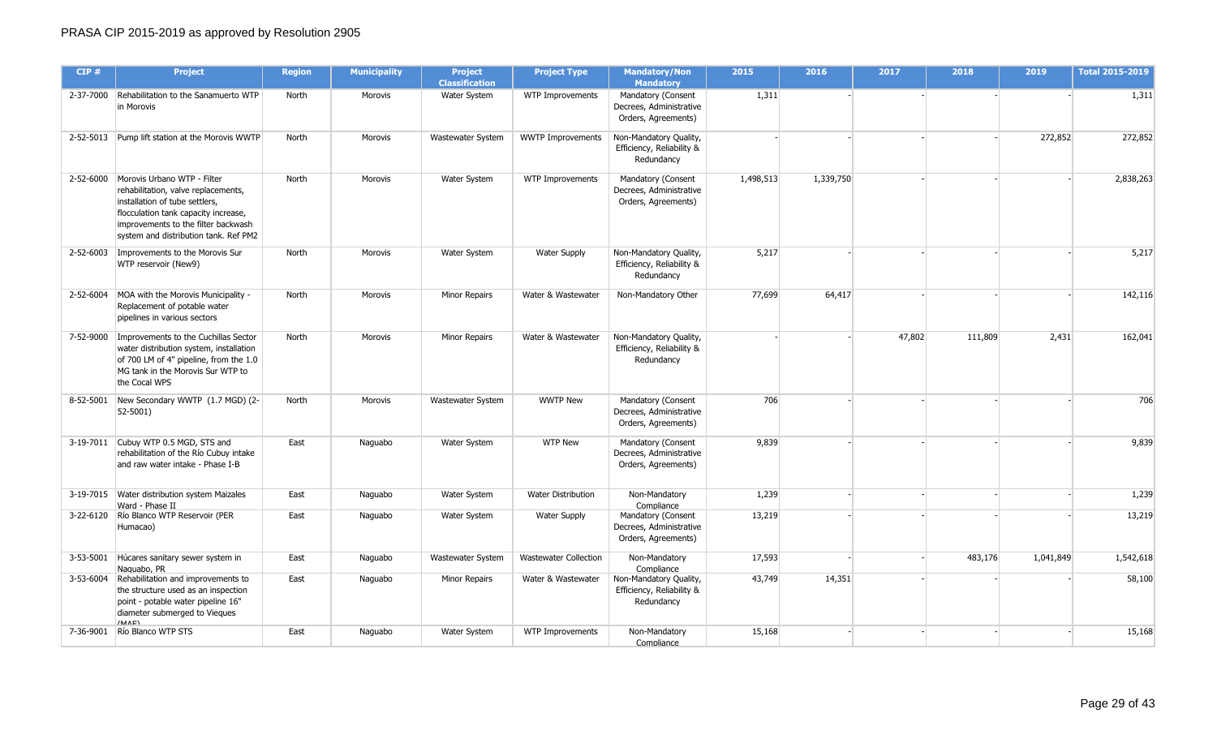| CIP#      | <b>Project</b>                                                                                                                                                                                                               | <b>Region</b> | <b>Municipality</b> | <b>Project</b><br><b>Classification</b> | <b>Project Type</b>          | <b>Mandatory/Non</b><br><b>Mandatory</b>                             | 2015      | 2016      | 2017   | 2018    | 2019      | <b>Total 2015-2019</b> |
|-----------|------------------------------------------------------------------------------------------------------------------------------------------------------------------------------------------------------------------------------|---------------|---------------------|-----------------------------------------|------------------------------|----------------------------------------------------------------------|-----------|-----------|--------|---------|-----------|------------------------|
|           | 2-37-7000 Rehabilitation to the Sanamuerto WTP<br>in Morovis                                                                                                                                                                 | North         | Morovis             | Water System                            | WTP Improvements             | Mandatory (Consent<br>Decrees, Administrative<br>Orders, Agreements) | 1,311     |           |        |         |           | 1,311                  |
|           | 2-52-5013 Pump lift station at the Morovis WWTP                                                                                                                                                                              | North         | Morovis             | Wastewater System                       | <b>WWTP Improvements</b>     | Non-Mandatory Quality,<br>Efficiency, Reliability &<br>Redundancy    |           |           |        |         | 272,852   | 272,852                |
| 2-52-6000 | Morovis Urbano WTP - Filter<br>rehabilitation, valve replacements,<br>installation of tube settlers,<br>flocculation tank capacity increase,<br>improvements to the filter backwash<br>system and distribution tank. Ref PM2 | North         | Morovis             | Water System                            | WTP Improvements             | Mandatory (Consent<br>Decrees, Administrative<br>Orders, Agreements) | 1,498,513 | 1,339,750 |        |         |           | 2,838,263              |
|           | 2-52-6003   Improvements to the Morovis Sur<br>WTP reservoir (New9)                                                                                                                                                          | North         | Morovis             | Water System                            | <b>Water Supply</b>          | Non-Mandatory Quality,<br>Efficiency, Reliability &<br>Redundancy    | 5,217     |           |        |         |           | 5,217                  |
|           | 2-52-6004 MOA with the Morovis Municipality -<br>Replacement of potable water<br>pipelines in various sectors                                                                                                                | North         | <b>Morovis</b>      | Minor Repairs                           | Water & Wastewater           | Non-Mandatory Other                                                  | 77,699    | 64,417    |        |         |           | 142,116                |
|           | 7-52-9000 Improvements to the Cuchillas Sector<br>water distribution system, installation<br>of 700 LM of 4" pipeline, from the 1.0<br>MG tank in the Morovis Sur WTP to<br>the Cocal WPS                                    | North         | Morovis             | Minor Repairs                           | Water & Wastewater           | Non-Mandatory Quality,<br>Efficiency, Reliability &<br>Redundancy    |           |           | 47,802 | 111,809 | 2,431     | 162,041                |
|           | 8-52-5001 New Secondary WWTP (1.7 MGD) (2-<br>$ 52 - 5001\rangle$                                                                                                                                                            | North         | Morovis             | Wastewater System                       | <b>WWTP New</b>              | Mandatory (Consent<br>Decrees, Administrative<br>Orders, Agreements) | 706       |           |        |         |           | 706                    |
|           | 3-19-7011 Cubuy WTP 0.5 MGD, STS and<br>rehabilitation of the Río Cubuy intake<br>and raw water intake - Phase I-B                                                                                                           | East          | Naguabo             | Water System                            | <b>WTP New</b>               | Mandatory (Consent<br>Decrees, Administrative<br>Orders, Agreements) | 9,839     |           |        |         |           | 9,839                  |
|           | 3-19-7015 Water distribution system Maizales<br>Ward - Phase II                                                                                                                                                              | East          | Naguabo             | Water System                            | Water Distribution           | Non-Mandatory<br>Compliance                                          | 1,239     |           |        |         |           | 1,239                  |
|           | 3-22-6120 Río Blanco WTP Reservoir (PER<br>Humacao)                                                                                                                                                                          | East          | Naguabo             | Water System                            | <b>Water Supply</b>          | Mandatory (Consent<br>Decrees, Administrative<br>Orders, Agreements) | 13,219    |           |        |         |           | 13,219                 |
|           | 3-53-5001 Húcares sanitary sewer system in<br>Naguabo, PR                                                                                                                                                                    | East          | Naguabo             | Wastewater System                       | <b>Wastewater Collection</b> | Non-Mandatory<br>Compliance                                          | 17,593    |           |        | 483,176 | 1,041,849 | 1,542,618              |
|           | 3-53-6004 Rehabilitation and improvements to<br>the structure used as an inspection<br>point - potable water pipeline 16"<br>diameter submerged to Vieques<br>(MAF)                                                          | East          | Naguabo             | Minor Repairs                           | Water & Wastewater           | Non-Mandatory Quality,<br>Efficiency, Reliability &<br>Redundancy    | 43,749    | 14,351    |        |         |           | 58,100                 |
| 7-36-9001 | Río Blanco WTP STS                                                                                                                                                                                                           | East          | Naguabo             | Water System                            | WTP Improvements             | Non-Mandatory<br>Compliance                                          | 15,168    |           |        |         |           | 15,168                 |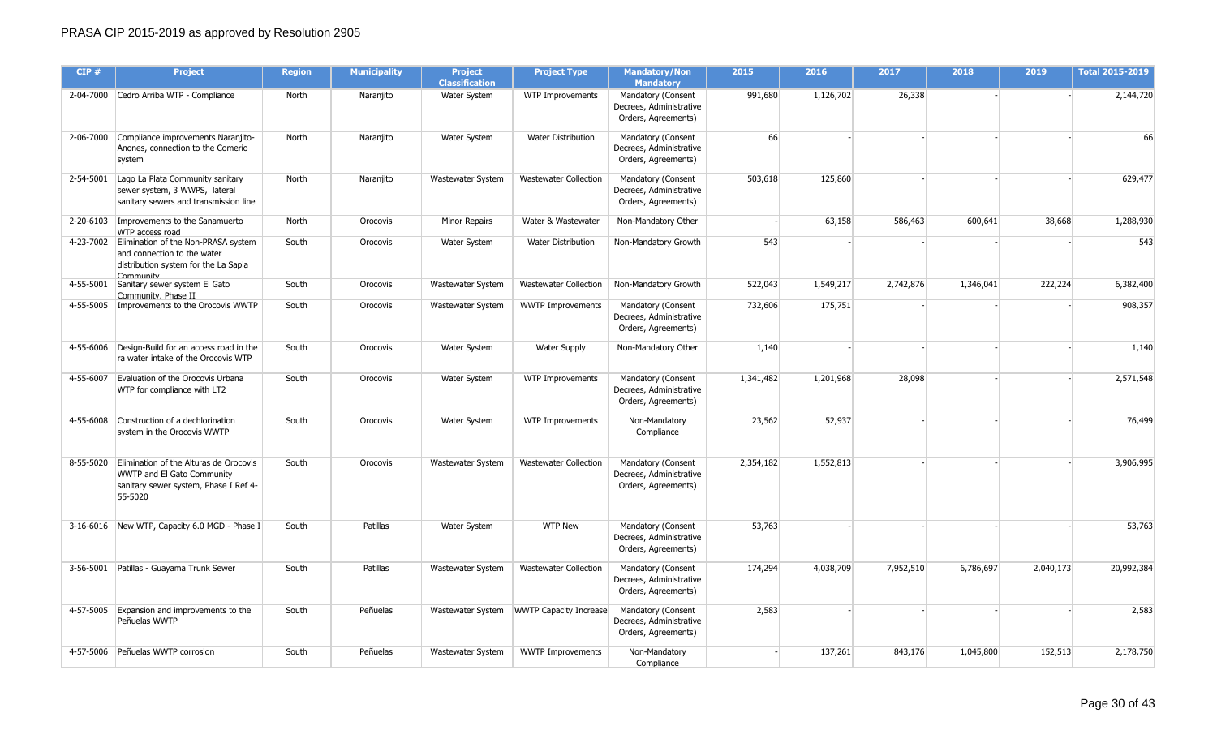| CIP#      | <b>Project</b>                                                                                                                     | <b>Region</b> | <b>Municipality</b> | <b>Project</b><br><b>Classification</b> | <b>Project Type</b>           | <b>Mandatory/Non</b><br><b>Mandatory</b>                             | 2015      | 2016      | 2017      | 2018      | 2019      | <b>Total 2015-2019</b> |
|-----------|------------------------------------------------------------------------------------------------------------------------------------|---------------|---------------------|-----------------------------------------|-------------------------------|----------------------------------------------------------------------|-----------|-----------|-----------|-----------|-----------|------------------------|
|           | 2-04-7000 Cedro Arriba WTP - Compliance                                                                                            | North         | Naranjito           | Water System                            | WTP Improvements              | Mandatory (Consent<br>Decrees, Administrative<br>Orders, Agreements) | 991,680   | 1,126,702 | 26,338    |           |           | 2,144,720              |
|           | 2-06-7000 Compliance improvements Naranjito-<br>Anones, connection to the Comerío<br>system                                        | North         | Naranjito           | Water System                            | Water Distribution            | Mandatory (Consent<br>Decrees, Administrative<br>Orders, Agreements) | 66        |           |           |           |           | 66                     |
| 2-54-5001 | Lago La Plata Community sanitary<br>sewer system, 3 WWPS, lateral<br>sanitary sewers and transmission line                         | North         | Naranjito           | Wastewater System                       | Wastewater Collection         | Mandatory (Consent<br>Decrees, Administrative<br>Orders, Agreements) | 503,618   | 125,860   |           |           |           | 629,477                |
|           | 2-20-6103   Improvements to the Sanamuerto<br>WTP access road                                                                      | North         | Orocovis            | Minor Repairs                           | Water & Wastewater            | Non-Mandatory Other                                                  |           | 63,158    | 586,463   | 600,641   | 38,668    | 1,288,930              |
|           | 4-23-7002 Elimination of the Non-PRASA system<br>and connection to the water<br>distribution system for the La Sapia<br>Community  | South         | Orocovis            | Water System                            | Water Distribution            | Non-Mandatory Growth                                                 | 543       |           |           |           |           | 543                    |
|           | 4-55-5001 Sanitary sewer system El Gato<br>Community, Phase II                                                                     | South         | Orocovis            | Wastewater System                       | Wastewater Collection         | Non-Mandatory Growth                                                 | 522,043   | 1,549,217 | 2,742,876 | 1,346,041 | 222,224   | 6,382,400              |
| 4-55-5005 | Improvements to the Orocovis WWTP                                                                                                  | South         | Orocovis            | Wastewater System                       | <b>WWTP Improvements</b>      | Mandatory (Consent<br>Decrees, Administrative<br>Orders, Agreements) | 732,606   | 175,751   |           |           |           | 908,357                |
|           | 4-55-6006 Design-Build for an access road in the<br>ra water intake of the Orocovis WTP                                            | South         | Orocovis            | Water System                            | <b>Water Supply</b>           | Non-Mandatory Other                                                  | 1,140     |           |           |           |           | 1,140                  |
|           | 4-55-6007 Evaluation of the Orocovis Urbana<br>WTP for compliance with LT2                                                         | South         | Orocovis            | Water System                            | WTP Improvements              | Mandatory (Consent<br>Decrees, Administrative<br>Orders, Agreements) | 1,341,482 | 1,201,968 | 28,098    |           |           | 2,571,548              |
| 4-55-6008 | Construction of a dechlorination<br>system in the Orocovis WWTP                                                                    | South         | Orocovis            | Water System                            | WTP Improvements              | Non-Mandatory<br>Compliance                                          | 23,562    | 52,937    |           |           |           | 76,499                 |
|           | 8-55-5020 Elimination of the Alturas de Orocovis<br>WWTP and El Gato Community<br>sanitary sewer system, Phase I Ref 4-<br>55-5020 | South         | Orocovis            | Wastewater System                       | <b>Wastewater Collection</b>  | Mandatory (Consent<br>Decrees, Administrative<br>Orders, Agreements) | 2,354,182 | 1,552,813 |           |           |           | 3,906,995              |
|           | 3-16-6016 New WTP, Capacity 6.0 MGD - Phase I                                                                                      | South         | Patillas            | Water System                            | <b>WTP New</b>                | Mandatory (Consent<br>Decrees, Administrative<br>Orders, Agreements) | 53,763    |           |           |           |           | 53,763                 |
|           | 3-56-5001 Patillas - Guayama Trunk Sewer                                                                                           | South         | Patillas            | Wastewater System                       | Wastewater Collection         | Mandatory (Consent<br>Decrees, Administrative<br>Orders, Agreements) | 174,294   | 4,038,709 | 7,952,510 | 6,786,697 | 2,040,173 | 20,992,384             |
|           | 4-57-5005 Expansion and improvements to the<br>Peñuelas WWTP                                                                       | South         | Peñuelas            | Wastewater System                       | <b>WWTP Capacity Increase</b> | Mandatory (Consent<br>Decrees, Administrative<br>Orders, Agreements) | 2,583     |           |           |           |           | 2,583                  |
|           | 4-57-5006 Peñuelas WWTP corrosion                                                                                                  | South         | Peñuelas            | Wastewater System                       | <b>WWTP Improvements</b>      | Non-Mandatory<br>Compliance                                          |           | 137,261   | 843,176   | 1,045,800 | 152,513   | 2,178,750              |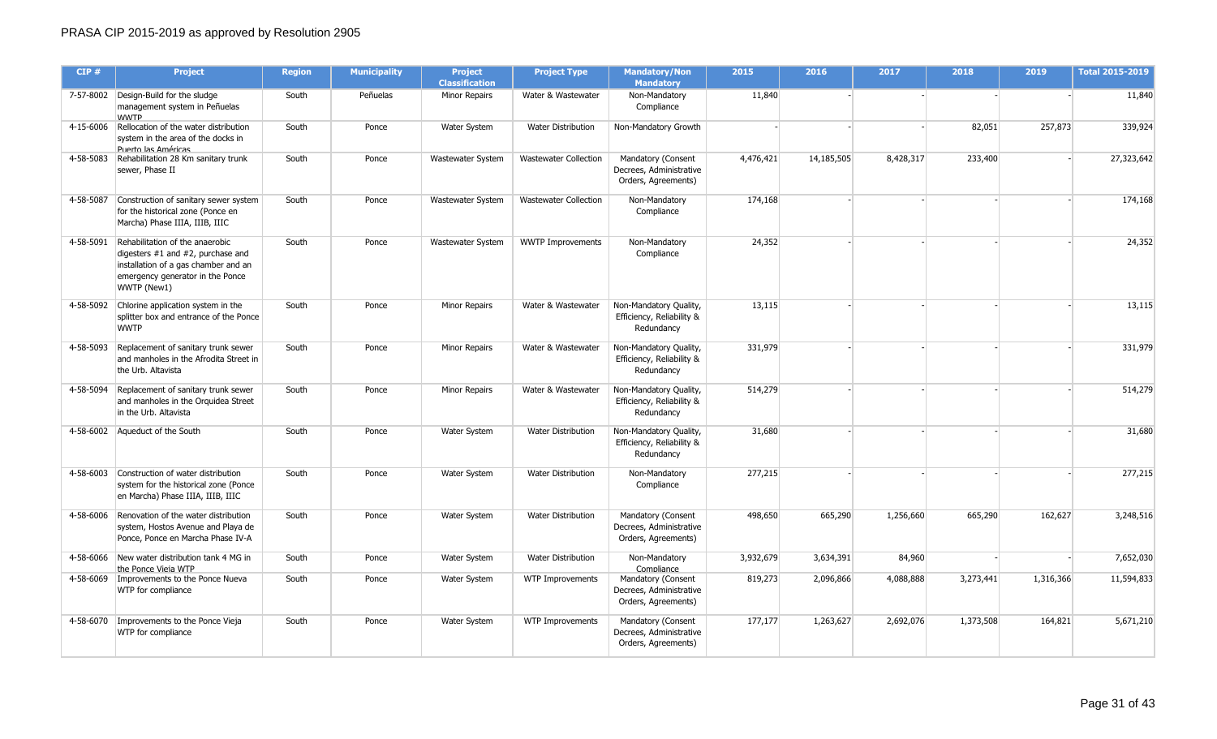| CIP#      | <b>Project</b>                                                                                                                                                       | <b>Region</b> | <b>Municipality</b> | <b>Project</b><br><b>Classification</b> | <b>Project Type</b>          | <b>Mandatory/Non</b><br><b>Mandatory</b>                             | 2015      | 2016       | 2017      | 2018      | 2019      | <b>Total 2015-2019</b> |
|-----------|----------------------------------------------------------------------------------------------------------------------------------------------------------------------|---------------|---------------------|-----------------------------------------|------------------------------|----------------------------------------------------------------------|-----------|------------|-----------|-----------|-----------|------------------------|
|           | 7-57-8002 Design-Build for the sludge<br>management system in Peñuelas<br><b>WWTP</b>                                                                                | South         | Peñuelas            | <b>Minor Repairs</b>                    | Water & Wastewater           | Non-Mandatory<br>Compliance                                          | 11,840    |            |           |           |           | 11,840                 |
| 4-15-6006 | Rellocation of the water distribution<br>system in the area of the docks in<br>Puerto las Américas                                                                   | South         | Ponce               | Water System                            | Water Distribution           | Non-Mandatory Growth                                                 |           |            |           | 82,051    | 257,873   | 339,924                |
| 4-58-5083 | Rehabilitation 28 Km sanitary trunk<br>sewer, Phase II                                                                                                               | South         | Ponce               | Wastewater System                       | <b>Wastewater Collection</b> | Mandatory (Consent<br>Decrees, Administrative<br>Orders, Agreements) | 4,476,421 | 14,185,505 | 8,428,317 | 233,400   |           | 27,323,642             |
| 4-58-5087 | Construction of sanitary sewer system<br>for the historical zone (Ponce en<br>Marcha) Phase IIIA, IIIB, IIIC                                                         | South         | Ponce               | Wastewater System                       | <b>Wastewater Collection</b> | Non-Mandatory<br>Compliance                                          | 174,168   |            |           |           |           | 174,168                |
| 4-58-5091 | Rehabilitation of the anaerobic<br>digesters $#1$ and $#2$ , purchase and<br>installation of a gas chamber and an<br>emergency generator in the Ponce<br>WWTP (New1) | South         | Ponce               | Wastewater System                       | <b>WWTP Improvements</b>     | Non-Mandatory<br>Compliance                                          | 24,352    |            |           |           |           | 24,352                 |
|           | 4-58-5092 Chlorine application system in the<br>splitter box and entrance of the Ponce<br><b>WWTP</b>                                                                | South         | Ponce               | <b>Minor Repairs</b>                    | Water & Wastewater           | Non-Mandatory Quality,<br>Efficiency, Reliability &<br>Redundancy    | 13,115    |            |           |           |           | 13,115                 |
|           | 4-58-5093 Replacement of sanitary trunk sewer<br>and manholes in the Afrodita Street in<br>the Urb. Altavista                                                        | South         | Ponce               | Minor Repairs                           | Water & Wastewater           | Non-Mandatory Quality,<br>Efficiency, Reliability &<br>Redundancy    | 331,979   |            |           |           |           | 331,979                |
|           | 4-58-5094 Replacement of sanitary trunk sewer<br>and manholes in the Orguidea Street<br>in the Urb. Altavista                                                        | South         | Ponce               | <b>Minor Repairs</b>                    | Water & Wastewater           | Non-Mandatory Quality,<br>Efficiency, Reliability &<br>Redundancy    | 514,279   |            |           |           |           | 514,279                |
| 4-58-6002 | Aqueduct of the South                                                                                                                                                | South         | Ponce               | <b>Water System</b>                     | <b>Water Distribution</b>    | Non-Mandatory Quality,<br>Efficiency, Reliability &<br>Redundancy    | 31,680    |            |           |           |           | 31,680                 |
|           | 4-58-6003 Construction of water distribution<br>system for the historical zone (Ponce<br>en Marcha) Phase IIIA, IIIB, IIIC                                           | South         | Ponce               | Water System                            | <b>Water Distribution</b>    | Non-Mandatory<br>Compliance                                          | 277,215   |            |           |           |           | 277,215                |
|           | 4-58-6006 Renovation of the water distribution<br>system, Hostos Avenue and Playa de<br>Ponce, Ponce en Marcha Phase IV-A                                            | South         | Ponce               | Water System                            | Water Distribution           | Mandatory (Consent<br>Decrees, Administrative<br>Orders, Agreements) | 498,650   | 665,290    | 1,256,660 | 665,290   | 162,627   | 3,248,516              |
| 4-58-6066 | New water distribution tank 4 MG in<br>the Ponce Vieja WTP                                                                                                           | South         | Ponce               | Water System                            | <b>Water Distribution</b>    | Non-Mandatory<br>Compliance                                          | 3,932,679 | 3,634,391  | 84,960    |           |           | 7,652,030              |
|           | 4-58-6069 Improvements to the Ponce Nueva<br>WTP for compliance                                                                                                      | South         | Ponce               | Water System                            | WTP Improvements             | Mandatory (Consent<br>Decrees, Administrative<br>Orders, Agreements) | 819,273   | 2,096,866  | 4,088,888 | 3,273,441 | 1,316,366 | 11,594,833             |
|           | 4-58-6070   Improvements to the Ponce Vieja<br>WTP for compliance                                                                                                    | South         | Ponce               | Water System                            | WTP Improvements             | Mandatory (Consent<br>Decrees, Administrative<br>Orders, Agreements) | 177,177   | 1,263,627  | 2,692,076 | 1,373,508 | 164,821   | 5,671,210              |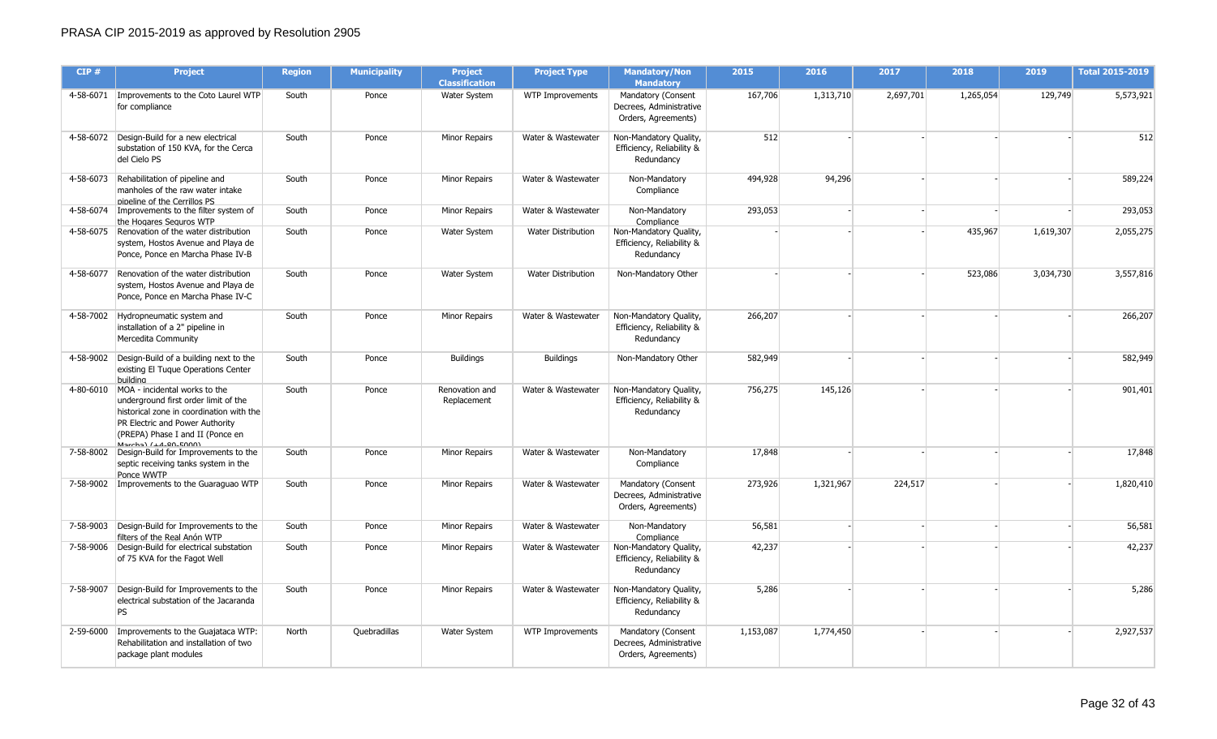| CIP#      | <b>Project</b>                                                                                                                                                                                                             | <b>Region</b> | <b>Municipality</b> | <b>Project</b><br><b>Classification</b> | <b>Project Type</b>       | <b>Mandatory/Non</b><br><b>Mandatory</b>                             | 2015      | 2016      | 2017      | 2018      | 2019      | <b>Total 2015-2019</b> |
|-----------|----------------------------------------------------------------------------------------------------------------------------------------------------------------------------------------------------------------------------|---------------|---------------------|-----------------------------------------|---------------------------|----------------------------------------------------------------------|-----------|-----------|-----------|-----------|-----------|------------------------|
|           | 4-58-6071   Improvements to the Coto Laurel WTP<br>for compliance                                                                                                                                                          | South         | Ponce               | Water System                            | WTP Improvements          | Mandatory (Consent<br>Decrees, Administrative<br>Orders, Agreements) | 167,706   | 1,313,710 | 2,697,701 | 1,265,054 | 129,749   | 5,573,921              |
|           | 4-58-6072   Design-Build for a new electrical<br>substation of 150 KVA, for the Cerca<br>del Cielo PS                                                                                                                      | South         | Ponce               | Minor Repairs                           | Water & Wastewater        | Non-Mandatory Quality,<br>Efficiency, Reliability &<br>Redundancy    | 512       |           |           |           |           | 512                    |
| 4-58-6073 | Rehabilitation of pipeline and<br>manholes of the raw water intake<br>nineline of the Cerrillos PS                                                                                                                         | South         | Ponce               | Minor Repairs                           | Water & Wastewater        | Non-Mandatory<br>Compliance                                          | 494,928   | 94,296    |           |           |           | 589,224                |
|           | 4-58-6074   Improvements to the filter system of<br>the Hogares Seguros WTP                                                                                                                                                | South         | Ponce               | Minor Repairs                           | Water & Wastewater        | Non-Mandatory<br>Compliance                                          | 293,053   |           |           |           |           | 293,053                |
| 4-58-6075 | Renovation of the water distribution<br>system, Hostos Avenue and Playa de<br>Ponce, Ponce en Marcha Phase IV-B                                                                                                            | South         | Ponce               | <b>Water System</b>                     | <b>Water Distribution</b> | Non-Mandatory Quality,<br>Efficiency, Reliability &<br>Redundancy    |           |           |           | 435,967   | 1,619,307 | 2,055,275              |
|           | 4-58-6077 Renovation of the water distribution<br>system, Hostos Avenue and Playa de<br>Ponce, Ponce en Marcha Phase IV-C                                                                                                  | South         | Ponce               | <b>Water System</b>                     | Water Distribution        | Non-Mandatory Other                                                  |           |           |           | 523,086   | 3,034,730 | 3,557,816              |
|           | 4-58-7002 Hydropneumatic system and<br>installation of a 2" pipeline in<br>Mercedita Community                                                                                                                             | South         | Ponce               | Minor Repairs                           | Water & Wastewater        | Non-Mandatory Quality,<br>Efficiency, Reliability &<br>Redundancy    | 266,207   |           |           |           |           | 266,207                |
| 4-58-9002 | Design-Build of a building next to the<br>existing El Tuque Operations Center<br>building                                                                                                                                  | South         | Ponce               | <b>Buildings</b>                        | <b>Buildings</b>          | Non-Mandatory Other                                                  | 582,949   |           |           |           |           | 582,949                |
|           | 4-80-6010 MOA - incidental works to the<br>underground first order limit of the<br>historical zone in coordination with the<br>PR Electric and Power Authority<br>(PREPA) Phase I and II (Ponce en<br>Marchal (LA_90_E000) | South         | Ponce               | Renovation and<br>Replacement           | Water & Wastewater        | Non-Mandatory Quality,<br>Efficiency, Reliability &<br>Redundancy    | 756,275   | 145,126   |           |           |           | 901,401                |
| 7-58-8002 | Design-Build for Improvements to the<br>septic receiving tanks system in the<br>Ponce WWTP                                                                                                                                 | South         | Ponce               | Minor Repairs                           | Water & Wastewater        | Non-Mandatory<br>Compliance                                          | 17,848    |           |           |           |           | 17,848                 |
|           | 7-58-9002   Improvements to the Guaraguao WTP                                                                                                                                                                              | South         | Ponce               | <b>Minor Repairs</b>                    | Water & Wastewater        | Mandatory (Consent<br>Decrees, Administrative<br>Orders, Agreements) | 273,926   | 1,321,967 | 224,517   |           |           | 1,820,410              |
|           | 7-58-9003 Design-Build for Improvements to the<br>filters of the Real Anón WTP                                                                                                                                             | South         | Ponce               | Minor Repairs                           | Water & Wastewater        | Non-Mandatory<br>Compliance                                          | 56,581    |           |           |           |           | 56,581                 |
|           | 7-58-9006 Design-Build for electrical substation<br>of 75 KVA for the Fagot Well                                                                                                                                           | South         | Ponce               | Minor Repairs                           | Water & Wastewater        | Non-Mandatory Quality,<br>Efficiency, Reliability &<br>Redundancy    | 42,237    |           |           |           |           | 42,237                 |
| 7-58-9007 | Design-Build for Improvements to the<br>electrical substation of the Jacaranda<br>PS                                                                                                                                       | South         | Ponce               | Minor Repairs                           | Water & Wastewater        | Non-Mandatory Quality,<br>Efficiency, Reliability &<br>Redundancy    | 5,286     |           |           |           |           | 5,286                  |
| 2-59-6000 | Improvements to the Guajataca WTP:<br>Rehabilitation and installation of two<br>package plant modules                                                                                                                      | North         | Quebradillas        | Water System                            | WTP Improvements          | Mandatory (Consent<br>Decrees, Administrative<br>Orders, Agreements) | 1,153,087 | 1,774,450 |           |           |           | 2,927,537              |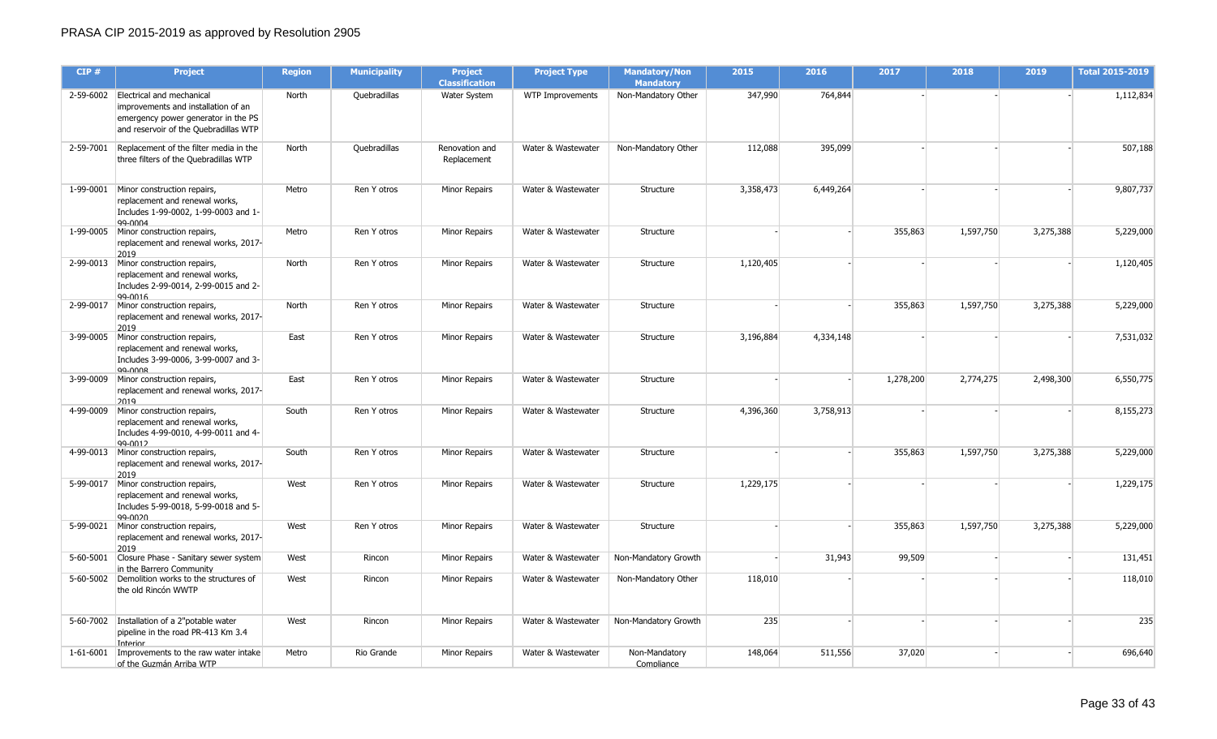| CIP#      | <b>Project</b>                                                                                                                                             | <b>Region</b> | <b>Municipality</b> | <b>Project</b><br><b>Classification</b> | <b>Project Type</b> | <b>Mandatory/Non</b><br><b>Mandatory</b> | 2015      | 2016      | 2017      | 2018      | 2019      | <b>Total 2015-2019</b> |
|-----------|------------------------------------------------------------------------------------------------------------------------------------------------------------|---------------|---------------------|-----------------------------------------|---------------------|------------------------------------------|-----------|-----------|-----------|-----------|-----------|------------------------|
|           | 2-59-6002 Electrical and mechanical<br>improvements and installation of an<br>emergency power generator in the PS<br>and reservoir of the Quebradillas WTP | North         | Quebradillas        | Water System                            | WTP Improvements    | Non-Mandatory Other                      | 347,990   | 764,844   |           |           |           | 1,112,834              |
| 2-59-7001 | Replacement of the filter media in the<br>three filters of the Quebradillas WTP                                                                            | North         | Quebradillas        | Renovation and<br>Replacement           | Water & Wastewater  | Non-Mandatory Other                      | 112,088   | 395,099   |           |           |           | 507,188                |
| 1-99-0001 | Minor construction repairs,<br>replacement and renewal works,<br>Includes 1-99-0002, 1-99-0003 and 1-<br>99-0004                                           | Metro         | Ren Y otros         | Minor Repairs                           | Water & Wastewater  | Structure                                | 3,358,473 | 6,449,264 |           |           |           | 9,807,737              |
|           | 1-99-0005 Minor construction repairs,<br>replacement and renewal works, 2017-<br>2019                                                                      | Metro         | Ren Y otros         | Minor Repairs                           | Water & Wastewater  | Structure                                |           |           | 355,863   | 1,597,750 | 3,275,388 | 5,229,000              |
|           | 2-99-0013 Minor construction repairs,<br>replacement and renewal works,<br>Includes 2-99-0014, 2-99-0015 and 2-<br>99-0016                                 | North         | Ren Y otros         | Minor Repairs                           | Water & Wastewater  | Structure                                | 1,120,405 |           |           |           |           | 1,120,405              |
| 2-99-0017 | Minor construction repairs,<br>replacement and renewal works, 2017-<br>2019                                                                                | North         | Ren Y otros         | <b>Minor Repairs</b>                    | Water & Wastewater  | Structure                                |           |           | 355,863   | 1,597,750 | 3,275,388 | 5,229,000              |
|           | 3-99-0005 Minor construction repairs,<br>replacement and renewal works,<br>Includes 3-99-0006, 3-99-0007 and 3-<br>99-0008                                 | East          | Ren Y otros         | <b>Minor Repairs</b>                    | Water & Wastewater  | Structure                                | 3,196,884 | 4,334,148 |           |           |           | 7,531,032              |
|           | 3-99-0009 Minor construction repairs,<br>replacement and renewal works, 2017-<br>2019                                                                      | East          | Ren Y otros         | Minor Repairs                           | Water & Wastewater  | Structure                                |           |           | 1,278,200 | 2,774,275 | 2,498,300 | 6,550,775              |
| 4-99-0009 | Minor construction repairs,<br>replacement and renewal works,<br>Includes 4-99-0010, 4-99-0011 and 4-<br>99-0012                                           | South         | Ren Y otros         | Minor Repairs                           | Water & Wastewater  | Structure                                | 4,396,360 | 3,758,913 |           |           |           | 8,155,273              |
|           | 4-99-0013 Minor construction repairs,<br>replacement and renewal works, 2017-<br>2019                                                                      | South         | Ren Y otros         | <b>Minor Repairs</b>                    | Water & Wastewater  | Structure                                |           |           | 355,863   | 1,597,750 | 3,275,388 | 5,229,000              |
|           | 5-99-0017 Minor construction repairs,<br>replacement and renewal works,<br>Includes 5-99-0018, 5-99-0018 and 5-<br>99-0020                                 | West          | Ren Y otros         | Minor Repairs                           | Water & Wastewater  | Structure                                | 1,229,175 |           |           |           |           | 1,229,175              |
| 5-99-0021 | Minor construction repairs,<br>replacement and renewal works, 2017-<br>2019                                                                                | West          | Ren Y otros         | Minor Repairs                           | Water & Wastewater  | Structure                                |           |           | 355,863   | 1,597,750 | 3,275,388 | 5,229,000              |
|           | 5-60-5001 Closure Phase - Sanitary sewer system<br>in the Barrero Community                                                                                | West          | Rincon              | Minor Repairs                           | Water & Wastewater  | Non-Mandatory Growth                     |           | 31,943    | 99,509    |           |           | 131,451                |
|           | 5-60-5002 Demolition works to the structures of<br>the old Rincón WWTP                                                                                     | West          | Rincon              | Minor Repairs                           | Water & Wastewater  | Non-Mandatory Other                      | 118,010   |           |           |           |           | 118,010                |
|           | 5-60-7002   Installation of a 2"potable water<br>pipeline in the road PR-413 Km 3.4<br>Interior                                                            | West          | Rincon              | Minor Repairs                           | Water & Wastewater  | Non-Mandatory Growth                     | 235       |           |           |           |           | 235                    |
|           | 1-61-6001   Improvements to the raw water intake<br>of the Guzmán Arriba WTP                                                                               | Metro         | Rio Grande          | Minor Repairs                           | Water & Wastewater  | Non-Mandatory<br>Compliance              | 148,064   | 511,556   | 37,020    |           |           | 696,640                |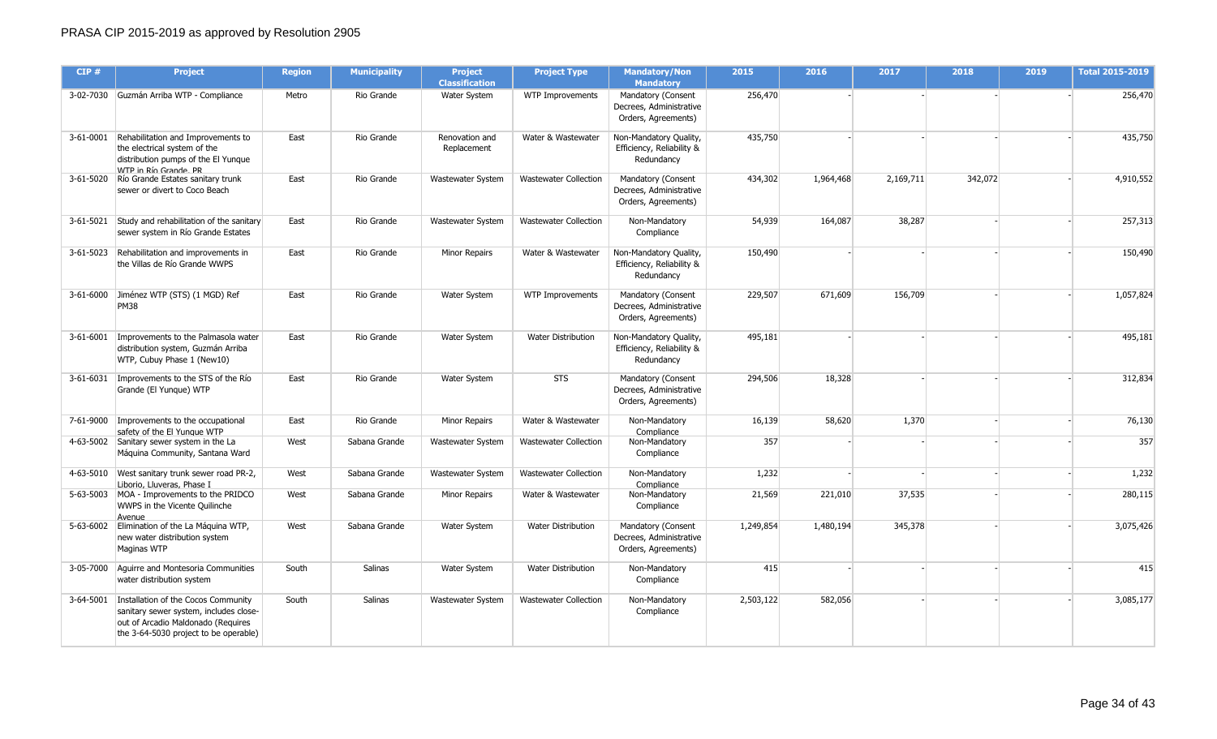| CIP#      | <b>Project</b>                                                                                                                                               | <b>Region</b> | <b>Municipality</b> | <b>Project</b><br><b>Classification</b> | <b>Project Type</b>          | <b>Mandatory/Non</b><br><b>Mandatory</b>                             | 2015      | 2016      | 2017      | 2018    | 2019 | <b>Total 2015-2019</b> |
|-----------|--------------------------------------------------------------------------------------------------------------------------------------------------------------|---------------|---------------------|-----------------------------------------|------------------------------|----------------------------------------------------------------------|-----------|-----------|-----------|---------|------|------------------------|
|           | 3-02-7030 Guzmán Arriba WTP - Compliance                                                                                                                     | Metro         | Rio Grande          | Water System                            | WTP Improvements             | Mandatory (Consent<br>Decrees, Administrative<br>Orders, Agreements) | 256,470   |           |           |         |      | 256,470                |
| 3-61-0001 | Rehabilitation and Improvements to<br>the electrical system of the<br>distribution pumps of the El Yunque<br>WTP in Río Grande PR                            | East          | Rio Grande          | Renovation and<br>Replacement           | Water & Wastewater           | Non-Mandatory Quality,<br>Efficiency, Reliability &<br>Redundancy    | 435,750   |           |           |         |      | 435,750                |
|           | 3-61-5020 Río Grande Estates sanitary trunk<br>sewer or divert to Coco Beach                                                                                 | East          | Rio Grande          | Wastewater System                       | <b>Wastewater Collection</b> | Mandatory (Consent<br>Decrees, Administrative<br>Orders, Agreements) | 434,302   | 1,964,468 | 2,169,711 | 342,072 |      | 4,910,552              |
|           | 3-61-5021 Study and rehabilitation of the sanitary<br>sewer system in Río Grande Estates                                                                     | East          | Rio Grande          | Wastewater System                       | <b>Wastewater Collection</b> | Non-Mandatory<br>Compliance                                          | 54,939    | 164,087   | 38,287    |         |      | 257,313                |
|           | 3-61-5023 Rehabilitation and improvements in<br>the Villas de Río Grande WWPS                                                                                | East          | Rio Grande          | Minor Repairs                           | Water & Wastewater           | Non-Mandatory Quality,<br>Efficiency, Reliability &<br>Redundancy    | 150,490   |           |           |         |      | 150,490                |
|           | 3-61-6000 Jiménez WTP (STS) (1 MGD) Ref<br><b>PM38</b>                                                                                                       | East          | Rio Grande          | Water System                            | WTP Improvements             | Mandatory (Consent<br>Decrees, Administrative<br>Orders, Agreements) | 229,507   | 671,609   | 156,709   |         |      | 1,057,824              |
|           | 3-61-6001   Improvements to the Palmasola water<br>distribution system, Guzmán Arriba<br>WTP, Cubuy Phase 1 (New10)                                          | East          | Rio Grande          | Water System                            | Water Distribution           | Non-Mandatory Quality,<br>Efficiency, Reliability &<br>Redundancy    | 495,181   |           |           |         |      | 495,181                |
|           | 3-61-6031   Improvements to the STS of the Río<br>Grande (El Yungue) WTP                                                                                     | East          | Rio Grande          | Water System                            | <b>STS</b>                   | Mandatory (Consent<br>Decrees, Administrative<br>Orders, Agreements) | 294,506   | 18,328    |           |         |      | 312,834                |
|           | 7-61-9000 Improvements to the occupational<br>safety of the El Yunaue WTP                                                                                    | East          | Rio Grande          | Minor Repairs                           | Water & Wastewater           | Non-Mandatory<br>Compliance                                          | 16,139    | 58,620    | 1,370     |         |      | 76,130                 |
|           | 4-63-5002 Sanitary sewer system in the La<br>Máquina Community, Santana Ward                                                                                 | West          | Sabana Grande       | <b>Wastewater System</b>                | <b>Wastewater Collection</b> | Non-Mandatory<br>Compliance                                          | 357       |           |           |         |      | 357                    |
|           | 4-63-5010   West sanitary trunk sewer road PR-2,<br>Liborio, Lluveras, Phase I                                                                               | West          | Sabana Grande       | Wastewater System                       | <b>Wastewater Collection</b> | Non-Mandatory<br>Compliance                                          | 1,232     |           |           |         |      | 1,232                  |
|           | 5-63-5003 MOA - Improvements to the PRIDCO<br>WWPS in the Vicente Quilinche<br>Avenue                                                                        | West          | Sabana Grande       | Minor Repairs                           | Water & Wastewater           | Non-Mandatory<br>Compliance                                          | 21,569    | 221,010   | 37,535    |         |      | 280,115                |
|           | 5-63-6002 Elimination of the La Máquina WTP,<br>new water distribution system<br>Maginas WTP                                                                 | West          | Sabana Grande       | Water System                            | <b>Water Distribution</b>    | Mandatory (Consent<br>Decrees, Administrative<br>Orders, Agreements) | 1,249,854 | 1,480,194 | 345,378   |         |      | 3,075,426              |
|           | 3-05-7000 Aguirre and Montesoria Communities<br>water distribution system                                                                                    | South         | Salinas             | Water System                            | Water Distribution           | Non-Mandatory<br>Compliance                                          | 415       |           |           |         |      | 415                    |
| 3-64-5001 | Installation of the Cocos Community<br>sanitary sewer system, includes close-<br>out of Arcadio Maldonado (Requires<br>the 3-64-5030 project to be operable) | South         | Salinas             | <b>Wastewater System</b>                | <b>Wastewater Collection</b> | Non-Mandatory<br>Compliance                                          | 2,503,122 | 582,056   |           |         |      | 3,085,177              |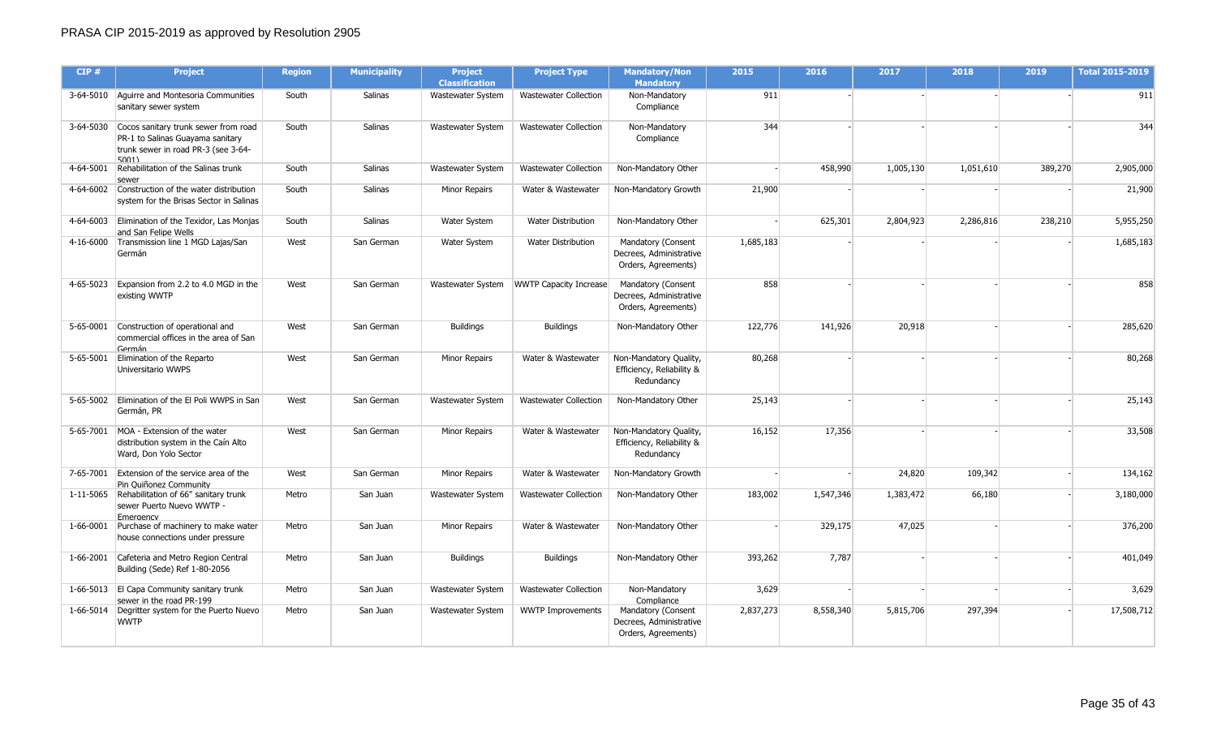| CIP#      | <b>Project</b>                                                                                                                     | <b>Region</b> | <b>Municipality</b> | <b>Project</b><br><b>Classification</b> | <b>Project Type</b>           | <b>Mandatory/Non</b><br><b>Mandatory</b>                             | 2015      | 2016      | 2017      | 2018      | 2019    | <b>Total 2015-2019</b> |
|-----------|------------------------------------------------------------------------------------------------------------------------------------|---------------|---------------------|-----------------------------------------|-------------------------------|----------------------------------------------------------------------|-----------|-----------|-----------|-----------|---------|------------------------|
|           | 3-64-5010 Aguirre and Montesoria Communities<br>sanitary sewer system                                                              | South         | Salinas             | Wastewater System                       | <b>Wastewater Collection</b>  | Non-Mandatory<br>Compliance                                          | 911       |           |           |           |         | 911                    |
|           | 3-64-5030 Cocos sanitary trunk sewer from road<br>PR-1 to Salinas Guayama sanitary<br>trunk sewer in road PR-3 (see 3-64-<br>5001) | South         | Salinas             | Wastewater System                       | <b>Wastewater Collection</b>  | Non-Mandatory<br>Compliance                                          | 344       |           |           |           |         | 344                    |
|           | 4-64-5001 Rehabilitation of the Salinas trunk<br>sewer                                                                             | South         | <b>Salinas</b>      | <b>Wastewater System</b>                | <b>Wastewater Collection</b>  | Non-Mandatory Other                                                  |           | 458,990   | 1,005,130 | 1,051,610 | 389,270 | 2,905,000              |
|           | 4-64-6002 Construction of the water distribution<br>system for the Brisas Sector in Salinas                                        | South         | <b>Salinas</b>      | <b>Minor Repairs</b>                    | Water & Wastewater            | Non-Mandatory Growth                                                 | 21,900    |           |           |           |         | 21,900                 |
|           | 4-64-6003 Elimination of the Texidor, Las Monjas<br>and San Felipe Wells                                                           | South         | <b>Salinas</b>      | Water System                            | Water Distribution            | Non-Mandatory Other                                                  |           | 625,301   | 2,804,923 | 2,286,816 | 238,210 | 5,955,250              |
| 4-16-6000 | Transmission line 1 MGD Lajas/San<br>Germán                                                                                        | West          | San German          | Water System                            | <b>Water Distribution</b>     | Mandatory (Consent<br>Decrees, Administrative<br>Orders, Agreements) | 1,685,183 |           |           |           |         | 1,685,183              |
| 4-65-5023 | Expansion from 2.2 to 4.0 MGD in the<br>existing WWTP                                                                              | West          | San German          | Wastewater System                       | <b>WWTP Capacity Increase</b> | Mandatory (Consent<br>Decrees, Administrative<br>Orders, Agreements) | 858       |           |           |           |         | 858                    |
|           | 5-65-0001 Construction of operational and<br>commercial offices in the area of San<br>Germán                                       | West          | San German          | <b>Buildings</b>                        | <b>Buildings</b>              | Non-Mandatory Other                                                  | 122,776   | 141,926   | 20,918    |           |         | 285,620                |
|           | 5-65-5001 Elimination of the Reparto<br>Universitario WWPS                                                                         | West          | San German          | <b>Minor Repairs</b>                    | Water & Wastewater            | Non-Mandatory Quality,<br>Efficiency, Reliability &<br>Redundancv    | 80,268    |           |           |           |         | 80,268                 |
|           | 5-65-5002 Elimination of the El Poli WWPS in San<br>Germán, PR                                                                     | West          | San German          | Wastewater System                       | <b>Wastewater Collection</b>  | Non-Mandatory Other                                                  | 25,143    |           |           |           |         | 25,143                 |
|           | 5-65-7001 MOA - Extension of the water<br>distribution system in the Caín Alto<br>Ward, Don Yolo Sector                            | West          | San German          | <b>Minor Repairs</b>                    | Water & Wastewater            | Non-Mandatory Quality,<br>Efficiency, Reliability &<br>Redundancy    | 16,152    | 17,356    |           |           |         | 33,508                 |
|           | 7-65-7001 Extension of the service area of the<br>Pin Ouiñonez Community                                                           | West          | San German          | <b>Minor Repairs</b>                    | Water & Wastewater            | Non-Mandatory Growth                                                 |           |           | 24,820    | 109,342   |         | 134,162                |
|           | 1-11-5065 Rehabilitation of 66" sanitary trunk<br>sewer Puerto Nuevo WWTP -<br><b>Fmergency</b>                                    | Metro         | San Juan            | Wastewater System                       | Wastewater Collection         | Non-Mandatory Other                                                  | 183,002   | 1,547,346 | 1,383,472 | 66,180    |         | 3,180,000              |
|           | 1-66-0001 Purchase of machinery to make water<br>house connections under pressure                                                  | Metro         | San Juan            | Minor Repairs                           | Water & Wastewater            | Non-Mandatory Other                                                  |           | 329,175   | 47,025    |           |         | 376,200                |
| 1-66-2001 | Cafeteria and Metro Region Central<br>Building (Sede) Ref 1-80-2056                                                                | Metro         | San Juan            | <b>Buildings</b>                        | <b>Buildings</b>              | Non-Mandatory Other                                                  | 393,262   | 7,787     |           |           |         | 401,049                |
|           | 1-66-5013 El Capa Community sanitary trunk<br>sewer in the road PR-199                                                             | Metro         | San Juan            | Wastewater System                       | <b>Wastewater Collection</b>  | Non-Mandatory<br>Compliance                                          | 3,629     |           |           |           |         | 3,629                  |
|           | 1-66-5014   Degritter system for the Puerto Nuevo<br><b>WWTP</b>                                                                   | Metro         | San Juan            | <b>Wastewater System</b>                | <b>WWTP Improvements</b>      | Mandatory (Consent<br>Decrees, Administrative<br>Orders, Agreements) | 2,837,273 | 8,558,340 | 5,815,706 | 297,394   |         | 17,508,712             |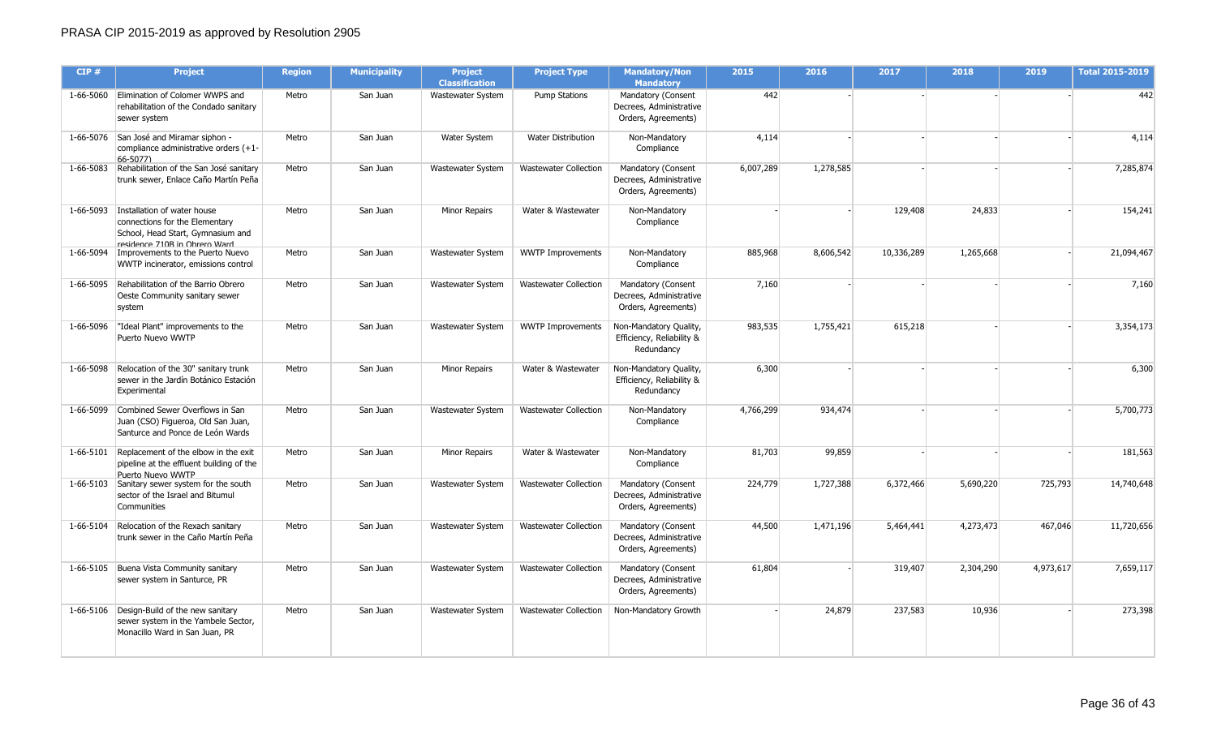| CIP#      | <b>Project</b>                                                                                                                                | <b>Region</b> | <b>Municipality</b> | <b>Project</b><br><b>Classification</b> | <b>Project Type</b>          | <b>Mandatory/Non</b><br><b>Mandatory</b>                             | 2015      | 2016      | 2017       | 2018      | 2019      | <b>Total 2015-2019</b> |
|-----------|-----------------------------------------------------------------------------------------------------------------------------------------------|---------------|---------------------|-----------------------------------------|------------------------------|----------------------------------------------------------------------|-----------|-----------|------------|-----------|-----------|------------------------|
|           | 1-66-5060 Elimination of Colomer WWPS and<br>rehabilitation of the Condado sanitary<br>sewer system                                           | Metro         | San Juan            | Wastewater System                       | <b>Pump Stations</b>         | Mandatory (Consent<br>Decrees, Administrative<br>Orders, Agreements) | 442       |           |            |           |           | 442                    |
|           | 1-66-5076 San José and Miramar siphon -<br>compliance administrative orders (+1-<br>$66 - 5077$                                               | Metro         | San Juan            | Water System                            | <b>Water Distribution</b>    | Non-Mandatory<br>Compliance                                          | 4,114     |           |            |           |           | 4,114                  |
| 1-66-5083 | Rehabilitation of the San José sanitary<br>trunk sewer, Enlace Caño Martín Peña                                                               | Metro         | San Juan            | Wastewater System                       | <b>Wastewater Collection</b> | Mandatory (Consent<br>Decrees, Administrative<br>Orders, Agreements) | 6,007,289 | 1,278,585 |            |           |           | 7,285,874              |
|           | 1-66-5093 Installation of water house<br>connections for the Elementary<br>School, Head Start, Gymnasium and<br>recidence 710R in Ohrero Ward | Metro         | San Juan            | Minor Repairs                           | Water & Wastewater           | Non-Mandatory<br>Compliance                                          |           |           | 129,408    | 24,833    |           | 154,241                |
| 1-66-5094 | Improvements to the Puerto Nuevo<br>WWTP incinerator, emissions control                                                                       | Metro         | San Juan            | Wastewater System                       | <b>WWTP Improvements</b>     | Non-Mandatory<br>Compliance                                          | 885,968   | 8,606,542 | 10,336,289 | 1,265,668 |           | 21,094,467             |
|           | 1-66-5095 Rehabilitation of the Barrio Obrero<br>Oeste Community sanitary sewer<br>system                                                     | Metro         | San Juan            | Wastewater System                       | <b>Wastewater Collection</b> | Mandatory (Consent<br>Decrees, Administrative<br>Orders, Agreements) | 7,160     |           |            |           |           | 7,160                  |
|           | 1-66-5096  "Ideal Plant" improvements to the<br>Puerto Nuevo WWTP                                                                             | Metro         | San Juan            | Wastewater System                       | <b>WWTP Improvements</b>     | Non-Mandatory Quality,<br>Efficiency, Reliability &<br>Redundancy    | 983,535   | 1,755,421 | 615,218    |           |           | 3,354,173              |
| 1-66-5098 | Relocation of the 30" sanitary trunk<br>sewer in the Jardín Botánico Estación<br>Experimental                                                 | Metro         | San Juan            | Minor Repairs                           | Water & Wastewater           | Non-Mandatory Quality,<br>Efficiency, Reliability &<br>Redundancy    | 6,300     |           |            |           |           | 6,300                  |
| 1-66-5099 | Combined Sewer Overflows in San<br>Juan (CSO) Figueroa, Old San Juan,<br>Santurce and Ponce de León Wards                                     | Metro         | San Juan            | Wastewater System                       | <b>Wastewater Collection</b> | Non-Mandatory<br>Compliance                                          | 4,766,299 | 934,474   |            |           |           | 5,700,773              |
|           | 1-66-5101 Replacement of the elbow in the exit<br>pipeline at the effluent building of the<br>Puerto Nuevo WWTP                               | Metro         | San Juan            | Minor Repairs                           | Water & Wastewater           | Non-Mandatory<br>Compliance                                          | 81,703    | 99,859    |            |           |           | 181,563                |
|           | 1-66-5103 Sanitary sewer system for the south<br>sector of the Israel and Bitumul<br>Communities                                              | Metro         | San Juan            | Wastewater System                       | <b>Wastewater Collection</b> | Mandatory (Consent<br>Decrees, Administrative<br>Orders, Agreements) | 224,779   | 1,727,388 | 6,372,466  | 5,690,220 | 725,793   | 14,740,648             |
|           | 1-66-5104 Relocation of the Rexach sanitary<br>trunk sewer in the Caño Martín Peña                                                            | Metro         | San Juan            | Wastewater System                       | <b>Wastewater Collection</b> | Mandatory (Consent<br>Decrees, Administrative<br>Orders, Agreements) | 44,500    | 1,471,196 | 5,464,441  | 4,273,473 | 467,046   | 11,720,656             |
|           | 1-66-5105 Buena Vista Community sanitary<br>sewer system in Santurce, PR                                                                      | Metro         | San Juan            | Wastewater System                       | <b>Wastewater Collection</b> | Mandatory (Consent<br>Decrees, Administrative<br>Orders, Agreements) | 61,804    |           | 319,407    | 2,304,290 | 4,973,617 | 7,659,117              |
|           | 1-66-5106 Design-Build of the new sanitary<br>sewer system in the Yambele Sector,<br>Monacillo Ward in San Juan, PR                           | Metro         | San Juan            | Wastewater System                       | <b>Wastewater Collection</b> | Non-Mandatory Growth                                                 |           | 24,879    | 237,583    | 10,936    |           | 273,398                |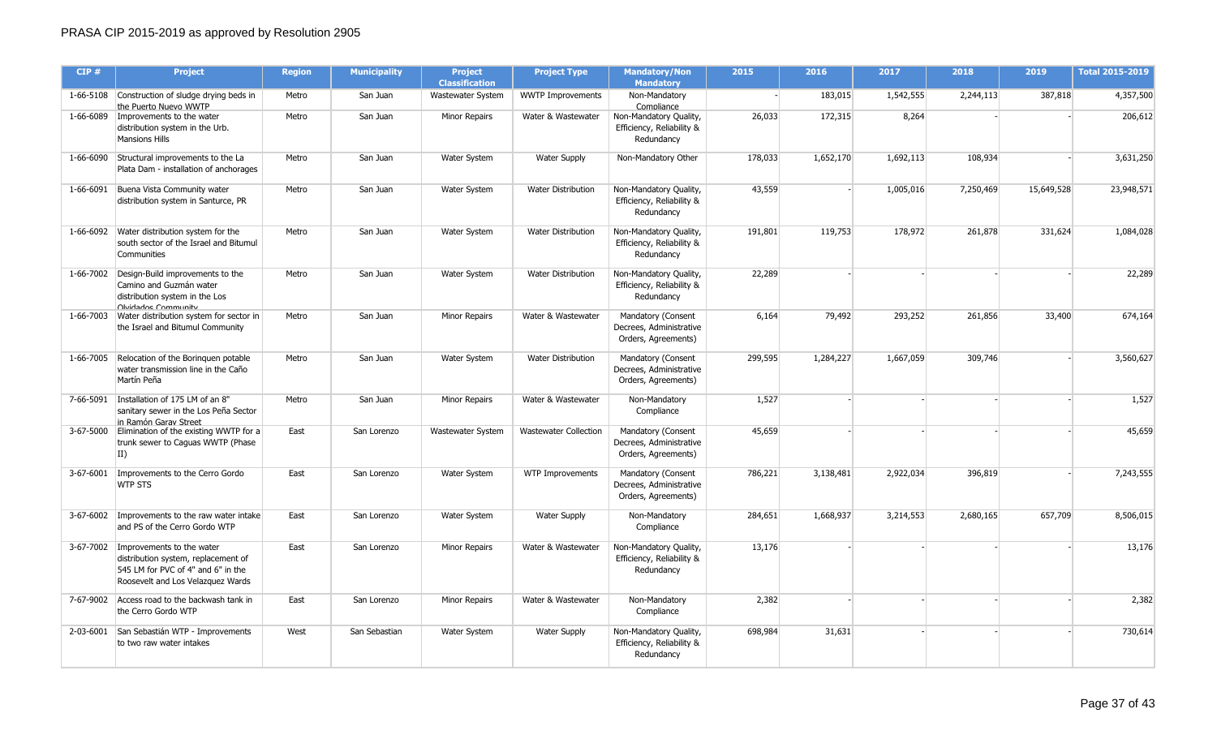| CIP#      | <b>Project</b>                                                                                                                                        | <b>Region</b> | <b>Municipality</b> | <b>Project</b><br><b>Classification</b> | <b>Project Type</b>          | <b>Mandatory/Non</b><br><b>Mandatory</b>                             | 2015    | 2016      | 2017      | 2018      | 2019       | Total 2015-2019 |
|-----------|-------------------------------------------------------------------------------------------------------------------------------------------------------|---------------|---------------------|-----------------------------------------|------------------------------|----------------------------------------------------------------------|---------|-----------|-----------|-----------|------------|-----------------|
|           | 1-66-5108 Construction of sludge drying beds in<br>the Puerto Nuevo WWTP                                                                              | Metro         | San Juan            | Wastewater System                       | <b>WWTP Improvements</b>     | Non-Mandatory<br>Compliance                                          |         | 183,015   | 1,542,555 | 2,244,113 | 387,818    | 4,357,500       |
|           | 1-66-6089 Improvements to the water<br>distribution system in the Urb.<br><b>Mansions Hills</b>                                                       | Metro         | San Juan            | Minor Repairs                           | Water & Wastewater           | Non-Mandatory Quality,<br>Efficiency, Reliability &<br>Redundancy    | 26,033  | 172,315   | 8,264     |           |            | 206,612         |
| 1-66-6090 | Structural improvements to the La<br>Plata Dam - installation of anchorages                                                                           | Metro         | San Juan            | Water System                            | <b>Water Supply</b>          | Non-Mandatory Other                                                  | 178,033 | 1,652,170 | 1,692,113 | 108,934   |            | 3,631,250       |
|           | 1-66-6091 Buena Vista Community water<br>distribution system in Santurce, PR                                                                          | Metro         | San Juan            | <b>Water System</b>                     | <b>Water Distribution</b>    | Non-Mandatory Quality,<br>Efficiency, Reliability &<br>Redundancy    | 43,559  |           | 1,005,016 | 7,250,469 | 15,649,528 | 23,948,571      |
|           | 1-66-6092 Water distribution system for the<br>south sector of the Israel and Bitumul<br>Communities                                                  | Metro         | San Juan            | <b>Water System</b>                     | <b>Water Distribution</b>    | Non-Mandatory Quality,<br>Efficiency, Reliability &<br>Redundancy    | 191,801 | 119,753   | 178,972   | 261,878   | 331,624    | 1,084,028       |
|           | 1-66-7002 Design-Build improvements to the<br>Camino and Guzmán water<br>distribution system in the Los<br>Olvidados Community                        | Metro         | San Juan            | <b>Water System</b>                     | <b>Water Distribution</b>    | Non-Mandatory Quality,<br>Efficiency, Reliability &<br>Redundancy    | 22,289  |           |           |           |            | 22,289          |
|           | 1-66-7003 Water distribution system for sector in<br>the Israel and Bitumul Community                                                                 | Metro         | San Juan            | <b>Minor Repairs</b>                    | Water & Wastewater           | Mandatory (Consent<br>Decrees, Administrative<br>Orders, Agreements) | 6,164   | 79,492    | 293,252   | 261,856   | 33,400     | 674,164         |
| 1-66-7005 | Relocation of the Boringuen potable<br>water transmission line in the Caño<br>Martín Peña                                                             | Metro         | San Juan            | Water System                            | Water Distribution           | Mandatory (Consent<br>Decrees, Administrative<br>Orders, Agreements) | 299,595 | 1,284,227 | 1,667,059 | 309,746   |            | 3,560,627       |
|           | 7-66-5091 Installation of 175 LM of an 8"<br>sanitary sewer in the Los Peña Sector<br>in Ramón Garav Street                                           | Metro         | San Juan            | <b>Minor Repairs</b>                    | Water & Wastewater           | Non-Mandatory<br>Compliance                                          | 1,527   |           |           |           |            | 1,527           |
|           | 3-67-5000 Elimination of the existing WWTP for a<br>trunk sewer to Caguas WWTP (Phase<br>II)                                                          | East          | San Lorenzo         | Wastewater System                       | <b>Wastewater Collection</b> | Mandatory (Consent<br>Decrees, Administrative<br>Orders, Agreements) | 45,659  |           |           |           |            | 45,659          |
|           | 3-67-6001   Improvements to the Cerro Gordo<br><b>WTP STS</b>                                                                                         | East          | San Lorenzo         | Water System                            | <b>WTP Improvements</b>      | Mandatory (Consent<br>Decrees, Administrative<br>Orders, Agreements) | 786,221 | 3,138,481 | 2,922,034 | 396,819   |            | 7,243,555       |
|           | 3-67-6002 Improvements to the raw water intake<br>and PS of the Cerro Gordo WTP                                                                       | East          | San Lorenzo         | Water System                            | Water Supply                 | Non-Mandatory<br>Compliance                                          | 284,651 | 1,668,937 | 3,214,553 | 2,680,165 | 657,709    | 8,506,015       |
|           | 3-67-7002 Improvements to the water<br>distribution system, replacement of<br>545 LM for PVC of 4" and 6" in the<br>Roosevelt and Los Velazquez Wards | East          | San Lorenzo         | Minor Repairs                           | Water & Wastewater           | Non-Mandatory Quality,<br>Efficiency, Reliability &<br>Redundancy    | 13,176  |           |           |           |            | 13,176          |
|           | 7-67-9002 Access road to the backwash tank in<br>the Cerro Gordo WTP                                                                                  | East          | San Lorenzo         | <b>Minor Repairs</b>                    | Water & Wastewater           | Non-Mandatory<br>Compliance                                          | 2,382   |           |           |           |            | 2,382           |
|           | 2-03-6001 San Sebastián WTP - Improvements<br>to two raw water intakes                                                                                | West          | San Sebastian       | Water System                            | <b>Water Supply</b>          | Non-Mandatory Quality,<br>Efficiency, Reliability &<br>Redundancy    | 698,984 | 31,631    |           |           |            | 730,614         |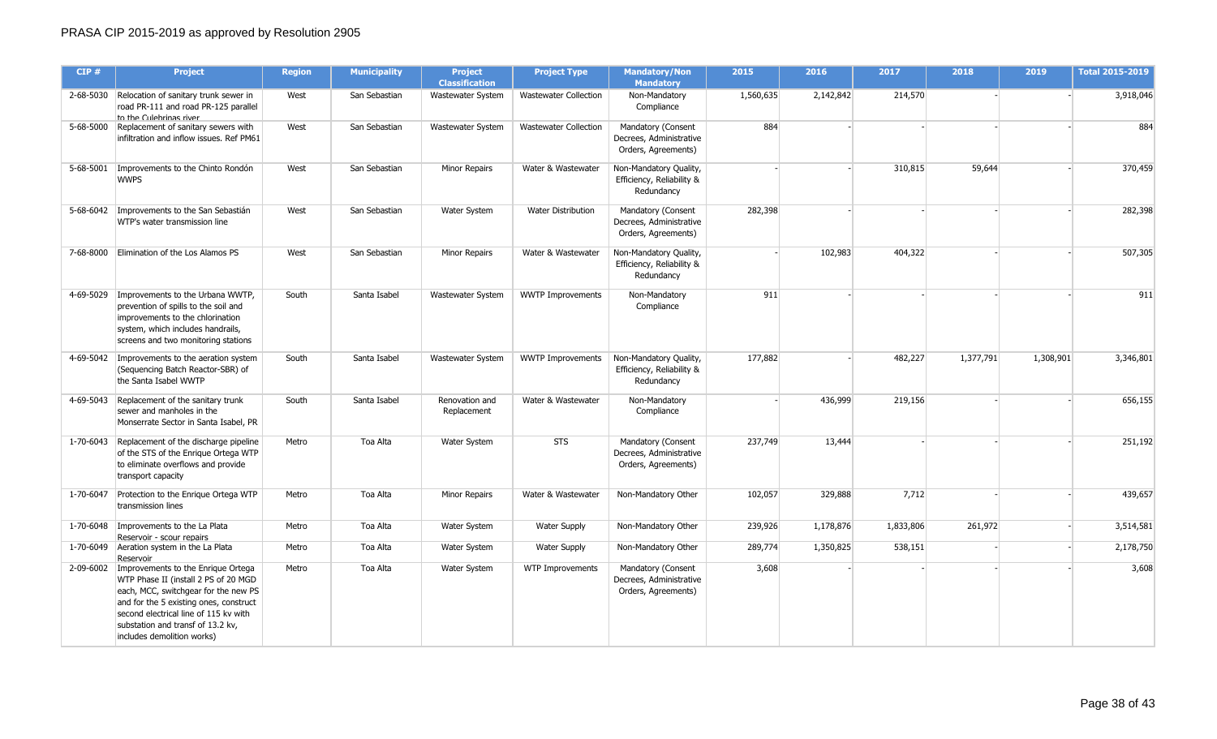| CIP#      | <b>Project</b>                                                                                                                                                                                                                                                           | <b>Region</b> | <b>Municipality</b> | <b>Project</b><br><b>Classification</b> | <b>Project Type</b>          | <b>Mandatory/Non</b><br><b>Mandatory</b>                             | 2015      | 2016      | 2017      | 2018      | 2019      | <b>Total 2015-2019</b> |
|-----------|--------------------------------------------------------------------------------------------------------------------------------------------------------------------------------------------------------------------------------------------------------------------------|---------------|---------------------|-----------------------------------------|------------------------------|----------------------------------------------------------------------|-----------|-----------|-----------|-----------|-----------|------------------------|
|           | 2-68-5030 Relocation of sanitary trunk sewer in<br>road PR-111 and road PR-125 parallel<br>to the Culebrinas river                                                                                                                                                       | West          | San Sebastian       | Wastewater System                       | <b>Wastewater Collection</b> | Non-Mandatory<br>Compliance                                          | 1,560,635 | 2,142,842 | 214,570   |           |           | 3,918,046              |
|           | 5-68-5000 Replacement of sanitary sewers with<br>infiltration and inflow issues. Ref PM61                                                                                                                                                                                | West          | San Sebastian       | Wastewater System                       | <b>Wastewater Collection</b> | Mandatory (Consent<br>Decrees, Administrative<br>Orders, Agreements) | 884       |           |           |           |           | 884                    |
| 5-68-5001 | Improvements to the Chinto Rondón<br><b>WWPS</b>                                                                                                                                                                                                                         | West          | San Sebastian       | Minor Repairs                           | Water & Wastewater           | Non-Mandatory Quality,<br>Efficiency, Reliability &<br>Redundancy    |           |           | 310,815   | 59,644    |           | 370,459                |
|           | 5-68-6042 Improvements to the San Sebastián<br>WTP's water transmission line                                                                                                                                                                                             | West          | San Sebastian       | Water System                            | Water Distribution           | Mandatory (Consent<br>Decrees, Administrative<br>Orders, Agreements) | 282,398   |           |           |           |           | 282,398                |
| 7-68-8000 | Elimination of the Los Alamos PS                                                                                                                                                                                                                                         | West          | San Sebastian       | Minor Repairs                           | Water & Wastewater           | Non-Mandatory Quality,<br>Efficiency, Reliability &<br>Redundancy    |           | 102,983   | 404,322   |           |           | 507,305                |
|           | 4-69-5029   Improvements to the Urbana WWTP,<br>prevention of spills to the soil and<br>improvements to the chlorination<br>system, which includes handrails,<br>screens and two monitoring stations                                                                     | South         | Santa Isabel        | Wastewater System                       | <b>WWTP Improvements</b>     | Non-Mandatory<br>Compliance                                          | 911       |           |           |           |           | 911                    |
|           | 4-69-5042 Improvements to the aeration system<br>(Sequencing Batch Reactor-SBR) of<br>the Santa Isabel WWTP                                                                                                                                                              | South         | Santa Isabel        | Wastewater System                       | <b>WWTP Improvements</b>     | Non-Mandatory Quality,<br>Efficiency, Reliability &<br>Redundancy    | 177,882   |           | 482,227   | 1,377,791 | 1,308,901 | 3,346,801              |
|           | 4-69-5043 Replacement of the sanitary trunk<br>sewer and manholes in the<br>Monserrate Sector in Santa Isabel, PR                                                                                                                                                        | South         | Santa Isabel        | Renovation and<br>Replacement           | Water & Wastewater           | Non-Mandatory<br>Compliance                                          |           | 436,999   | 219,156   |           |           | 656,155                |
|           | 1-70-6043 Replacement of the discharge pipeline<br>of the STS of the Enrique Ortega WTP<br>to eliminate overflows and provide<br>transport capacity                                                                                                                      | Metro         | Toa Alta            | Water System                            | STS                          | Mandatory (Consent<br>Decrees, Administrative<br>Orders, Agreements) | 237,749   | 13,444    |           |           |           | 251,192                |
|           | 1-70-6047 Protection to the Enrique Ortega WTP<br>transmission lines                                                                                                                                                                                                     | Metro         | Toa Alta            | <b>Minor Repairs</b>                    | Water & Wastewater           | Non-Mandatory Other                                                  | 102,057   | 329,888   | 7,712     |           |           | 439,657                |
|           | 1-70-6048   Improvements to the La Plata<br>Reservoir - scour repairs                                                                                                                                                                                                    | Metro         | Toa Alta            | Water System                            | <b>Water Supply</b>          | Non-Mandatory Other                                                  | 239,926   | 1,178,876 | 1,833,806 | 261,972   |           | 3,514,581              |
| 1-70-6049 | Aeration system in the La Plata<br><b>Reservoir</b>                                                                                                                                                                                                                      | Metro         | Toa Alta            | Water System                            | <b>Water Supply</b>          | Non-Mandatory Other                                                  | 289,774   | 1,350,825 | 538,151   |           |           | 2,178,750              |
| 2-09-6002 | Improvements to the Enrique Ortega<br>WTP Phase II (install 2 PS of 20 MGD<br>each, MCC, switchgear for the new PS<br>and for the 5 existing ones, construct<br>second electrical line of 115 kv with<br>substation and transf of 13.2 kv,<br>includes demolition works) | Metro         | Toa Alta            | Water System                            | <b>WTP Improvements</b>      | Mandatory (Consent<br>Decrees, Administrative<br>Orders, Agreements) | 3,608     |           |           |           |           | 3,608                  |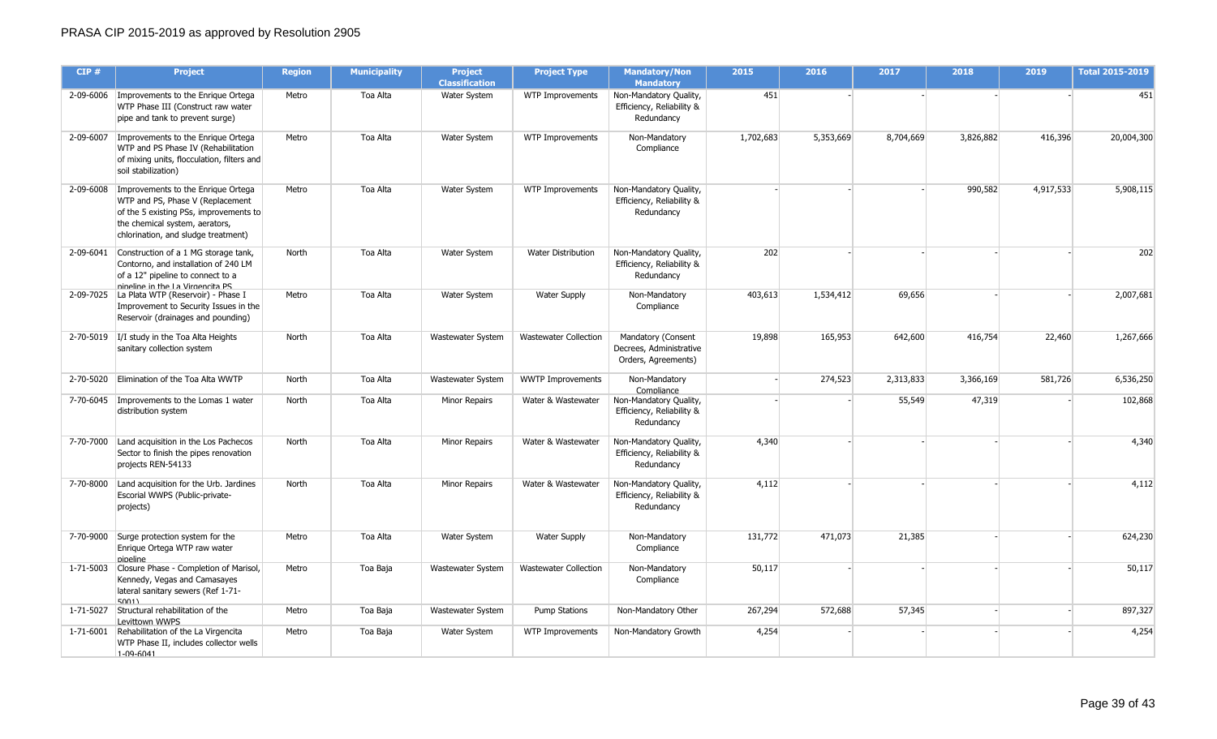| CIP#      | <b>Project</b>                                                                                                                                                                                        | <b>Region</b> | <b>Municipality</b> | <b>Project</b><br><b>Classification</b> | <b>Project Type</b>          | <b>Mandatory/Non</b><br><b>Mandatory</b>                             | 2015      | 2016      | 2017      | 2018      | 2019      | <b>Total 2015-2019</b> |
|-----------|-------------------------------------------------------------------------------------------------------------------------------------------------------------------------------------------------------|---------------|---------------------|-----------------------------------------|------------------------------|----------------------------------------------------------------------|-----------|-----------|-----------|-----------|-----------|------------------------|
|           | 2-09-6006   Improvements to the Enrique Ortega<br>WTP Phase III (Construct raw water<br>pipe and tank to prevent surge)                                                                               | Metro         | Toa Alta            | Water System                            | WTP Improvements             | Non-Mandatory Quality,<br>Efficiency, Reliability &<br>Redundancy    | 451       |           |           |           |           | 451                    |
| 2-09-6007 | Improvements to the Enrique Ortega<br>WTP and PS Phase IV (Rehabilitation<br>of mixing units, flocculation, filters and<br>soil stabilization)                                                        | Metro         | Toa Alta            | Water System                            | WTP Improvements             | Non-Mandatory<br>Compliance                                          | 1,702,683 | 5,353,669 | 8,704,669 | 3,826,882 | 416,396   | 20,004,300             |
|           | 2-09-6008   Improvements to the Enrique Ortega<br>WTP and PS, Phase V (Replacement<br>of the 5 existing PSs, improvements to<br>the chemical system, aerators,<br>chlorination, and sludge treatment) | Metro         | Toa Alta            | Water System                            | WTP Improvements             | Non-Mandatory Quality,<br>Efficiency, Reliability &<br>Redundancy    |           |           |           | 990,582   | 4,917,533 | 5,908,115              |
|           | 2-09-6041 Construction of a 1 MG storage tank,<br>Contorno, and installation of 240 LM<br>of a 12" pipeline to connect to a<br>ninalina in tha La Virnancita PS                                       | North         | Toa Alta            | Water System                            | <b>Water Distribution</b>    | Non-Mandatory Quality,<br>Efficiency, Reliability &<br>Redundancy    | 202       |           |           |           |           | 202                    |
|           | 2-09-7025 La Plata WTP (Reservoir) - Phase I<br>Improvement to Security Issues in the<br>Reservoir (drainages and pounding)                                                                           | Metro         | Toa Alta            | Water System                            | <b>Water Supply</b>          | Non-Mandatory<br>Compliance                                          | 403,613   | 1,534,412 | 69,656    |           |           | 2,007,681              |
|           | 2-70-5019   I/I study in the Toa Alta Heights<br>sanitary collection system                                                                                                                           | North         | Toa Alta            | Wastewater System                       | <b>Wastewater Collection</b> | Mandatory (Consent<br>Decrees, Administrative<br>Orders, Agreements) | 19,898    | 165,953   | 642,600   | 416,754   | 22,460    | 1,267,666              |
| 2-70-5020 | Elimination of the Toa Alta WWTP                                                                                                                                                                      | North         | Toa Alta            | Wastewater System                       | <b>WWTP Improvements</b>     | Non-Mandatory<br>Compliance                                          |           | 274,523   | 2,313,833 | 3,366,169 | 581,726   | 6,536,250              |
|           | 7-70-6045   Improvements to the Lomas 1 water<br>distribution system                                                                                                                                  | North         | Toa Alta            | <b>Minor Repairs</b>                    | Water & Wastewater           | Non-Mandatory Quality,<br>Efficiency, Reliability &<br>Redundancy    |           |           | 55,549    | 47,319    |           | 102,868                |
|           | 7-70-7000 Land acquisition in the Los Pachecos<br>Sector to finish the pipes renovation<br>projects REN-54133                                                                                         | North         | Toa Alta            | <b>Minor Repairs</b>                    | Water & Wastewater           | Non-Mandatory Quality,<br>Efficiency, Reliability &<br>Redundancy    | 4,340     |           |           |           |           | 4,340                  |
|           | 7-70-8000 Land acquisition for the Urb. Jardines<br>Escorial WWPS (Public-private-<br>projects)                                                                                                       | North         | Toa Alta            | <b>Minor Repairs</b>                    | Water & Wastewater           | Non-Mandatory Quality,<br>Efficiency, Reliability &<br>Redundancy    | 4,112     |           |           |           |           | 4,112                  |
|           | 7-70-9000 Surge protection system for the<br>Enrique Ortega WTP raw water<br>nineline                                                                                                                 | Metro         | Toa Alta            | Water System                            | <b>Water Supply</b>          | Non-Mandatory<br>Compliance                                          | 131,772   | 471,073   | 21,385    |           |           | 624,230                |
|           | 1-71-5003 Closure Phase - Completion of Marisol,<br>Kennedy, Vegas and Camasayes<br>lateral sanitary sewers (Ref 1-71-<br>50011                                                                       | Metro         | Toa Baja            | Wastewater System                       | Wastewater Collection        | Non-Mandatory<br>Compliance                                          | 50,117    |           |           |           |           | 50,117                 |
| 1-71-5027 | Structural rehabilitation of the<br>Levittown WWPS                                                                                                                                                    | Metro         | Toa Baja            | Wastewater System                       | <b>Pump Stations</b>         | Non-Mandatory Other                                                  | 267,294   | 572,688   | 57,345    |           |           | 897,327                |
|           | 1-71-6001 Rehabilitation of the La Virgencita<br>WTP Phase II, includes collector wells<br>$1 - 09 - 6041$                                                                                            | Metro         | Toa Baja            | Water System                            | WTP Improvements             | Non-Mandatory Growth                                                 | 4,254     |           |           |           |           | 4,254                  |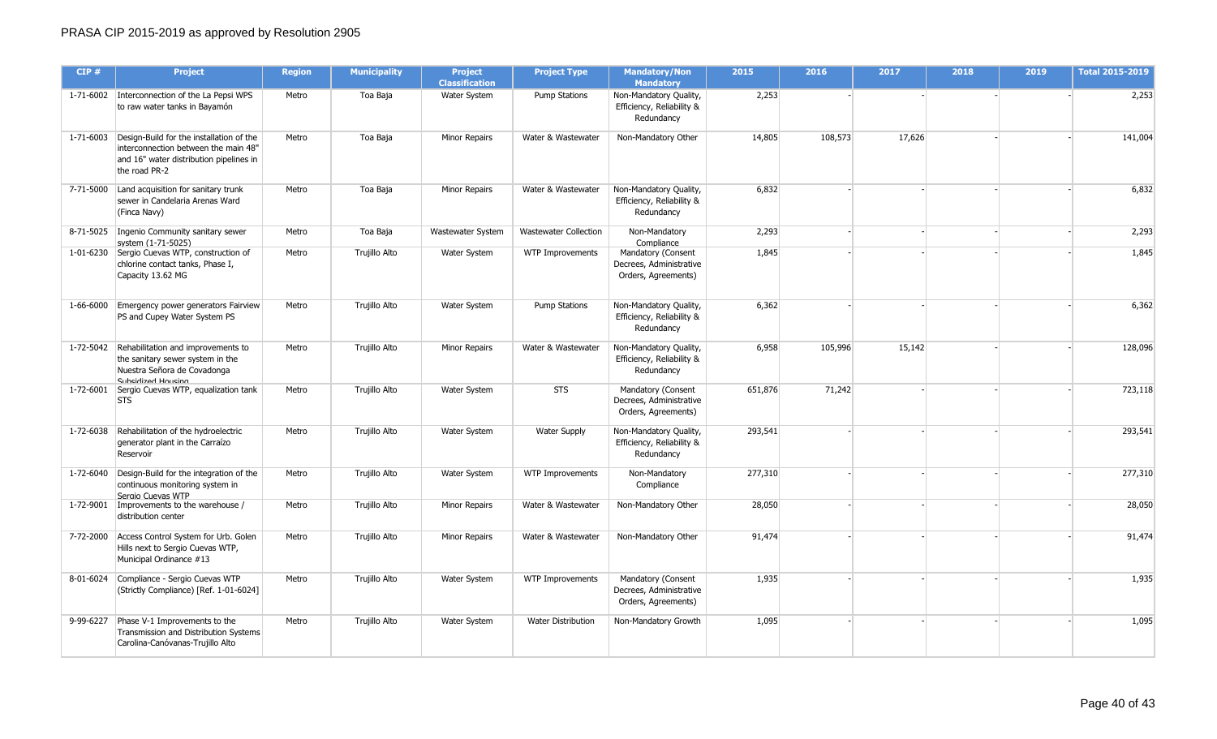| CIP#      | <b>Project</b>                                                                                                                                         | <b>Region</b> | <b>Municipality</b> | <b>Project</b><br><b>Classification</b> | <b>Project Type</b>          | <b>Mandatory/Non</b><br><b>Mandatory</b>                             | 2015    | 2016    | 2017   | 2018 | 2019 | <b>Total 2015-2019</b> |
|-----------|--------------------------------------------------------------------------------------------------------------------------------------------------------|---------------|---------------------|-----------------------------------------|------------------------------|----------------------------------------------------------------------|---------|---------|--------|------|------|------------------------|
|           | 1-71-6002 Interconnection of the La Pepsi WPS<br>to raw water tanks in Bayamón                                                                         | Metro         | Toa Baja            | Water System                            | <b>Pump Stations</b>         | Non-Mandatory Quality,<br>Efficiency, Reliability &<br>Redundancy    | 2,253   |         |        |      |      | 2,253                  |
|           | 1-71-6003 Design-Build for the installation of the<br>interconnection between the main 48"<br>and 16" water distribution pipelines in<br>the road PR-2 | Metro         | Toa Baja            | Minor Repairs                           | Water & Wastewater           | Non-Mandatory Other                                                  | 14,805  | 108,573 | 17,626 |      |      | 141,004                |
|           | 7-71-5000 Land acquisition for sanitary trunk<br>sewer in Candelaria Arenas Ward<br>(Finca Navy)                                                       | Metro         | Toa Baja            | Minor Repairs                           | Water & Wastewater           | Non-Mandatory Quality,<br>Efficiency, Reliability &<br>Redundancy    | 6,832   |         |        |      |      | 6,832                  |
|           | 8-71-5025   Ingenio Community sanitary sewer<br>system (1-71-5025)                                                                                     | Metro         | Toa Baja            | Wastewater System                       | <b>Wastewater Collection</b> | Non-Mandatory<br>Compliance                                          | 2,293   |         |        |      |      | 2,293                  |
| 1-01-6230 | Sergio Cuevas WTP, construction of<br>chlorine contact tanks, Phase I,<br>Capacity 13.62 MG                                                            | Metro         | Trujillo Alto       | Water System                            | <b>WTP Improvements</b>      | Mandatory (Consent<br>Decrees, Administrative<br>Orders, Agreements) | 1,845   |         |        |      |      | 1,845                  |
|           | 1-66-6000 Emergency power generators Fairview<br>PS and Cupey Water System PS                                                                          | Metro         | Trujillo Alto       | Water System                            | <b>Pump Stations</b>         | Non-Mandatory Quality,<br>Efficiency, Reliability &<br>Redundancy    | 6,362   |         |        |      |      | 6,362                  |
|           | 1-72-5042 Rehabilitation and improvements to<br>the sanitary sewer system in the<br>Nuestra Señora de Covadonga<br>Subsidized Housing                  | Metro         | Trujillo Alto       | Minor Repairs                           | Water & Wastewater           | Non-Mandatory Quality,<br>Efficiency, Reliability &<br>Redundancy    | 6,958   | 105,996 | 15,142 |      |      | 128,096                |
|           | 1-72-6001 Sergio Cuevas WTP, equalization tank<br><b>STS</b>                                                                                           | Metro         | Trujillo Alto       | Water System                            | <b>STS</b>                   | Mandatory (Consent<br>Decrees, Administrative<br>Orders, Agreements) | 651,876 | 71,242  |        |      |      | 723,118                |
|           | 1-72-6038 Rehabilitation of the hydroelectric<br>generator plant in the Carraízo<br>Reservoir                                                          | Metro         | Trujillo Alto       | Water System                            | <b>Water Supply</b>          | Non-Mandatory Quality,<br>Efficiency, Reliability &<br>Redundancy    | 293,541 |         |        |      |      | 293,541                |
|           | 1-72-6040 Design-Build for the integration of the<br>continuous monitoring system in<br>Sergio Cuevas WTP                                              | Metro         | Trujillo Alto       | Water System                            | WTP Improvements             | Non-Mandatory<br>Compliance                                          | 277,310 |         |        |      |      | 277,310                |
| 1-72-9001 | Improvements to the warehouse /<br>distribution center                                                                                                 | Metro         | Trujillo Alto       | Minor Repairs                           | Water & Wastewater           | Non-Mandatory Other                                                  | 28,050  |         |        |      |      | 28,050                 |
|           | 7-72-2000 Access Control System for Urb. Golen<br>Hills next to Sergio Cuevas WTP,<br>Municipal Ordinance #13                                          | Metro         | Trujillo Alto       | <b>Minor Repairs</b>                    | Water & Wastewater           | Non-Mandatory Other                                                  | 91,474  |         |        |      |      | 91,474                 |
|           | 8-01-6024 Compliance - Sergio Cuevas WTP<br>(Strictly Compliance) [Ref. 1-01-6024]                                                                     | Metro         | Trujillo Alto       | <b>Water System</b>                     | <b>WTP Improvements</b>      | Mandatory (Consent<br>Decrees, Administrative<br>Orders, Agreements) | 1,935   |         |        |      |      | 1,935                  |
| 9-99-6227 | Phase V-1 Improvements to the<br>Transmission and Distribution Systems<br>Carolina-Canóvanas-Trujillo Alto                                             | Metro         | Trujillo Alto       | Water System                            | <b>Water Distribution</b>    | Non-Mandatory Growth                                                 | 1,095   |         |        |      |      | 1,095                  |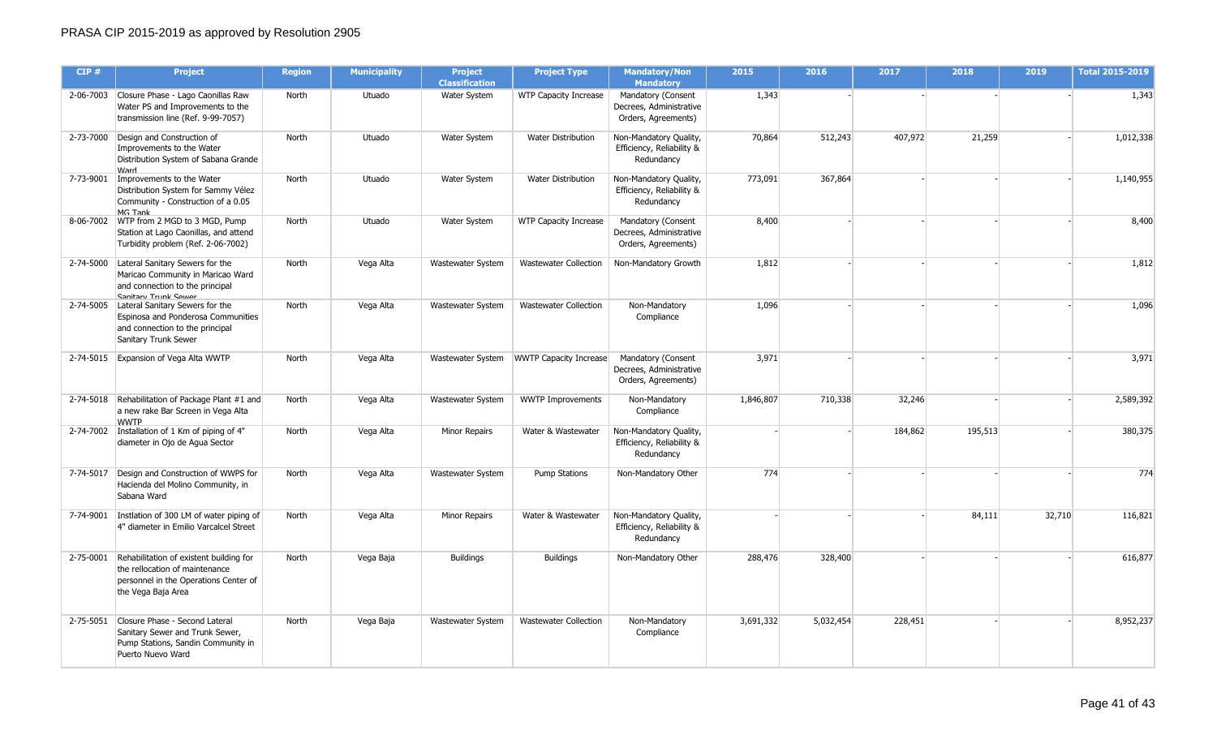| CIP#      | <b>Project</b>                                                                                                                                   | <b>Region</b> | <b>Municipality</b> | <b>Project</b><br><b>Classification</b> | <b>Project Type</b>           | <b>Mandatory/Non</b><br><b>Mandatory</b>                             | 2015      | 2016      | 2017    | 2018    | 2019   | <b>Total 2015-2019</b> |
|-----------|--------------------------------------------------------------------------------------------------------------------------------------------------|---------------|---------------------|-----------------------------------------|-------------------------------|----------------------------------------------------------------------|-----------|-----------|---------|---------|--------|------------------------|
|           | 2-06-7003 Closure Phase - Lago Caonillas Raw<br>Water PS and Improvements to the<br>transmission line (Ref. 9-99-7057)                           | North         | Utuado              | <b>Water System</b>                     | <b>WTP Capacity Increase</b>  | Mandatory (Consent<br>Decrees, Administrative<br>Orders, Agreements) | 1,343     |           |         |         |        | 1,343                  |
|           | 2-73-7000 Design and Construction of<br>Improvements to the Water<br>Distribution System of Sabana Grande<br><b>Ward</b>                         | North         | Utuado              | Water System                            | <b>Water Distribution</b>     | Non-Mandatory Quality,<br>Efficiency, Reliability &<br>Redundancy    | 70,864    | 512,243   | 407,972 | 21,259  |        | 1,012,338              |
|           | 7-73-9001   Improvements to the Water<br>Distribution System for Sammy Vélez<br>Community - Construction of a 0.05<br>MG Tank                    | North         | Utuado              | Water System                            | <b>Water Distribution</b>     | Non-Mandatory Quality,<br>Efficiency, Reliability &<br>Redundancy    | 773,091   | 367,864   |         |         |        | 1,140,955              |
|           | 8-06-7002 WTP from 2 MGD to 3 MGD, Pump<br>Station at Lago Caonillas, and attend<br>Turbidity problem (Ref. 2-06-7002)                           | North         | Utuado              | Water System                            | <b>WTP Capacity Increase</b>  | Mandatory (Consent<br>Decrees, Administrative<br>Orders, Agreements) | 8,400     |           |         |         |        | 8,400                  |
|           | 2-74-5000 Lateral Sanitary Sewers for the<br>Maricao Community in Maricao Ward<br>and connection to the principal<br><b>Sanitary Trunk Sewer</b> | North         | Vega Alta           | Wastewater System                       | <b>Wastewater Collection</b>  | Non-Mandatory Growth                                                 | 1,812     |           |         |         |        | 1,812                  |
| 2-74-5005 | Lateral Sanitary Sewers for the<br>Espinosa and Ponderosa Communities<br>and connection to the principal<br>Sanitary Trunk Sewer                 | North         | Vega Alta           | Wastewater System                       | <b>Wastewater Collection</b>  | Non-Mandatory<br>Compliance                                          | 1,096     |           |         |         |        | 1,096                  |
| 2-74-5015 | Expansion of Vega Alta WWTP                                                                                                                      | North         | Vega Alta           | Wastewater System                       | <b>WWTP Capacity Increase</b> | Mandatory (Consent<br>Decrees, Administrative<br>Orders, Agreements) | 3,971     |           |         |         |        | 3,971                  |
|           | 2-74-5018 Rehabilitation of Package Plant #1 and<br>a new rake Bar Screen in Vega Alta<br><b>WWTP</b>                                            | North         | Vega Alta           | Wastewater System                       | <b>WWTP Improvements</b>      | Non-Mandatory<br>Compliance                                          | 1,846,807 | 710,338   | 32,246  |         |        | 2,589,392              |
|           | 2-74-7002 Installation of 1 Km of piping of 4"<br>diameter in Ojo de Aqua Sector                                                                 | North         | Vega Alta           | <b>Minor Repairs</b>                    | Water & Wastewater            | Non-Mandatory Quality,<br>Efficiency, Reliability &<br>Redundancy    |           |           | 184,862 | 195,513 |        | 380,375                |
|           | 7-74-5017 Design and Construction of WWPS for<br>Hacienda del Molino Community, in<br>Sabana Ward                                                | North         | Vega Alta           | Wastewater System                       | <b>Pump Stations</b>          | Non-Mandatory Other                                                  | 774       |           |         |         |        | 774                    |
| 7-74-9001 | Instlation of 300 LM of water piping of<br>4" diameter in Emilio Varcalcel Street                                                                | North         | Vega Alta           | <b>Minor Repairs</b>                    | Water & Wastewater            | Non-Mandatory Quality,<br>Efficiency, Reliability &<br>Redundancy    |           |           |         | 84,111  | 32,710 | 116,821                |
| 2-75-0001 | Rehabilitation of existent building for<br>the rellocation of maintenance<br>personnel in the Operations Center of<br>the Vega Baja Area         | North         | Vega Baja           | <b>Buildings</b>                        | <b>Buildings</b>              | Non-Mandatory Other                                                  | 288,476   | 328,400   |         |         |        | 616,877                |
|           | 2-75-5051 Closure Phase - Second Lateral<br>Sanitary Sewer and Trunk Sewer,<br>Pump Stations, Sandin Community in<br>Puerto Nuevo Ward           | North         | Vega Baja           | Wastewater System                       | <b>Wastewater Collection</b>  | Non-Mandatory<br>Compliance                                          | 3,691,332 | 5,032,454 | 228,451 |         |        | 8,952,237              |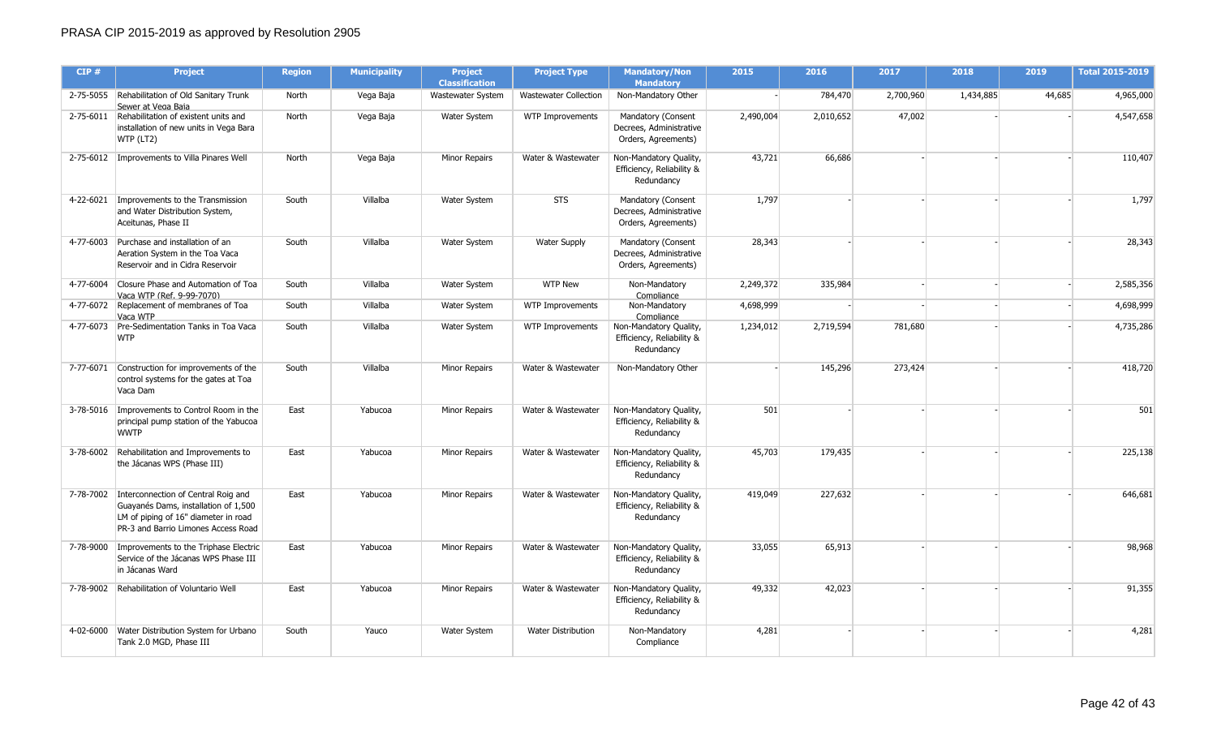| CIP#      | <b>Project</b>                                                                                                                                                       | <b>Region</b> | <b>Municipality</b> | <b>Project</b><br><b>Classification</b> | <b>Project Type</b>          | <b>Mandatory/Non</b><br><b>Mandatory</b>                             | 2015      | 2016      | 2017      | 2018      | 2019   | Total 2015-2019 |
|-----------|----------------------------------------------------------------------------------------------------------------------------------------------------------------------|---------------|---------------------|-----------------------------------------|------------------------------|----------------------------------------------------------------------|-----------|-----------|-----------|-----------|--------|-----------------|
|           | 2-75-5055 Rehabilitation of Old Sanitary Trunk<br>Sewer at Vega Baja                                                                                                 | North         | Vega Baja           | Wastewater System                       | <b>Wastewater Collection</b> | Non-Mandatory Other                                                  |           | 784,470   | 2,700,960 | 1,434,885 | 44,685 | 4,965,000       |
|           | 2-75-6011 Rehabilitation of existent units and<br>installation of new units in Vega Bara<br>WTP (LT2)                                                                | North         | Vega Baja           | Water System                            | <b>WTP Improvements</b>      | Mandatory (Consent<br>Decrees, Administrative<br>Orders, Agreements) | 2,490,004 | 2,010,652 | 47,002    |           |        | 4,547,658       |
|           | 2-75-6012   Improvements to Villa Pinares Well                                                                                                                       | North         | Vega Baja           | Minor Repairs                           | Water & Wastewater           | Non-Mandatory Quality,<br>Efficiency, Reliability &<br>Redundancy    | 43,721    | 66,686    |           |           |        | 110,407         |
|           | 4-22-6021   Improvements to the Transmission<br>and Water Distribution System,<br>Aceitunas, Phase II                                                                | South         | Villalba            | Water System                            | <b>STS</b>                   | Mandatory (Consent<br>Decrees, Administrative<br>Orders, Agreements) | 1,797     |           |           |           |        | 1,797           |
|           | 4-77-6003 Purchase and installation of an<br>Aeration System in the Toa Vaca<br>Reservoir and in Cidra Reservoir                                                     | South         | Villalba            | Water System                            | <b>Water Supply</b>          | Mandatory (Consent<br>Decrees, Administrative<br>Orders, Agreements) | 28,343    |           |           |           |        | 28,343          |
|           | 4-77-6004 Closure Phase and Automation of Toa<br>Vaca WTP (Ref. 9-99-7070)                                                                                           | South         | Villalba            | Water System                            | <b>WTP New</b>               | Non-Mandatory<br>Compliance                                          | 2,249,372 | 335,984   |           |           |        | 2,585,356       |
|           | 4-77-6072 Replacement of membranes of Toa<br>Vaca WTP                                                                                                                | South         | Villalba            | Water System                            | WTP Improvements             | Non-Mandatory<br>Compliance                                          | 4,698,999 |           |           |           |        | 4,698,999       |
|           | 4-77-6073 Pre-Sedimentation Tanks in Toa Vaca<br><b>WTP</b>                                                                                                          | South         | Villalba            | Water System                            | WTP Improvements             | Non-Mandatory Quality,<br>Efficiency, Reliability &<br>Redundancy    | 1,234,012 | 2,719,594 | 781,680   |           |        | 4,735,286       |
|           | 7-77-6071 Construction for improvements of the<br>control systems for the gates at Toa<br>Vaca Dam                                                                   | South         | Villalba            | Minor Repairs                           | Water & Wastewater           | Non-Mandatory Other                                                  |           | 145,296   | 273,424   |           |        | 418,720         |
|           | 3-78-5016 Improvements to Control Room in the<br>principal pump station of the Yabucoa<br><b>WWTP</b>                                                                | East          | Yabucoa             | <b>Minor Repairs</b>                    | Water & Wastewater           | Non-Mandatory Quality,<br>Efficiency, Reliability &<br>Redundancy    | 501       |           |           |           |        | 501             |
|           | 3-78-6002 Rehabilitation and Improvements to<br>the Jácanas WPS (Phase III)                                                                                          | East          | Yabucoa             | <b>Minor Repairs</b>                    | Water & Wastewater           | Non-Mandatory Quality,<br>Efficiency, Reliability &<br>Redundancy    | 45,703    | 179,435   |           |           |        | 225,138         |
|           | 7-78-7002 Interconnection of Central Roig and<br>Guayanés Dams, installation of 1,500<br>LM of piping of 16" diameter in road<br>PR-3 and Barrio Limones Access Road | East          | Yabucoa             | <b>Minor Repairs</b>                    | Water & Wastewater           | Non-Mandatory Quality,<br>Efficiency, Reliability &<br>Redundancy    | 419,049   | 227,632   |           |           |        | 646,681         |
|           | 7-78-9000   Improvements to the Triphase Electric<br>Service of the Jácanas WPS Phase III<br>in Jácanas Ward                                                         | East          | Yabucoa             | Minor Repairs                           | Water & Wastewater           | Non-Mandatory Quality,<br>Efficiency, Reliability &<br>Redundancy    | 33,055    | 65,913    |           |           |        | 98,968          |
| 7-78-9002 | Rehabilitation of Voluntario Well                                                                                                                                    | East          | Yabucoa             | <b>Minor Repairs</b>                    | Water & Wastewater           | Non-Mandatory Quality,<br>Efficiency, Reliability &<br>Redundancy    | 49,332    | 42,023    |           |           |        | 91,355          |
|           | 4-02-6000 Water Distribution System for Urbano<br>Tank 2.0 MGD, Phase III                                                                                            | South         | Yauco               | Water System                            | <b>Water Distribution</b>    | Non-Mandatory<br>Compliance                                          | 4,281     |           |           |           |        | 4,281           |